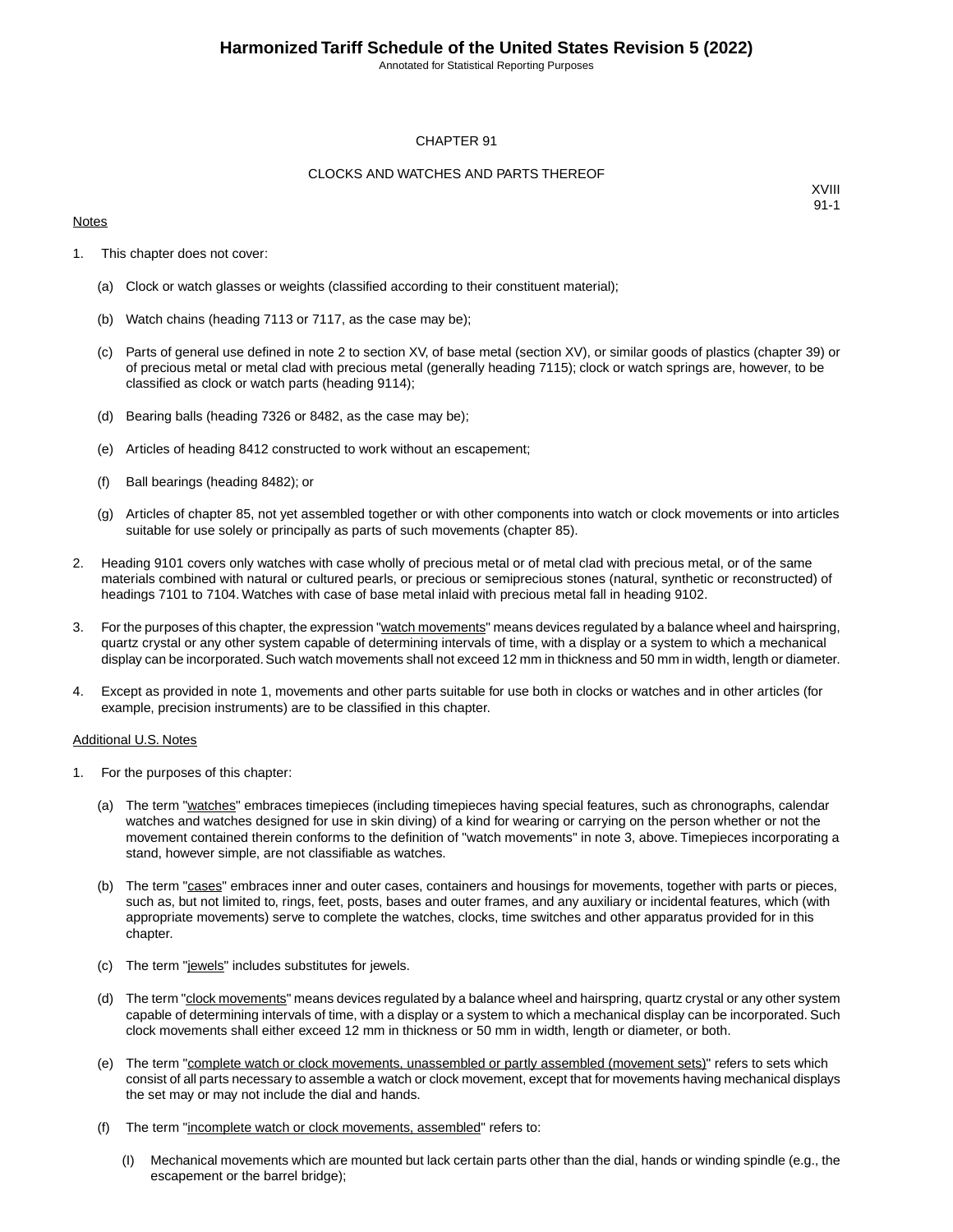Annotated for Statistical Reporting Purposes

#### CHAPTER 91

#### CLOCKS AND WATCHES AND PARTS THEREOF

#### **Notes**

XVIII 91-1

- 1. This chapter does not cover:
	- (a) Clock or watch glasses or weights (classified according to their constituent material);
	- (b) Watch chains (heading 7113 or 7117, as the case may be);
	- (c) Parts of general use defined in note 2 to section XV, of base metal (section XV), or similar goods of plastics (chapter 39) or of precious metal or metal clad with precious metal (generally heading 7115); clock or watch springs are, however, to be classified as clock or watch parts (heading 9114);
	- (d) Bearing balls (heading 7326 or 8482, as the case may be);
	- (e) Articles of heading 8412 constructed to work without an escapement;
	- (f) Ball bearings (heading 8482); or
	- (g) Articles of chapter 85, not yet assembled together or with other components into watch or clock movements or into articles suitable for use solely or principally as parts of such movements (chapter 85).
- 2. Heading 9101 covers only watches with case wholly of precious metal or of metal clad with precious metal, or of the same materials combined with natural or cultured pearls, or precious or semiprecious stones (natural, synthetic or reconstructed) of headings 7101 to 7104. Watches with case of base metal inlaid with precious metal fall in heading 9102.
- 3. For the purposes of this chapter, the expression "watch movements" means devices regulated by a balance wheel and hairspring, quartz crystal or any other system capable of determining intervals of time, with a display or a system to which a mechanical display can be incorporated. Such watch movements shall not exceed 12 mm in thickness and 50 mm in width, length or diameter.
- 4. Except as provided in note 1, movements and other parts suitable for use both in clocks or watches and in other articles (for example, precision instruments) are to be classified in this chapter.

#### Additional U.S. Notes

- 1. For the purposes of this chapter:
	- (a) The term "watches" embraces timepieces (including timepieces having special features, such as chronographs, calendar watches and watches designed for use in skin diving) of a kind for wearing or carrying on the person whether or not the movement contained therein conforms to the definition of "watch movements" in note 3, above. Timepieces incorporating a stand, however simple, are not classifiable as watches.
	- (b) The term "cases" embraces inner and outer cases, containers and housings for movements, together with parts or pieces, such as, but not limited to, rings, feet, posts, bases and outer frames, and any auxiliary or incidental features, which (with appropriate movements) serve to complete the watches, clocks, time switches and other apparatus provided for in this chapter.
	- (c) The term "jewels" includes substitutes for jewels.
	- (d) The term "clock movements" means devices regulated by a balance wheel and hairspring, quartz crystal or any other system capable of determining intervals of time, with a display or a system to which a mechanical display can be incorporated. Such clock movements shall either exceed 12 mm in thickness or 50 mm in width, length or diameter, or both.
	- (e) The term "complete watch or clock movements, unassembled or partly assembled (movement sets)" refers to sets which consist of all parts necessary to assemble a watch or clock movement, except that for movements having mechanical displays the set may or may not include the dial and hands.
	- (f) The term "incomplete watch or clock movements, assembled" refers to:
		- (I) Mechanical movements which are mounted but lack certain parts other than the dial, hands or winding spindle (e.g., the escapement or the barrel bridge);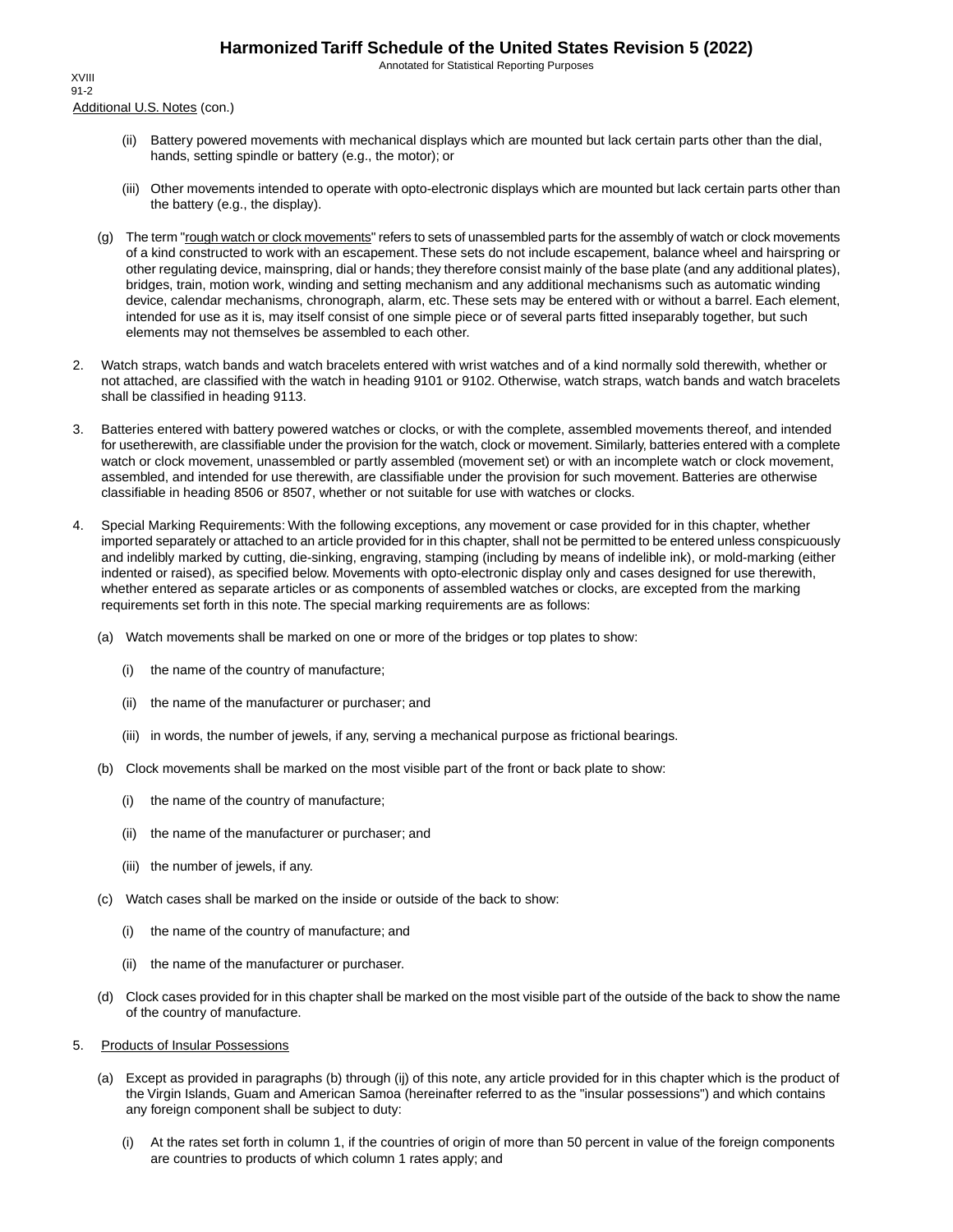Annotated for Statistical Reporting Purposes

Additional U.S. Notes (con.) XVIII 91-2

- (ii) Battery powered movements with mechanical displays which are mounted but lack certain parts other than the dial, hands, setting spindle or battery (e.g., the motor); or
- (iii) Other movements intended to operate with opto-electronic displays which are mounted but lack certain parts other than the battery (e.g., the display).
- (g) The term "rough watch or clock movements" refers to sets of unassembled parts for the assembly of watch or clock movements of a kind constructed to work with an escapement. These sets do not include escapement, balance wheel and hairspring or other regulating device, mainspring, dial or hands; they therefore consist mainly of the base plate (and any additional plates), bridges, train, motion work, winding and setting mechanism and any additional mechanisms such as automatic winding device, calendar mechanisms, chronograph, alarm, etc. These sets may be entered with or without a barrel. Each element, intended for use as it is, may itself consist of one simple piece or of several parts fitted inseparably together, but such elements may not themselves be assembled to each other.
- 2. Watch straps, watch bands and watch bracelets entered with wrist watches and of a kind normally sold therewith, whether or not attached, are classified with the watch in heading 9101 or 9102. Otherwise, watch straps, watch bands and watch bracelets shall be classified in heading 9113.
- 3. Batteries entered with battery powered watches or clocks, or with the complete, assembled movements thereof, and intended for usetherewith, are classifiable under the provision for the watch, clock or movement. Similarly, batteries entered with a complete watch or clock movement, unassembled or partly assembled (movement set) or with an incomplete watch or clock movement, assembled, and intended for use therewith, are classifiable under the provision for such movement. Batteries are otherwise classifiable in heading 8506 or 8507, whether or not suitable for use with watches or clocks.
- 4. Special Marking Requirements: With the following exceptions, any movement or case provided for in this chapter, whether imported separately or attached to an article provided for in this chapter, shall not be permitted to be entered unless conspicuously and indelibly marked by cutting, die-sinking, engraving, stamping (including by means of indelible ink), or mold-marking (either indented or raised), as specified below. Movements with opto-electronic display only and cases designed for use therewith, whether entered as separate articles or as components of assembled watches or clocks, are excepted from the marking requirements set forth in this note. The special marking requirements are as follows:
	- (a) Watch movements shall be marked on one or more of the bridges or top plates to show:
		- (i) the name of the country of manufacture;
		- (ii) the name of the manufacturer or purchaser; and
		- (iii) in words, the number of jewels, if any, serving a mechanical purpose as frictional bearings.
	- (b) Clock movements shall be marked on the most visible part of the front or back plate to show:
		- (i) the name of the country of manufacture;
		- (ii) the name of the manufacturer or purchaser; and
		- (iii) the number of jewels, if any.
	- (c) Watch cases shall be marked on the inside or outside of the back to show:
		- (i) the name of the country of manufacture; and
		- (ii) the name of the manufacturer or purchaser.
	- (d) Clock cases provided for in this chapter shall be marked on the most visible part of the outside of the back to show the name of the country of manufacture.
- 5. Products of Insular Possessions
	- (a) Except as provided in paragraphs (b) through (ij) of this note, any article provided for in this chapter which is the product of the Virgin Islands, Guam and American Samoa (hereinafter referred to as the "insular possessions") and which contains any foreign component shall be subject to duty:
		- (i) At the rates set forth in column 1, if the countries of origin of more than 50 percent in value of the foreign components are countries to products of which column 1 rates apply; and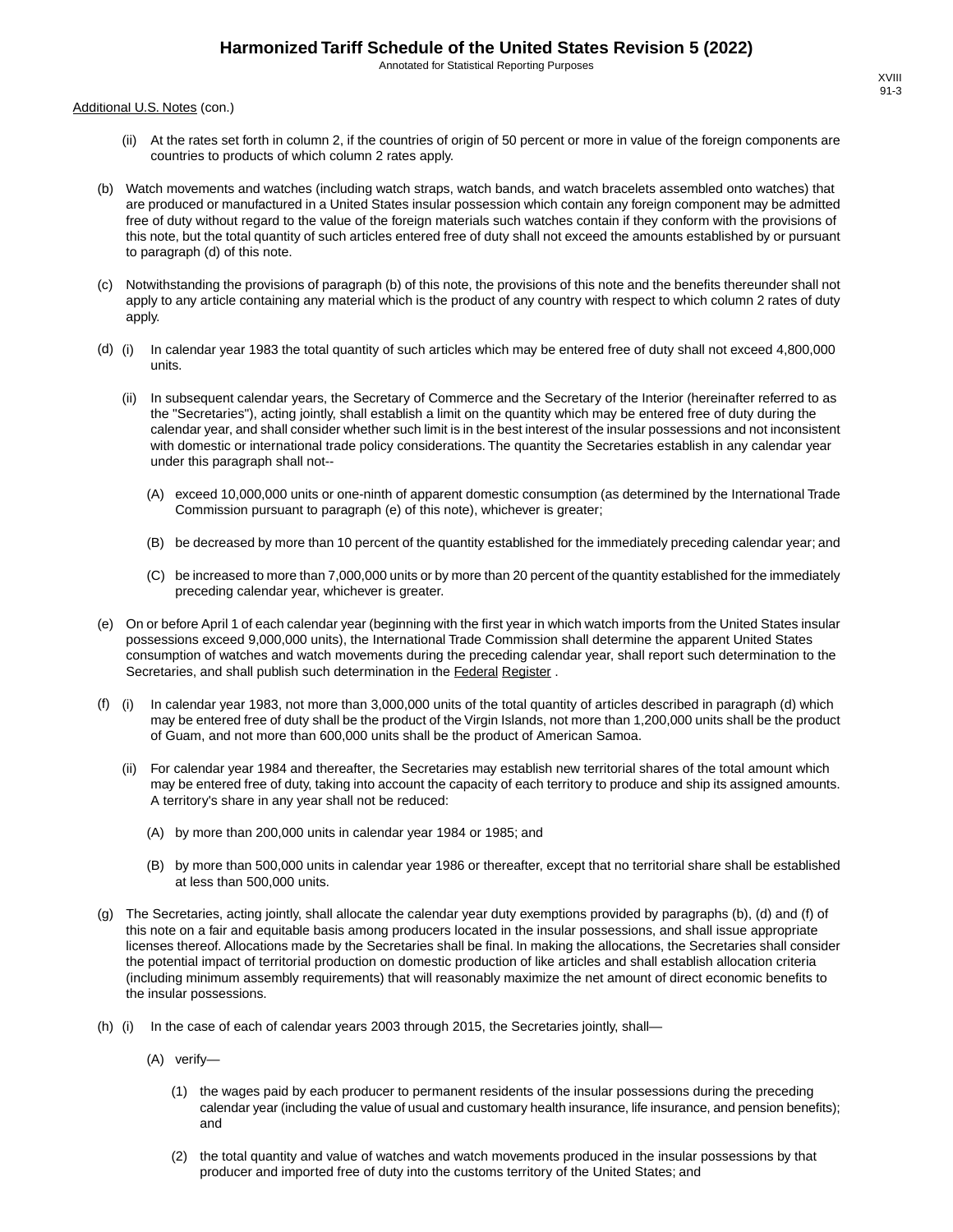Annotated for Statistical Reporting Purposes

Additional U.S. Notes (con.)

- (ii) At the rates set forth in column 2, if the countries of origin of 50 percent or more in value of the foreign components are countries to products of which column 2 rates apply.
- (b) Watch movements and watches (including watch straps, watch bands, and watch bracelets assembled onto watches) that are produced or manufactured in a United States insular possession which contain any foreign component may be admitted free of duty without regard to the value of the foreign materials such watches contain if they conform with the provisions of this note, but the total quantity of such articles entered free of duty shall not exceed the amounts established by or pursuant to paragraph (d) of this note.
- (c) Notwithstanding the provisions of paragraph (b) of this note, the provisions of this note and the benefits thereunder shall not apply to any article containing any material which is the product of any country with respect to which column 2 rates of duty apply.
- (d) (i) In calendar year 1983 the total quantity of such articles which may be entered free of duty shall not exceed 4,800,000 units.
	- (ii) In subsequent calendar years, the Secretary of Commerce and the Secretary of the Interior (hereinafter referred to as the "Secretaries"), acting jointly, shall establish a limit on the quantity which may be entered free of duty during the calendar year, and shall consider whether such limit is in the best interest of the insular possessions and not inconsistent with domestic or international trade policy considerations. The quantity the Secretaries establish in any calendar year under this paragraph shall not--
		- (A) exceed 10,000,000 units or one-ninth of apparent domestic consumption (as determined by the International Trade Commission pursuant to paragraph (e) of this note), whichever is greater;
		- (B) be decreased by more than 10 percent of the quantity established for the immediately preceding calendar year; and
		- (C) be increased to more than 7,000,000 units or by more than 20 percent of the quantity established for the immediately preceding calendar year, whichever is greater.
- (e) On or before April 1 of each calendar year (beginning with the first year in which watch imports from the United States insular possessions exceed 9,000,000 units), the International Trade Commission shall determine the apparent United States consumption of watches and watch movements during the preceding calendar year, shall report such determination to the Secretaries, and shall publish such determination in the Federal Register .
- (f) (i) In calendar year 1983, not more than 3,000,000 units of the total quantity of articles described in paragraph (d) which may be entered free of duty shall be the product of the Virgin Islands, not more than 1,200,000 units shall be the product of Guam, and not more than 600,000 units shall be the product of American Samoa.
	- (ii) For calendar year 1984 and thereafter, the Secretaries may establish new territorial shares of the total amount which may be entered free of duty, taking into account the capacity of each territory to produce and ship its assigned amounts. A territory's share in any year shall not be reduced:
		- (A) by more than 200,000 units in calendar year 1984 or 1985; and
		- (B) by more than 500,000 units in calendar year 1986 or thereafter, except that no territorial share shall be established at less than 500,000 units.
- (g) The Secretaries, acting jointly, shall allocate the calendar year duty exemptions provided by paragraphs (b), (d) and (f) of this note on a fair and equitable basis among producers located in the insular possessions, and shall issue appropriate licenses thereof. Allocations made by the Secretaries shall be final. In making the allocations, the Secretaries shall consider the potential impact of territorial production on domestic production of like articles and shall establish allocation criteria (including minimum assembly requirements) that will reasonably maximize the net amount of direct economic benefits to the insular possessions.
- (h) (i) In the case of each of calendar years 2003 through 2015, the Secretaries jointly, shall—
	- (A) verify—
		- (1) the wages paid by each producer to permanent residents of the insular possessions during the preceding calendar year (including the value of usual and customary health insurance, life insurance, and pension benefits); and
		- (2) the total quantity and value of watches and watch movements produced in the insular possessions by that producer and imported free of duty into the customs territory of the United States; and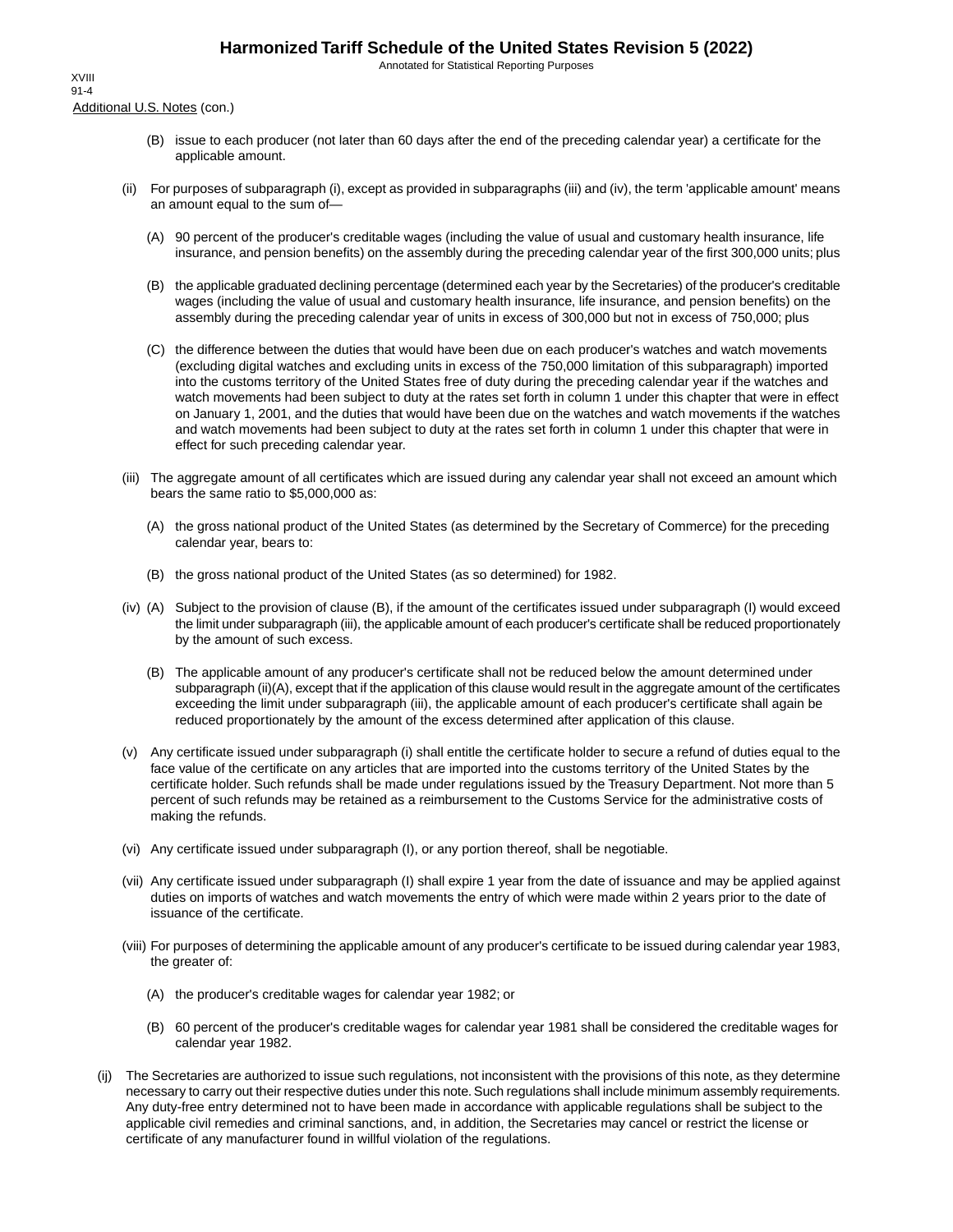Annotated for Statistical Reporting Purposes

Additional U.S. Notes (con.) XVIII 91-4

- (B) issue to each producer (not later than 60 days after the end of the preceding calendar year) a certificate for the applicable amount.
- (ii) For purposes of subparagraph (i), except as provided in subparagraphs (iii) and (iv), the term 'applicable amount' means an amount equal to the sum of—
	- (A) 90 percent of the producer's creditable wages (including the value of usual and customary health insurance, life insurance, and pension benefits) on the assembly during the preceding calendar year of the first 300,000 units; plus
	- (B) the applicable graduated declining percentage (determined each year by the Secretaries) of the producer's creditable wages (including the value of usual and customary health insurance, life insurance, and pension benefits) on the assembly during the preceding calendar year of units in excess of 300,000 but not in excess of 750,000; plus
	- (C) the difference between the duties that would have been due on each producer's watches and watch movements (excluding digital watches and excluding units in excess of the 750,000 limitation of this subparagraph) imported into the customs territory of the United States free of duty during the preceding calendar year if the watches and watch movements had been subject to duty at the rates set forth in column 1 under this chapter that were in effect on January 1, 2001, and the duties that would have been due on the watches and watch movements if the watches and watch movements had been subject to duty at the rates set forth in column 1 under this chapter that were in effect for such preceding calendar year.
- (iii) The aggregate amount of all certificates which are issued during any calendar year shall not exceed an amount which bears the same ratio to \$5,000,000 as:
	- (A) the gross national product of the United States (as determined by the Secretary of Commerce) for the preceding calendar year, bears to:
	- (B) the gross national product of the United States (as so determined) for 1982.
- (iv) (A) Subject to the provision of clause (B), if the amount of the certificates issued under subparagraph (I) would exceed the limit under subparagraph (iii), the applicable amount of each producer's certificate shall be reduced proportionately by the amount of such excess.
	- (B) The applicable amount of any producer's certificate shall not be reduced below the amount determined under subparagraph (ii)(A), except that if the application of this clause would result in the aggregate amount of the certificates exceeding the limit under subparagraph (iii), the applicable amount of each producer's certificate shall again be reduced proportionately by the amount of the excess determined after application of this clause.
- (v) Any certificate issued under subparagraph (i) shall entitle the certificate holder to secure a refund of duties equal to the face value of the certificate on any articles that are imported into the customs territory of the United States by the certificate holder. Such refunds shall be made under regulations issued by the Treasury Department. Not more than 5 percent of such refunds may be retained as a reimbursement to the Customs Service for the administrative costs of making the refunds.
- (vi) Any certificate issued under subparagraph (I), or any portion thereof, shall be negotiable.
- (vii) Any certificate issued under subparagraph (I) shall expire 1 year from the date of issuance and may be applied against duties on imports of watches and watch movements the entry of which were made within 2 years prior to the date of issuance of the certificate.
- (viii) For purposes of determining the applicable amount of any producer's certificate to be issued during calendar year 1983, the greater of:
	- (A) the producer's creditable wages for calendar year 1982; or
	- (B) 60 percent of the producer's creditable wages for calendar year 1981 shall be considered the creditable wages for calendar year 1982.
- (ij) The Secretaries are authorized to issue such regulations, not inconsistent with the provisions of this note, as they determine necessary to carry out their respective duties under this note. Such regulations shall include minimum assembly requirements. Any duty-free entry determined not to have been made in accordance with applicable regulations shall be subject to the applicable civil remedies and criminal sanctions, and, in addition, the Secretaries may cancel or restrict the license or certificate of any manufacturer found in willful violation of the regulations.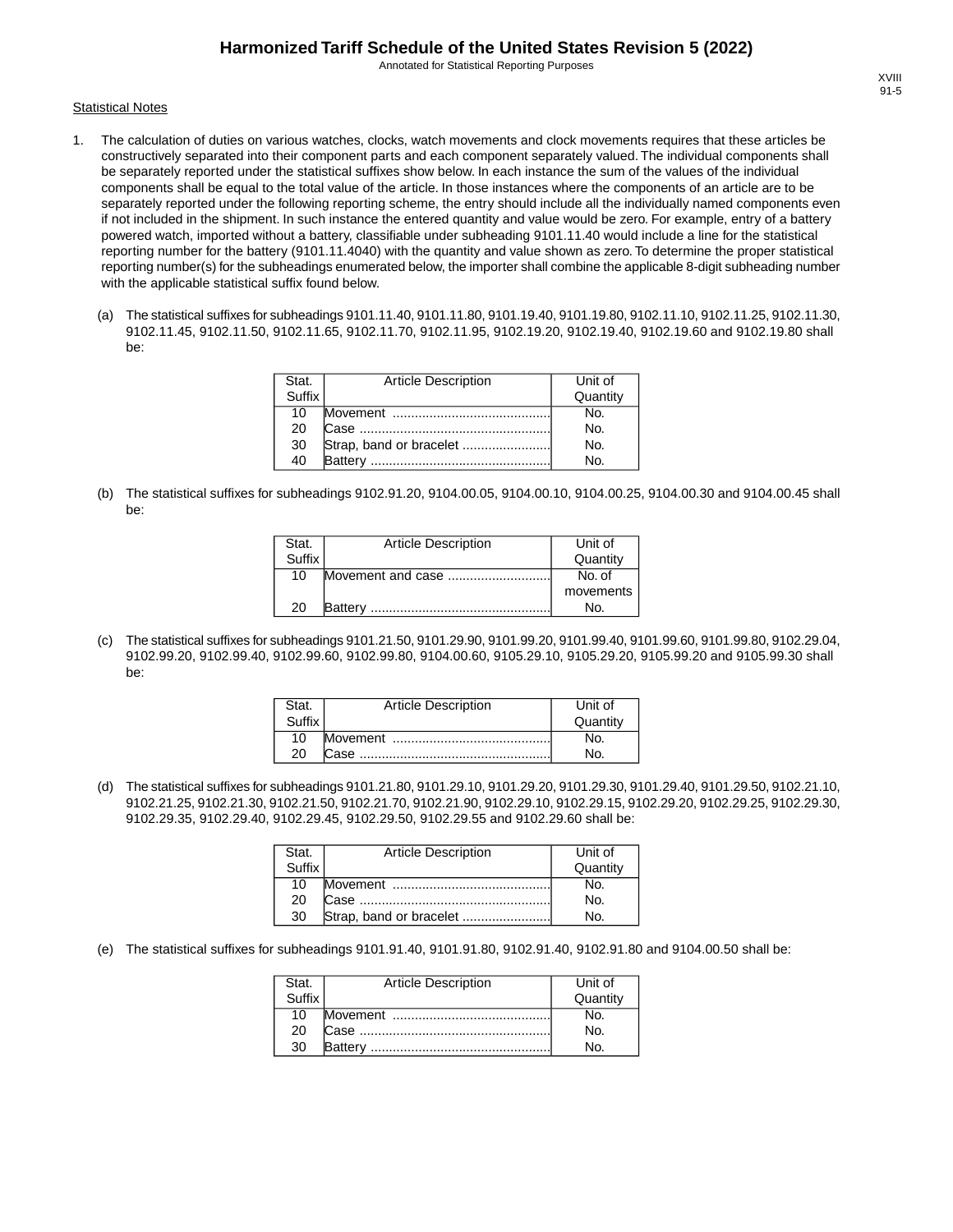Annotated for Statistical Reporting Purposes

#### **Statistical Notes**

- 1. The calculation of duties on various watches, clocks, watch movements and clock movements requires that these articles be constructively separated into their component parts and each component separately valued. The individual components shall be separately reported under the statistical suffixes show below. In each instance the sum of the values of the individual components shall be equal to the total value of the article. In those instances where the components of an article are to be separately reported under the following reporting scheme, the entry should include all the individually named components even if not included in the shipment. In such instance the entered quantity and value would be zero. For example, entry of a battery powered watch, imported without a battery, classifiable under subheading 9101.11.40 would include a line for the statistical reporting number for the battery (9101.11.4040) with the quantity and value shown as zero. To determine the proper statistical reporting number(s) for the subheadings enumerated below, the importer shall combine the applicable 8-digit subheading number with the applicable statistical suffix found below.
	- (a) The statistical suffixes for subheadings 9101.11.40, 9101.11.80, 9101.19.40, 9101.19.80, 9102.11.10, 9102.11.25, 9102.11.30, 9102.11.45, 9102.11.50, 9102.11.65, 9102.11.70, 9102.11.95, 9102.19.20, 9102.19.40, 9102.19.60 and 9102.19.80 shall be:

| Stat.  | <b>Article Description</b> | Unit of  |
|--------|----------------------------|----------|
| Suffix |                            | Quantity |
| 10     |                            | N٥.      |
| 20     |                            | No.      |
| 30     |                            | No.      |
| 40     | <b>Battery</b>             | No.      |

(b) The statistical suffixes for subheadings 9102.91.20, 9104.00.05, 9104.00.10, 9104.00.25, 9104.00.30 and 9104.00.45 shall be:

| Stat.  | <b>Article Description</b> | Unit of   |
|--------|----------------------------|-----------|
| Suffix |                            | Quantity  |
| 10     | Movement and case          | No. of    |
|        |                            | movements |
| 20     | <b>Battery</b>             | No.       |

(c) The statistical suffixes for subheadings 9101.21.50, 9101.29.90, 9101.99.20, 9101.99.40, 9101.99.60, 9101.99.80, 9102.29.04, 9102.99.20, 9102.99.40, 9102.99.60, 9102.99.80, 9104.00.60, 9105.29.10, 9105.29.20, 9105.99.20 and 9105.99.30 shall be:

| Stat.  | <b>Article Description</b> | Unit of  |
|--------|----------------------------|----------|
| Suffix |                            | Quantity |
| 10     |                            |          |
| 20     |                            |          |

(d) The statistical suffixes for subheadings 9101.21.80, 9101.29.10, 9101.29.20, 9101.29.30, 9101.29.40, 9101.29.50, 9102.21.10, 9102.21.25, 9102.21.30, 9102.21.50, 9102.21.70, 9102.21.90, 9102.29.10, 9102.29.15, 9102.29.20, 9102.29.25, 9102.29.30, 9102.29.35, 9102.29.40, 9102.29.45, 9102.29.50, 9102.29.55 and 9102.29.60 shall be:

| Stat.<br>Suffix | <b>Article Description</b> | Unit of  |
|-----------------|----------------------------|----------|
|                 |                            | Quantity |
| 10              |                            | No.      |
| 20              |                            | No.      |
| 30              | Strap, band or bracelet    | N٥       |

(e) The statistical suffixes for subheadings 9101.91.40, 9101.91.80, 9102.91.40, 9102.91.80 and 9104.00.50 shall be:

| Stat.  | <b>Article Description</b> | Unit of        |
|--------|----------------------------|----------------|
| Suffix |                            | Quantity       |
| 10     |                            | No.            |
| 20     |                            | N <sub>O</sub> |
| 30     |                            | N٥             |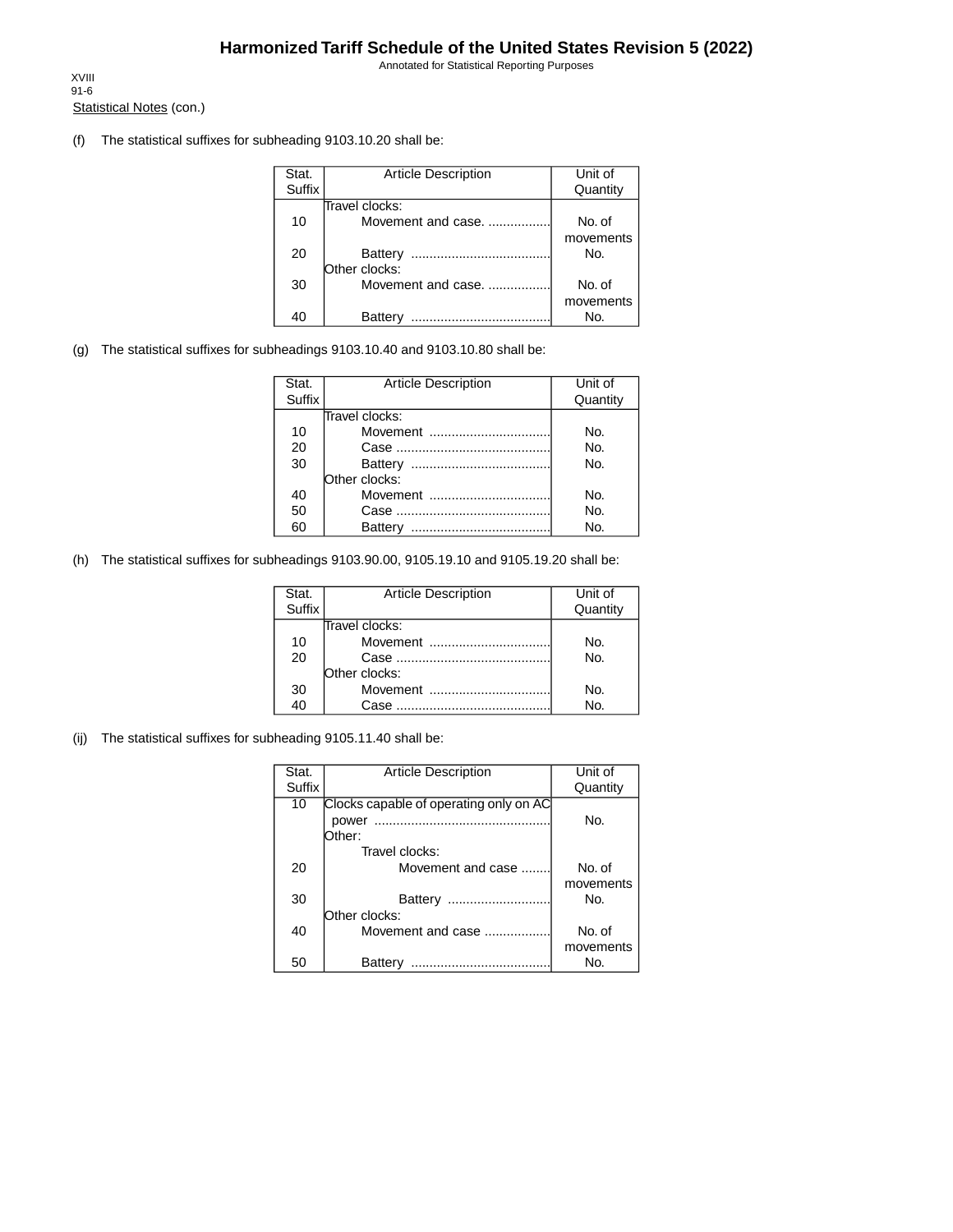Annotated for Statistical Reporting Purposes

Statistical Notes (con.) XVIII 91-6

(f) The statistical suffixes for subheading 9103.10.20 shall be:

| Stat.         | <b>Article Description</b> | Unit of   |
|---------------|----------------------------|-----------|
| <b>Suffix</b> |                            | Quantity  |
|               | Travel clocks:             |           |
| 10            | Movement and case.         | No. of    |
|               |                            | movements |
| 20            | Battery                    | No.       |
|               | Other clocks:              |           |
| 30            | Movement and case.         | No. of    |
|               |                            | movements |
|               | Batterv                    | Nο.       |

(g) The statistical suffixes for subheadings 9103.10.40 and 9103.10.80 shall be:

| Stat.  | <b>Article Description</b> | Unit of  |
|--------|----------------------------|----------|
| Suffix |                            | Quantity |
|        | Travel clocks:             |          |
| 10     | Movement                   | No.      |
| 20     |                            | No.      |
| 30     |                            | No.      |
|        | Other clocks:              |          |
| 40     | Movement                   | No.      |
| 50     |                            | No.      |
| 60     | Battery                    | No.      |

(h) The statistical suffixes for subheadings 9103.90.00, 9105.19.10 and 9105.19.20 shall be:

| Stat.<br>Suffix | <b>Article Description</b> | Unit of<br>Quantity |
|-----------------|----------------------------|---------------------|
|                 | Travel clocks:             |                     |
| 10              | Movement                   | No.                 |
| 20              |                            | No.                 |
|                 | Other clocks:              |                     |
| 30              | Movement                   | No.                 |
| 40              | Case                       | No.                 |

(ij) The statistical suffixes for subheading 9105.11.40 shall be:

| Stat.  | <b>Article Description</b>             | Unit of   |
|--------|----------------------------------------|-----------|
| Suffix |                                        | Quantity  |
| 10     | Clocks capable of operating only on AC |           |
|        | power                                  | No.       |
|        | Dther:                                 |           |
|        | Travel clocks:                         |           |
| 20     | Movement and case                      | No. of    |
|        |                                        | movements |
| 30     | Battery<br>                            | No.       |
|        | Other clocks:                          |           |
| 40     | Movement and case                      | No. of    |
|        |                                        | movements |
| 50     | Battery<br>                            | No.       |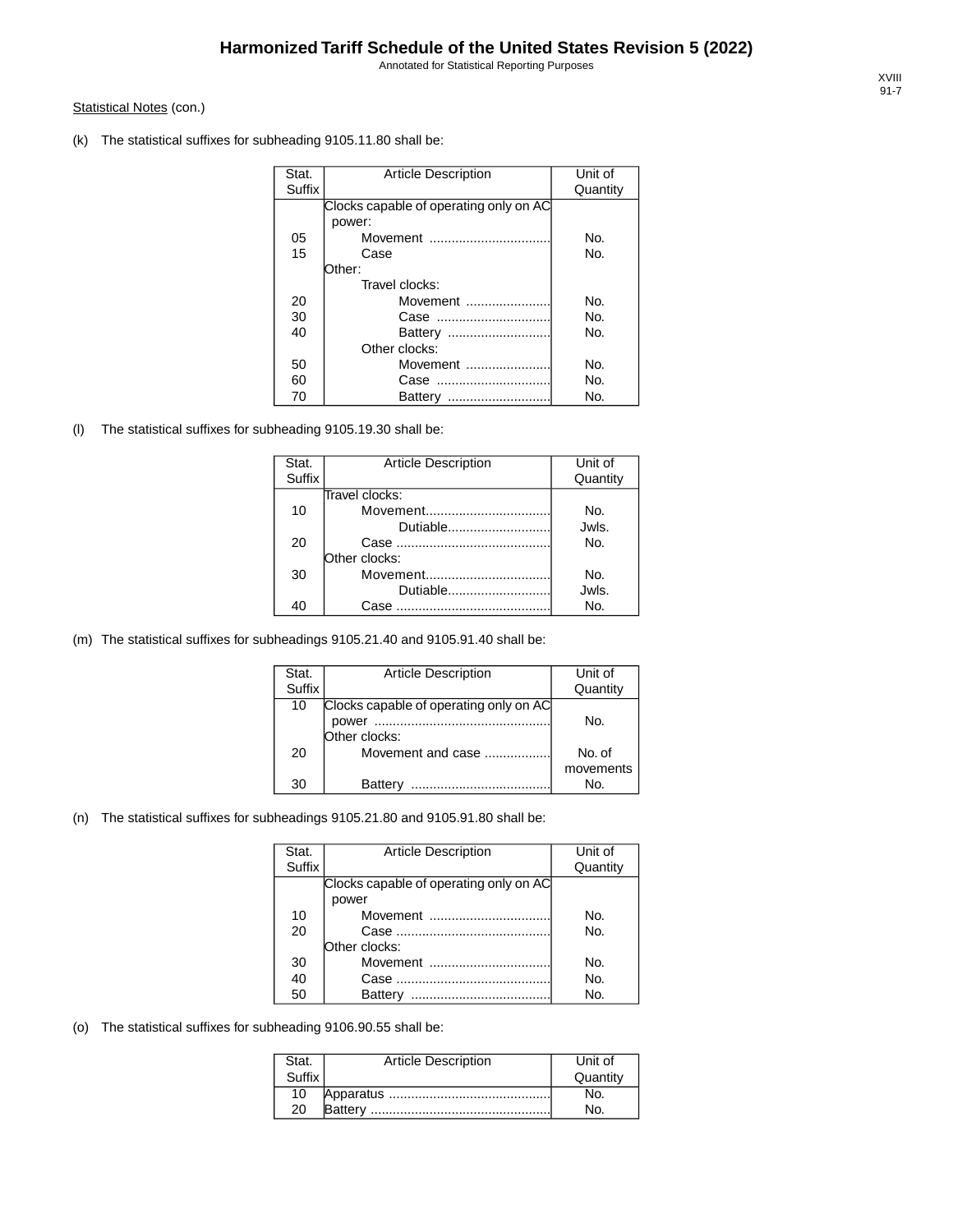Annotated for Statistical Reporting Purposes

#### Statistical Notes (con.)

(k) The statistical suffixes for subheading 9105.11.80 shall be:

| Stat.         | <b>Article Description</b>             | Unit of  |
|---------------|----------------------------------------|----------|
| <b>Suffix</b> |                                        | Quantity |
|               | Clocks capable of operating only on AC |          |
|               | power:                                 |          |
| 05            | Movement                               | No.      |
| 15            | Case                                   | No.      |
|               | Other:                                 |          |
|               | Travel clocks:                         |          |
| 20            | Movement                               | No.      |
| 30            | Case                                   | No.      |
| 40            | Battery                                | No.      |
|               | Other clocks:                          |          |
| 50            | Movement                               | No.      |
| 60            | Case                                   | No.      |
| 70            | Battery                                | No.      |

(l) The statistical suffixes for subheading 9105.19.30 shall be:

| Stat.  | <b>Article Description</b> | Unit of  |
|--------|----------------------------|----------|
| Suffix |                            | Quantity |
|        | Travel clocks:             |          |
| 10     | Movement                   | No.      |
|        | Dutiable                   | Jwls.    |
| 20     |                            | No.      |
|        | Other clocks:              |          |
| 30     | Movement                   | No.      |
|        | Dutiable                   | Jwls.    |
| 40     | Case                       | No.      |

(m) The statistical suffixes for subheadings 9105.21.40 and 9105.91.40 shall be:

| Stat.  | <b>Article Description</b>             | Unit of   |
|--------|----------------------------------------|-----------|
| Suffix |                                        | Quantity  |
| 10     | Clocks capable of operating only on AC |           |
|        | power                                  | No.       |
|        | Other clocks:                          |           |
| 20     | Movement and case                      | No. of    |
|        |                                        | movements |
| 30     | Battery                                | No.       |

#### (n) The statistical suffixes for subheadings 9105.21.80 and 9105.91.80 shall be:

| Stat.         | <b>Article Description</b>             | Unit of  |
|---------------|----------------------------------------|----------|
| <b>Suffix</b> |                                        | Quantity |
|               | Clocks capable of operating only on AC |          |
|               | power                                  |          |
| 10            | Movement                               | No.      |
| 20            |                                        | No.      |
|               | Other clocks:                          |          |
| 30            | Movement                               | No.      |
| 40            |                                        | No.      |
| 50            | Battery                                | Nο.      |

(o) The statistical suffixes for subheading 9106.90.55 shall be:

| Stat.  | <b>Article Description</b> | Unit of  |
|--------|----------------------------|----------|
| Suffix |                            | Quantity |
| 10     |                            |          |
| 20     |                            |          |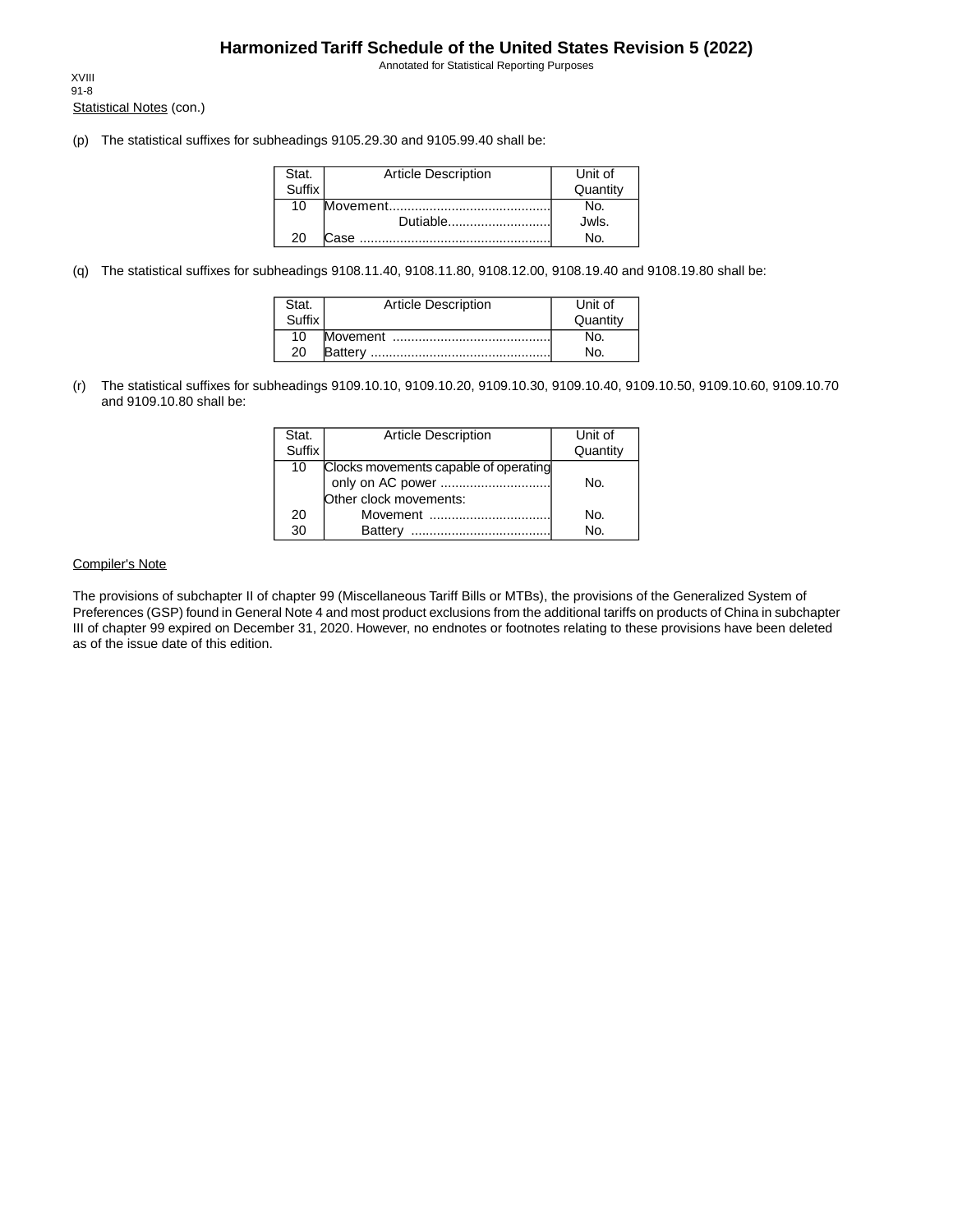Annotated for Statistical Reporting Purposes

Statistical Notes (con.) XVIII 91-8

(p) The statistical suffixes for subheadings 9105.29.30 and 9105.99.40 shall be:

| Stat.         | <b>Article Description</b> | Unit of  |
|---------------|----------------------------|----------|
| <b>Suffix</b> |                            | Quantity |
| 10            |                            | No.      |
|               |                            | Jwls.    |
| 20            |                            | No.      |

(q) The statistical suffixes for subheadings 9108.11.40, 9108.11.80, 9108.12.00, 9108.19.40 and 9108.19.80 shall be:

| Stat.  | <b>Article Description</b> | Unit of  |
|--------|----------------------------|----------|
| Suffix |                            | Quantity |
| 10     |                            | N۵       |
| 20     |                            | No.      |

(r) The statistical suffixes for subheadings 9109.10.10, 9109.10.20, 9109.10.30, 9109.10.40, 9109.10.50, 9109.10.60, 9109.10.70 and 9109.10.80 shall be:

| Stat.         | <b>Article Description</b>            | Unit of  |
|---------------|---------------------------------------|----------|
| <b>Suffix</b> |                                       | Quantity |
| 10            | Clocks movements capable of operating |          |
|               | only on AC power                      | No.      |
|               | Other clock movements:                |          |
| 20            | Movement                              | No.      |
| 30            | <b>Battery</b>                        | No.      |

#### Compiler's Note

The provisions of subchapter II of chapter 99 (Miscellaneous Tariff Bills or MTBs), the provisions of the Generalized System of Preferences (GSP) found in General Note 4 and most product exclusions from the additional tariffs on products of China in subchapter III of chapter 99 expired on December 31, 2020. However, no endnotes or footnotes relating to these provisions have been deleted as of the issue date of this edition.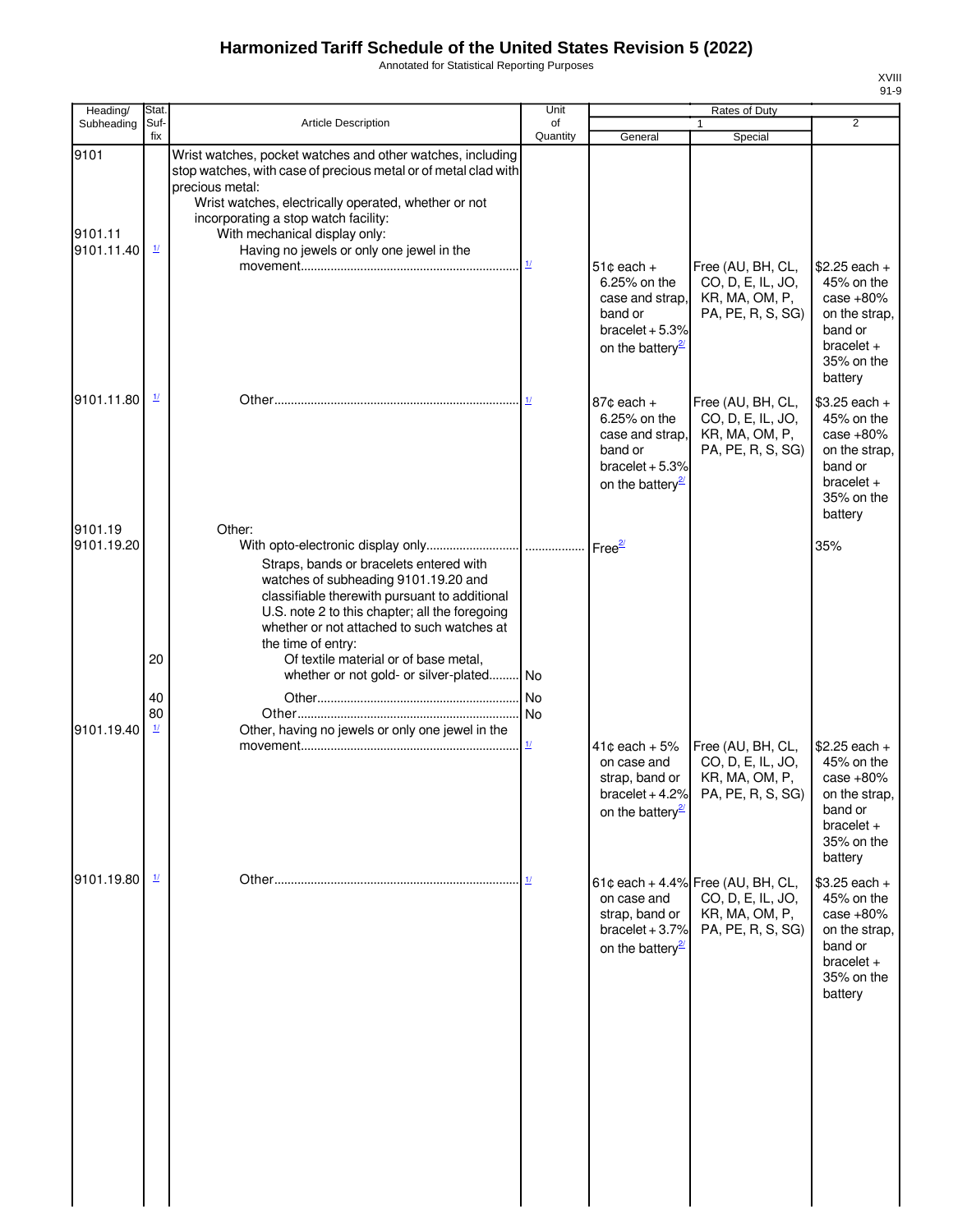Annotated for Statistical Reporting Purposes

| Stat.                                               |                                                                                                                                                                                                                                                                                                 | Unit                                                                                                    |                                                                                                                              | Rates of Duty                                            |                                                                                                                                                                           |
|-----------------------------------------------------|-------------------------------------------------------------------------------------------------------------------------------------------------------------------------------------------------------------------------------------------------------------------------------------------------|---------------------------------------------------------------------------------------------------------|------------------------------------------------------------------------------------------------------------------------------|----------------------------------------------------------|---------------------------------------------------------------------------------------------------------------------------------------------------------------------------|
| fix                                                 |                                                                                                                                                                                                                                                                                                 | Quantity                                                                                                | General                                                                                                                      | Special                                                  | $\overline{2}$                                                                                                                                                            |
| 9101.11.40<br>$\frac{1}{2}$                         | Wrist watches, pocket watches and other watches, including<br>precious metal:<br>Wrist watches, electrically operated, whether or not<br>incorporating a stop watch facility:<br>With mechanical display only:<br>Having no jewels or only one jewel in the                                     |                                                                                                         |                                                                                                                              |                                                          |                                                                                                                                                                           |
|                                                     |                                                                                                                                                                                                                                                                                                 |                                                                                                         | 6.25% on the<br>case and strap,<br>band or<br>bracelet $+5.3%$<br>on the battery <sup>2</sup>                                | CO, D, E, IL, JO,<br>KR, MA, OM, P,<br>PA, PE, R, S, SG) | $$2.25$ each +<br>45% on the<br>case $+80%$<br>on the strap,<br>band or<br>$bracelet +$<br>35% on the<br>battery                                                          |
| 9101.11.80<br>$\frac{1}{2}$                         |                                                                                                                                                                                                                                                                                                 |                                                                                                         | $87¢$ each $+$<br>6.25% on the<br>case and strap,<br>band or<br>on the battery <sup>27</sup>                                 | CO, D, E, IL, JO,<br>KR, MA, OM, P,<br>PA, PE, R, S, SG) | $$3.25$ each +<br>45% on the<br>case $+80%$<br>on the strap,<br>band or<br>$bracelet +$<br>35% on the<br>battery                                                          |
| 20                                                  | Straps, bands or bracelets entered with<br>watches of subheading 9101.19.20 and<br>classifiable therewith pursuant to additional<br>U.S. note 2 to this chapter; all the foregoing<br>whether or not attached to such watches at<br>the time of entry:<br>Of textile material or of base metal, |                                                                                                         |                                                                                                                              |                                                          | 35%                                                                                                                                                                       |
|                                                     |                                                                                                                                                                                                                                                                                                 |                                                                                                         |                                                                                                                              |                                                          |                                                                                                                                                                           |
| 40                                                  |                                                                                                                                                                                                                                                                                                 |                                                                                                         |                                                                                                                              |                                                          |                                                                                                                                                                           |
| $\mathbf{\underline{1}\underline{1}}$<br>9101.19.40 | Other, having no jewels or only one jewel in the                                                                                                                                                                                                                                                | $\frac{1}{2}$                                                                                           | $41¢$ each + $5%$<br>on case and<br>strap, band or<br>on the battery <sup>27</sup>                                           | CO, D, E, IL, JO,<br>KR, MA, OM, P,                      | $$2.25$ each +<br>45% on the<br>case $+80%$<br>on the strap,<br>band or<br>$bracelet +$<br>35% on the<br>battery                                                          |
| 9101.19.80<br>$\mathbf{\underline{1}}$              |                                                                                                                                                                                                                                                                                                 |                                                                                                         | on case and<br>strap, band or<br>bracelet $+3.7%$<br>on the battery <sup>27</sup>                                            | CO, D, E, IL, JO,<br>KR, MA, OM, P,<br>PA, PE, R, S, SG) | \$3.25 each +<br>45% on the<br>case $+80%$<br>on the strap,<br>band or<br>$bracelet +$<br>35% on the<br>battery                                                           |
|                                                     | Suf-<br>80                                                                                                                                                                                                                                                                                      | <b>Article Description</b><br>stop watches, with case of precious metal or of metal clad with<br>Other: | of<br>$\underline{\mathbf{1}\mathbf{\ell}}$<br>1/<br>whether or not gold- or silver-plated No<br>N <sub>o</sub><br><b>No</b> | $51¢$ each +                                             | $\mathbf{1}$<br>Free (AU, BH, CL,<br>Free (AU, BH, CL,<br>bracelet $+5.3%$<br>Free (AU, BH, CL,<br>bracelet + 4.2% PA, PE, R, S, SG)<br>61¢ each + 4.4% Free (AU, BH, CL, |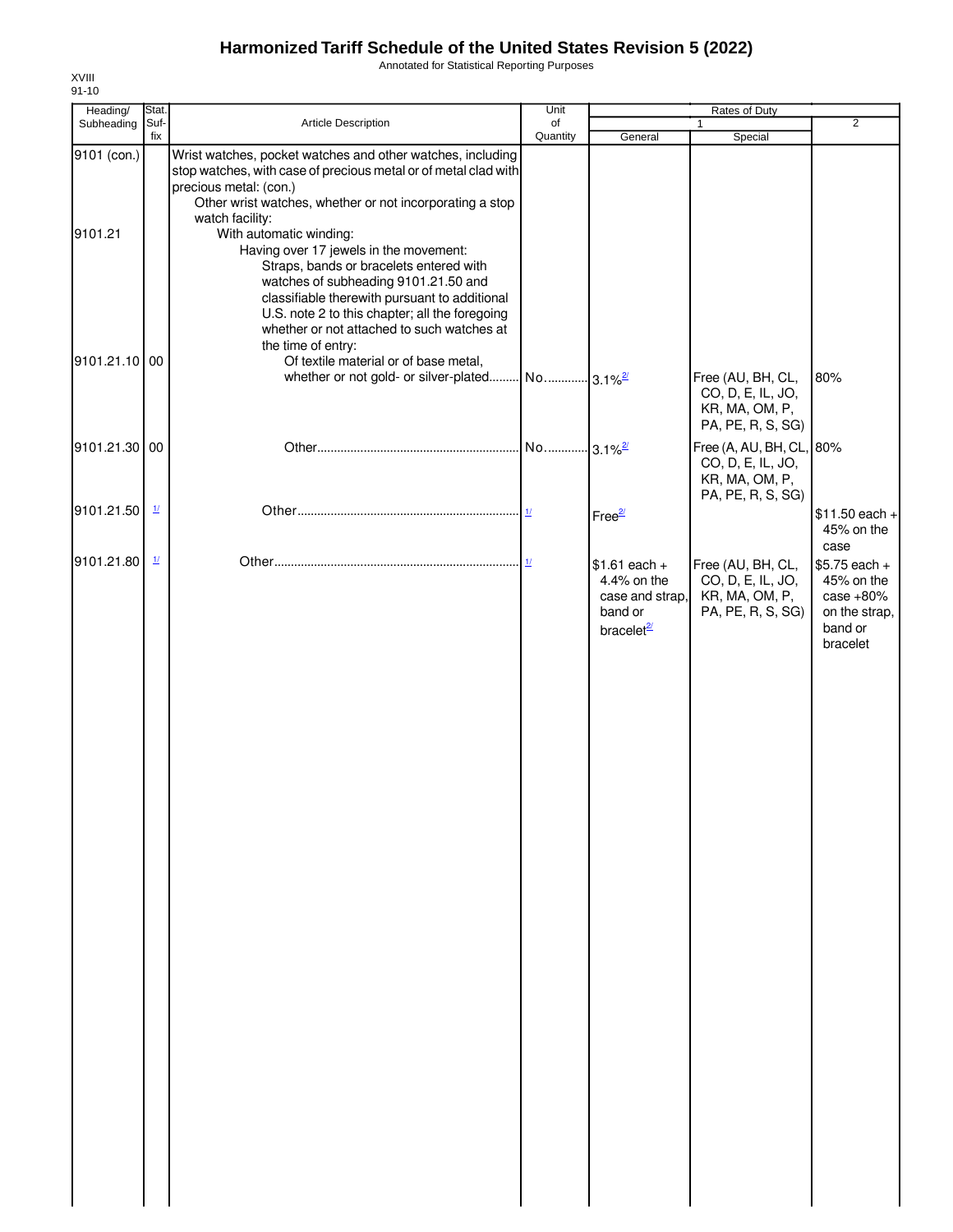Annotated for Statistical Reporting Purposes

| Heading/               | Stat.                    |                                                                                                                                                                                                                                                                                                                                                                                                                                                 | Unit                     |                                                                                       | Rates of Duty                                                                        |                                                                                    |
|------------------------|--------------------------|-------------------------------------------------------------------------------------------------------------------------------------------------------------------------------------------------------------------------------------------------------------------------------------------------------------------------------------------------------------------------------------------------------------------------------------------------|--------------------------|---------------------------------------------------------------------------------------|--------------------------------------------------------------------------------------|------------------------------------------------------------------------------------|
| Subheading             | Suf-<br>fix              | Article Description                                                                                                                                                                                                                                                                                                                                                                                                                             | of<br>Quantity           | General                                                                               | Special                                                                              | $\overline{2}$                                                                     |
| 9101 (con.)<br>9101.21 |                          | Wrist watches, pocket watches and other watches, including<br>stop watches, with case of precious metal or of metal clad with<br>precious metal: (con.)<br>Other wrist watches, whether or not incorporating a stop<br>watch facility:<br>With automatic winding:<br>Having over 17 jewels in the movement:<br>Straps, bands or bracelets entered with<br>watches of subheading 9101.21.50 and<br>classifiable therewith pursuant to additional |                          |                                                                                       |                                                                                      |                                                                                    |
| 9101.21.10 00          |                          | U.S. note 2 to this chapter; all the foregoing<br>whether or not attached to such watches at<br>the time of entry:<br>Of textile material or of base metal,<br>whether or not gold- or silver-plated                                                                                                                                                                                                                                            | No  3.1% <sup>2/</sup>   |                                                                                       | Free (AU, BH, CL,<br>CO, D, E, IL, JO,<br>KR, MA, OM, P,<br>PA, PE, R, S, SG)        | 80%                                                                                |
| 9101.21.30 00          |                          |                                                                                                                                                                                                                                                                                                                                                                                                                                                 | No 3.1% <sup>2/</sup>    |                                                                                       | Free (A, AU, BH, CL, 80%<br>CO, D, E, IL, JO,<br>KR, MA, OM, P,<br>PA, PE, R, S, SG) |                                                                                    |
| 9101.21.50             | $\frac{1}{2}$            |                                                                                                                                                                                                                                                                                                                                                                                                                                                 | $\mathbf{\underline{1}}$ | Free <sup>2/</sup>                                                                    |                                                                                      | $$11.50$ each +<br>45% on the<br>case                                              |
| 9101.21.80             | $\mathbf{\underline{1}}$ |                                                                                                                                                                                                                                                                                                                                                                                                                                                 |                          | $$1.61$ each +<br>4.4% on the<br>case and strap,<br>band or<br>bracelet <sup>2/</sup> | Free (AU, BH, CL,<br>CO, D, E, IL, JO,<br>KR, MA, OM, P,<br>PA, PE, R, S, SG)        | \$5.75 each +<br>45% on the<br>case $+80%$<br>on the strap,<br>band or<br>bracelet |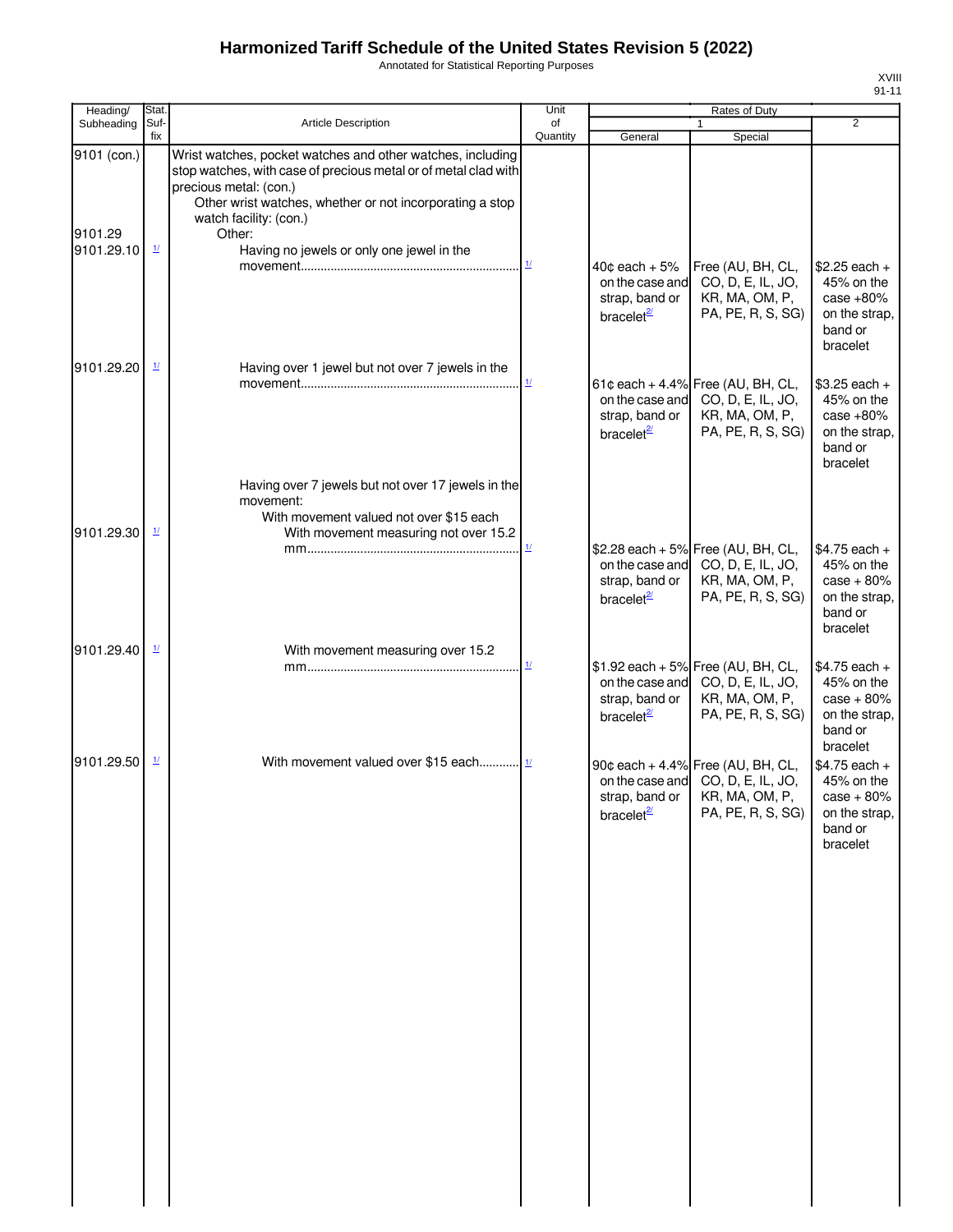Annotated for Statistical Reporting Purposes

| Heading/               | Stat.                    |                                                                                                                                                                                                                                                         | Unit                     |                                                                                  | Rates of Duty                                                                                                                  |                                                                                                  |
|------------------------|--------------------------|---------------------------------------------------------------------------------------------------------------------------------------------------------------------------------------------------------------------------------------------------------|--------------------------|----------------------------------------------------------------------------------|--------------------------------------------------------------------------------------------------------------------------------|--------------------------------------------------------------------------------------------------|
| Subheading             | Suf-<br>fix              | <b>Article Description</b>                                                                                                                                                                                                                              | of<br>Quantity           | General                                                                          | 1<br>Special                                                                                                                   | $\overline{2}$                                                                                   |
| 9101 (con.)<br>9101.29 |                          | Wrist watches, pocket watches and other watches, including<br>stop watches, with case of precious metal or of metal clad with<br>precious metal: (con.)<br>Other wrist watches, whether or not incorporating a stop<br>watch facility: (con.)<br>Other: |                          |                                                                                  |                                                                                                                                |                                                                                                  |
| 9101.29.10             | $\frac{1}{2}$            | Having no jewels or only one jewel in the                                                                                                                                                                                                               | $\mathbf{\underline{1}}$ | $40¢$ each $+5\%$<br>on the case and<br>strap, band or<br>bracelet $\frac{2}{2}$ | Free (AU, BH, CL,<br>CO, D, E, IL, JO,<br>KR, MA, OM, P,<br>PA, PE, R, S, SG)                                                  | $$2.25$ each +<br>45% on the<br>case $+80%$<br>on the strap,<br>band or<br>bracelet              |
| 9101.29.20             | $\mathbf{\underline{1}}$ | Having over 1 jewel but not over 7 jewels in the                                                                                                                                                                                                        | 1/                       | on the case and<br>strap, band or<br>bracelet $\frac{2}{2}$                      | 61¢ each + 4.4% Free (AU, BH, CL,<br>CO, D, E, IL, JO,<br>KR, MA, OM, P,<br>PA, PE, R, S, SG)                                  | $$3.25$ each +<br>45% on the<br>case $+80%$<br>on the strap,<br>band or<br>bracelet              |
| 9101.29.30             | $\frac{1}{2}$            | Having over 7 jewels but not over 17 jewels in the<br>movement:<br>With movement valued not over \$15 each<br>With movement measuring not over 15.2                                                                                                     |                          | on the case and<br>strap, band or<br>bracelet $\frac{2}{2}$                      | \$2.28 each + 5% Free (AU, BH, CL,<br>CO, D, E, IL, JO,<br>KR, MA, OM, P,<br>PA, PE, R, S, SG)                                 | $$4.75$ each +<br>45% on the<br>$case + 80\%$<br>on the strap,<br>band or<br>bracelet            |
| 9101.29.40             | $\frac{1}{2}$            | With movement measuring over 15.2                                                                                                                                                                                                                       | $\frac{1}{2}$            | on the case and<br>strap, band or<br>bracelet $\frac{2}{2}$                      | \$1.92 each + 5% Free (AU, BH, CL,<br>CO, D, E, IL, JO,<br>KR, MA, OM, P,<br>PA, PE, R, S, SG)                                 | $$4.75$ each +<br>45% on the<br>$case + 80%$<br>on the strap,<br>band or                         |
| 9101.29.50             | $\frac{1}{2}$            | With movement valued over \$15 each $\frac{1}{1}$                                                                                                                                                                                                       |                          | bracelet <sup>2/</sup>                                                           | 90¢ each + 4.4% Free (AU, BH, CL,<br>on the case and CO, D, E, IL, JO,<br>strap, band or   KR, MA, OM, P,<br>PA, PE, R, S, SG) | bracelet<br>$$4.75$ each +<br>45% on the<br>$case + 80%$<br>on the strap,<br>band or<br>bracelet |
|                        |                          |                                                                                                                                                                                                                                                         |                          |                                                                                  |                                                                                                                                |                                                                                                  |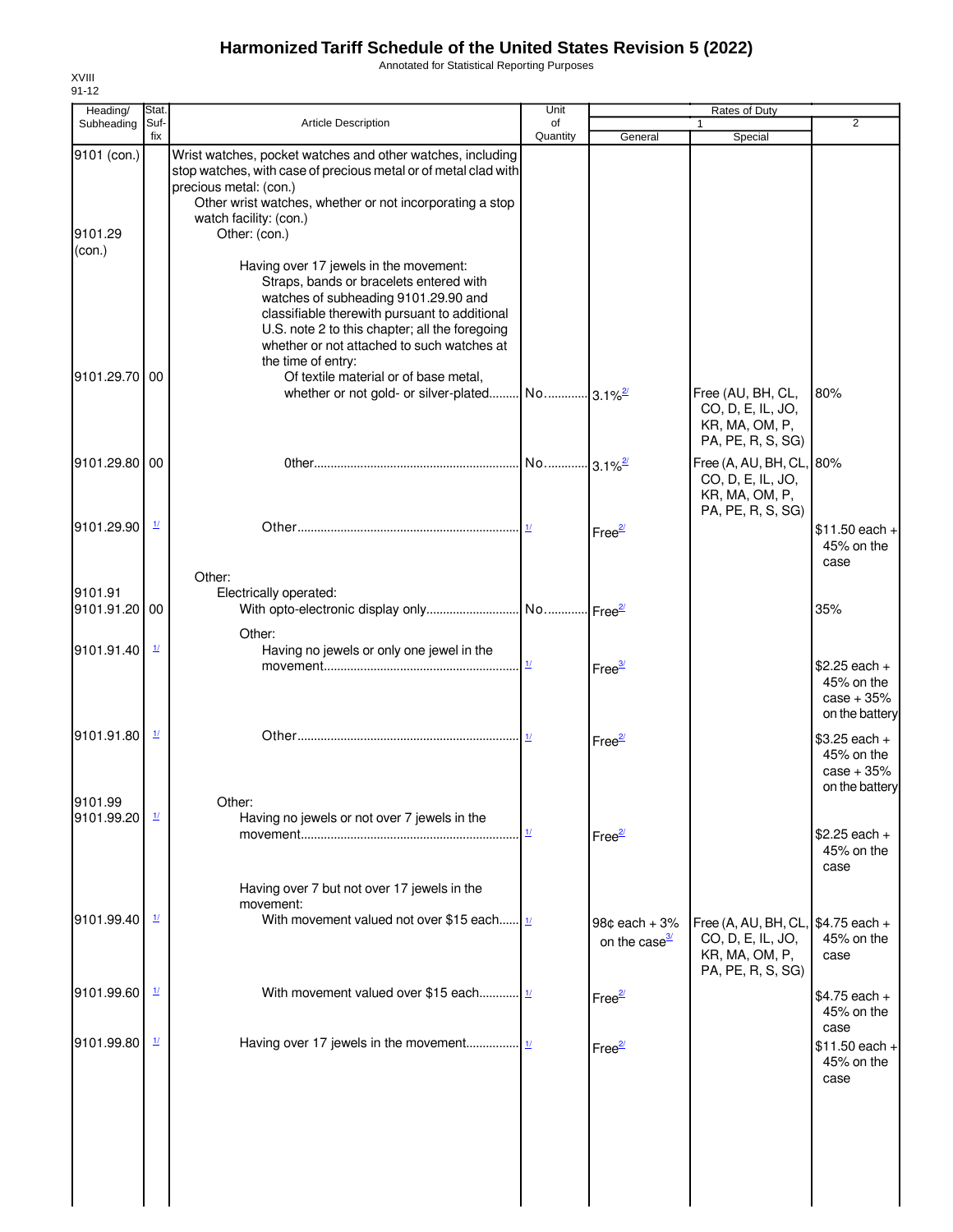Annotated for Statistical Reporting Purposes

| Heading/                         | Stat.                    |                                                                                                                                                                                                                                                                                                  | Unit                     |                                            | Rates of Duty                                                                                  |                                                                |
|----------------------------------|--------------------------|--------------------------------------------------------------------------------------------------------------------------------------------------------------------------------------------------------------------------------------------------------------------------------------------------|--------------------------|--------------------------------------------|------------------------------------------------------------------------------------------------|----------------------------------------------------------------|
| Subheading                       | Suf-<br>fix              | <b>Article Description</b>                                                                                                                                                                                                                                                                       | of<br>Quantity           | General                                    | 1<br>Special                                                                                   | $\overline{2}$                                                 |
| 9101 (con.)<br>9101.29<br>(con.) |                          | Wrist watches, pocket watches and other watches, including<br>stop watches, with case of precious metal or of metal clad with<br>precious metal: (con.)<br>Other wrist watches, whether or not incorporating a stop<br>watch facility: (con.)<br>Other: (con.)                                   |                          |                                            |                                                                                                |                                                                |
|                                  |                          | Having over 17 jewels in the movement:<br>Straps, bands or bracelets entered with<br>watches of subheading 9101.29.90 and<br>classifiable therewith pursuant to additional<br>U.S. note 2 to this chapter; all the foregoing<br>whether or not attached to such watches at<br>the time of entry: |                          |                                            |                                                                                                |                                                                |
| 9101.29.70 00                    |                          | Of textile material or of base metal,<br>whether or not gold- or silver-plated                                                                                                                                                                                                                   | No 3.1% <sup>2/21</sup>  |                                            | Free (AU, BH, CL,<br>CO, D, E, IL, JO,<br>KR, MA, OM, P,<br>PA, PE, R, S, SG)                  | 80%                                                            |
| 9101.29.80 00                    |                          |                                                                                                                                                                                                                                                                                                  | No 3.1% <sup>2/21</sup>  |                                            | Free (A, AU, BH, CL, 80%<br>CO, D, E, IL, JO,<br>KR, MA, OM, P,<br>PA, PE, R, S, SG)           |                                                                |
| 9101.29.90                       | $\overline{\mathbf{1}l}$ |                                                                                                                                                                                                                                                                                                  |                          | Free <sup>2/</sup>                         |                                                                                                | $$11.50$ each +<br>45% on the<br>case                          |
| 9101.91<br>9101.91.20 00         |                          | Other:<br>Electrically operated:                                                                                                                                                                                                                                                                 |                          |                                            |                                                                                                | 35%                                                            |
| 9101.91.40                       | $\mathbf{\underline{1}}$ | Other:<br>Having no jewels or only one jewel in the                                                                                                                                                                                                                                              | $\mathbf{\underline{1}}$ | Free $\frac{3}{2}$                         |                                                                                                | $$2.25$ each +<br>45% on the<br>$case + 35%$<br>on the battery |
| 9101.91.80                       | $\frac{1}{2}$            |                                                                                                                                                                                                                                                                                                  |                          | Free <sup>2/</sup>                         |                                                                                                | $$3.25$ each +<br>45% on the<br>$case + 35%$<br>on the battery |
| 9101.99<br>9101.99.20            | $\frac{1}{2}$            | Other:<br>Having no jewels or not over 7 jewels in the                                                                                                                                                                                                                                           | $\mathbf{\underline{1}}$ | Free <sup>2/</sup>                         |                                                                                                | $$2.25$ each +<br>45% on the<br>case                           |
| 9101.99.40                       | $\mathbf{\underline{1}}$ | Having over 7 but not over 17 jewels in the<br>movement:<br>With movement valued not over \$15 each $\frac{1}{1}$                                                                                                                                                                                |                          |                                            |                                                                                                |                                                                |
|                                  |                          |                                                                                                                                                                                                                                                                                                  |                          | 98¢ each + 3%<br>on the case <sup>3/</sup> | Free (A, AU, BH, CL, \$4.75 each +<br>CO, D, E, IL, JO,<br>KR, MA, OM, P,<br>PA, PE, R, S, SG) | 45% on the<br>case                                             |
| 9101.99.60                       | $\mathbf{\underline{1}}$ | With movement valued over \$15 each $\frac{1}{1}$                                                                                                                                                                                                                                                |                          | Free <sup>2/</sup>                         |                                                                                                | $$4.75$ each +<br>45% on the<br>case                           |
| 9101.99.80                       | <u>1/</u>                |                                                                                                                                                                                                                                                                                                  |                          | Free $\frac{27}{2}$                        |                                                                                                | $$11.50$ each +<br>45% on the<br>case                          |
|                                  |                          |                                                                                                                                                                                                                                                                                                  |                          |                                            |                                                                                                |                                                                |
|                                  |                          |                                                                                                                                                                                                                                                                                                  |                          |                                            |                                                                                                |                                                                |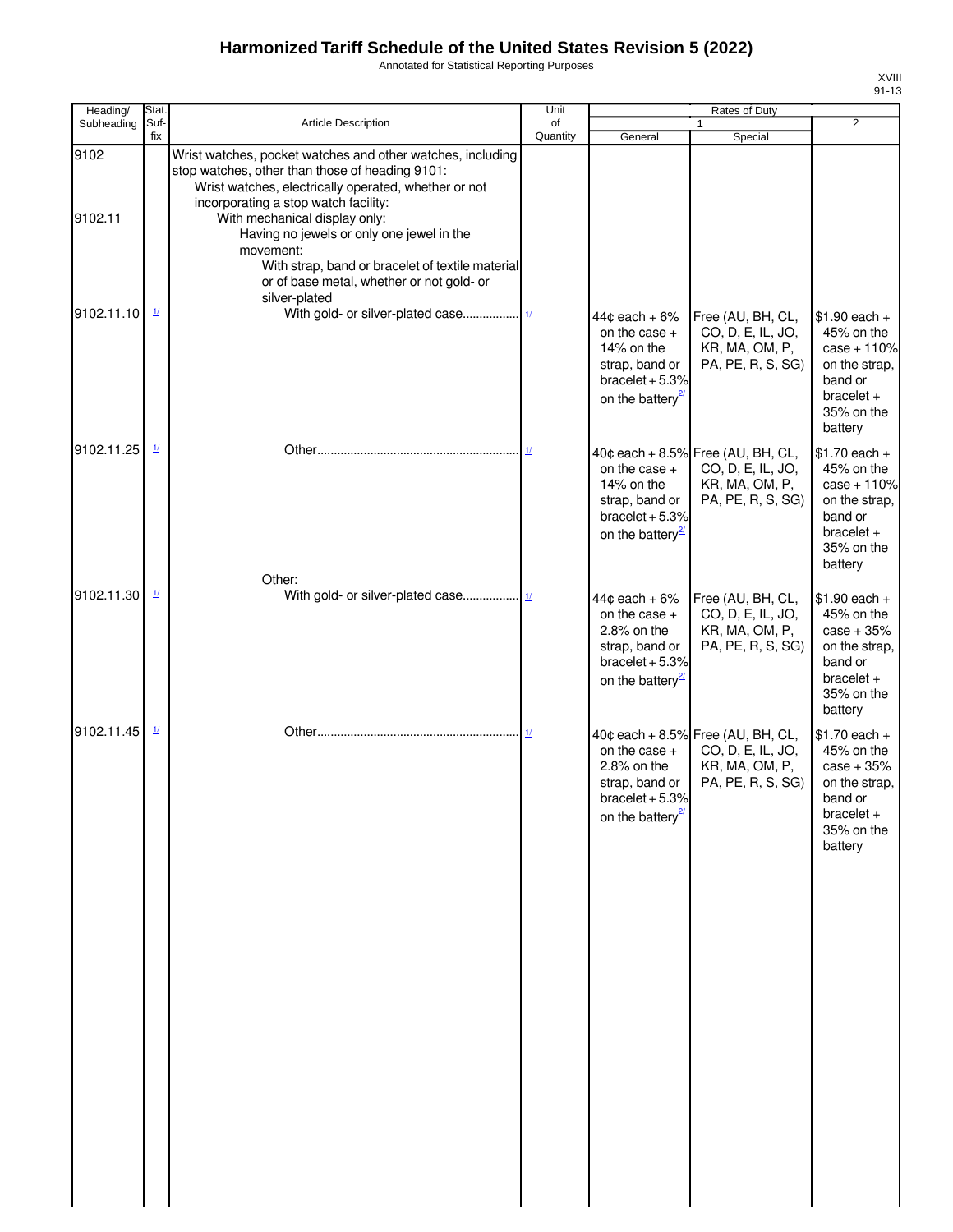Annotated for Statistical Reporting Purposes

| 711 I        |    |
|--------------|----|
| 11<br>υ<br>- | ≻ו |

| Heading/        | Stat.                    |                                                                                                                                                                                                                                                                                                                                                                                                                            | Unit           |                                                                                                                            | Rates of Duty                                                                                 |                                                                                                                    |
|-----------------|--------------------------|----------------------------------------------------------------------------------------------------------------------------------------------------------------------------------------------------------------------------------------------------------------------------------------------------------------------------------------------------------------------------------------------------------------------------|----------------|----------------------------------------------------------------------------------------------------------------------------|-----------------------------------------------------------------------------------------------|--------------------------------------------------------------------------------------------------------------------|
| Subheading      | Suf-<br>fix              | <b>Article Description</b>                                                                                                                                                                                                                                                                                                                                                                                                 | of<br>Quantity | General                                                                                                                    | $\mathbf{1}$<br>Special                                                                       | $\overline{2}$                                                                                                     |
| 9102<br>9102.11 |                          | Wrist watches, pocket watches and other watches, including<br>stop watches, other than those of heading 9101:<br>Wrist watches, electrically operated, whether or not<br>incorporating a stop watch facility:<br>With mechanical display only:<br>Having no jewels or only one jewel in the<br>movement:<br>With strap, band or bracelet of textile material<br>or of base metal, whether or not gold- or<br>silver-plated |                |                                                                                                                            |                                                                                               |                                                                                                                    |
| 9102.11.10      | $\mathbf{\underline{1}}$ |                                                                                                                                                                                                                                                                                                                                                                                                                            |                | $44¢$ each + 6%<br>on the case $+$<br>14% on the<br>strap, band or<br>bracelet $+5.3%$<br>on the battery <sup>21</sup>     | Free (AU, BH, CL,<br>CO, D, E, IL, JO,<br>KR, MA, OM, P,<br>PA, PE, R, S, SG)                 | $$1.90$ each +<br>45% on the<br>$case + 110%$<br>on the strap,<br>band or<br>$bracelet +$<br>35% on the<br>battery |
| 9102.11.25      | $\mathbf{\underline{1}}$ |                                                                                                                                                                                                                                                                                                                                                                                                                            | 1/             | on the case $+$<br>14% on the<br>strap, band or<br>bracelet $+5.3%$<br>on the battery <sup>27</sup>                        | 40¢ each + 8.5% Free (AU, BH, CL,<br>CO, D, E, IL, JO,<br>KR, MA, OM, P,<br>PA, PE, R, S, SG) | $$1.70$ each +<br>45% on the<br>$case + 110%$<br>on the strap,<br>band or<br>$bracelet +$<br>35% on the<br>battery |
| 9102.11.30      | $\frac{1}{2}$            | Other:                                                                                                                                                                                                                                                                                                                                                                                                                     |                | $44¢$ each + $6\%$<br>on the case $+$<br>2.8% on the<br>strap, band or<br>bracelet $+5.3%$<br>on the battery <sup>21</sup> | Free (AU, BH, CL,<br>CO, D, E, IL, JO,<br>KR, MA, OM, P,<br>PA, PE, R, S, SG)                 | $$1.90$ each +<br>45% on the<br>$case + 35%$<br>on the strap,<br>band or<br>$bracelet +$<br>35% on the<br>battery  |
| 9102.11.45      | $\mathbf{\underline{1}}$ |                                                                                                                                                                                                                                                                                                                                                                                                                            | $\frac{1}{2}$  | on the case $+$<br>2.8% on the<br>strap, band or<br>bracelet $+5.3%$<br>on the battery $\frac{2}{2}$                       | 40¢ each + 8.5% Free (AU, BH, CL,<br>CO, D, E, IL, JO,<br>KR, MA, OM, P,<br>PA, PE, R, S, SG) | $$1.70$ each +<br>45% on the<br>$case + 35%$<br>on the strap.<br>band or<br>$bracelet +$<br>35% on the<br>battery  |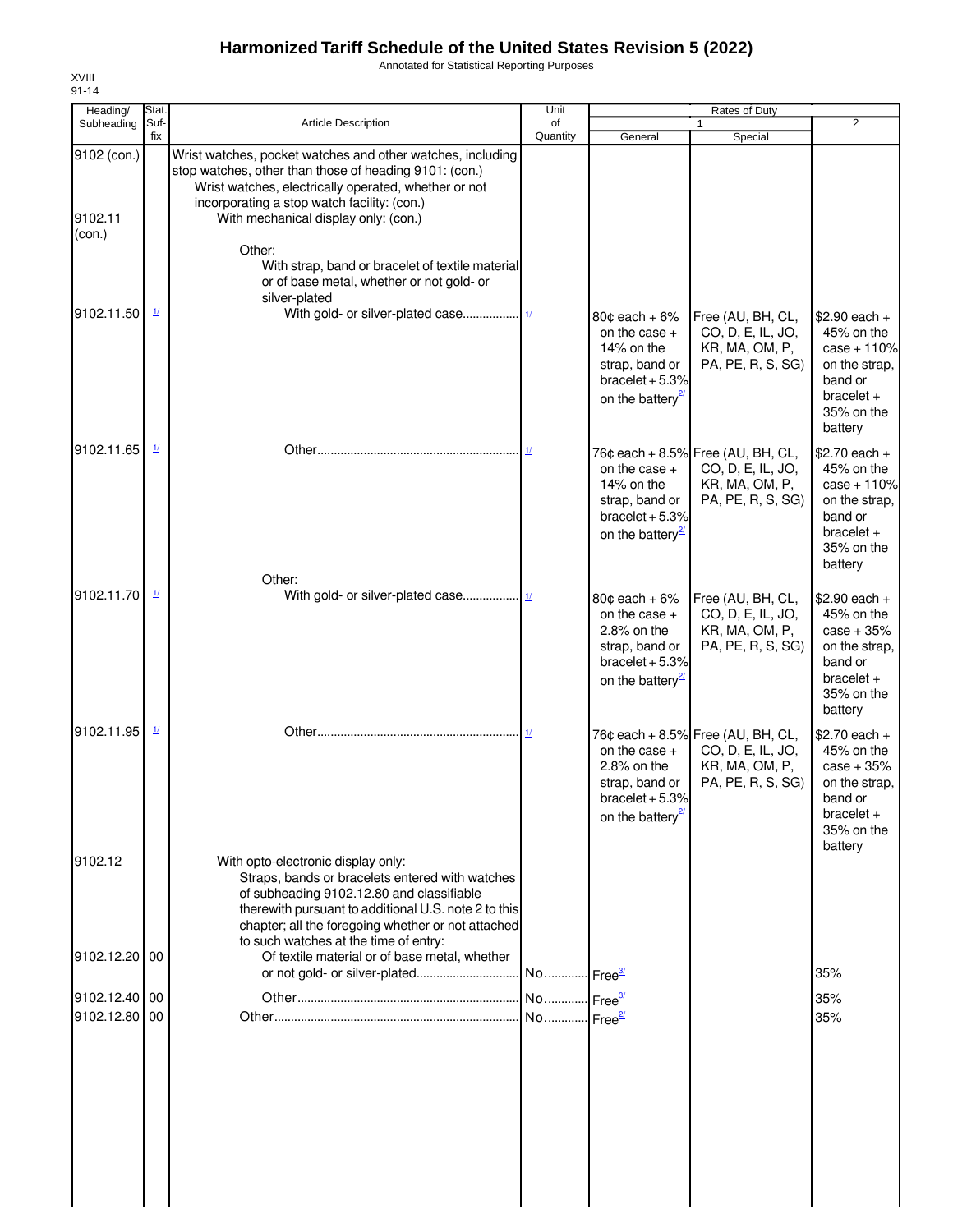Annotated for Statistical Reporting Purposes

| Heading/                         | Stat.                                                      |                                                                                                                                                                                                                                                                                                                                   | Unit           |                                                                                                                                  | Rates of Duty                                                                                 |                                                                                                                   |
|----------------------------------|------------------------------------------------------------|-----------------------------------------------------------------------------------------------------------------------------------------------------------------------------------------------------------------------------------------------------------------------------------------------------------------------------------|----------------|----------------------------------------------------------------------------------------------------------------------------------|-----------------------------------------------------------------------------------------------|-------------------------------------------------------------------------------------------------------------------|
| Subheading                       | Suf-<br>fix                                                | <b>Article Description</b>                                                                                                                                                                                                                                                                                                        | of<br>Quantity | General                                                                                                                          | $\mathbf{1}$<br>Special                                                                       | $\overline{2}$                                                                                                    |
| 9102 (con.)<br>9102.11<br>(con.) |                                                            | Wrist watches, pocket watches and other watches, including<br>stop watches, other than those of heading 9101: (con.)<br>Wrist watches, electrically operated, whether or not<br>incorporating a stop watch facility: (con.)<br>With mechanical display only: (con.)<br>Other:<br>With strap, band or bracelet of textile material |                |                                                                                                                                  |                                                                                               |                                                                                                                   |
|                                  |                                                            | or of base metal, whether or not gold- or                                                                                                                                                                                                                                                                                         |                |                                                                                                                                  |                                                                                               |                                                                                                                   |
| 9102.11.50                       | $\underline{1}$                                            | silver-plated                                                                                                                                                                                                                                                                                                                     |                | 80 $\texttt{c}$ each + 6%<br>on the case $+$<br>14% on the<br>strap, band or<br>bracelet $+5.3%$<br>on the battery <sup>27</sup> | Free (AU, BH, CL,<br>CO, D, E, IL, JO,<br>KR, MA, OM, P,<br>PA, PE, R, S, SG)                 | $$2.90$ each +<br>45% on the<br>$case + 110%$<br>on the strap,<br>band or<br>bracelet $+$<br>35% on the           |
| 9102.11.65                       | $\frac{1}{2}$                                              |                                                                                                                                                                                                                                                                                                                                   | 1/             | on the case $+$<br>14% on the                                                                                                    | 76¢ each + 8.5% Free (AU, BH, CL,<br>CO, D, E, IL, JO,<br>KR, MA, OM, P,                      | battery<br>$$2.70$ each +<br>45% on the<br>$case + 110%$                                                          |
|                                  |                                                            | Other:                                                                                                                                                                                                                                                                                                                            |                | strap, band or<br>bracelet $+5.3%$<br>on the battery <sup>2</sup>                                                                | PA, PE, R, S, SG)                                                                             | on the strap,<br>band or<br>$bracelet +$<br>35% on the<br>battery                                                 |
| 9102.11.70                       | $\frac{1}{2}$                                              |                                                                                                                                                                                                                                                                                                                                   |                | $80¢$ each + 6%<br>on the case $+$<br>2.8% on the<br>strap, band or<br>bracelet $+5.3%$<br>on the battery <sup>27</sup>          | Free (AU, BH, CL,<br>CO, D, E, IL, JO,<br>KR, MA, OM, P,<br>PA, PE, R, S, SG)                 | $$2.90$ each +<br>45% on the<br>$case + 35%$<br>on the strap,<br>band or<br>$bracelet +$<br>35% on the<br>battery |
| 9102.11.95                       | $\mathbf{\underline{1}\underline{\mathbf{\mathbf{\ell}}}}$ |                                                                                                                                                                                                                                                                                                                                   | 1/             | on the case $+$<br>2.8% on the<br>strap, band or<br>bracelet $+5.3%$<br>on the battery <sup>21</sup>                             | 76¢ each + 8.5% Free (AU, BH, CL,<br>CO, D, E, IL, JO,<br>KR, MA, OM, P,<br>PA, PE, R, S, SG) | $$2.70$ each +<br>45% on the<br>$case + 35%$<br>on the strap,<br>band or<br>$bracelet +$<br>35% on the<br>battery |
| 9102.12                          |                                                            | With opto-electronic display only:<br>Straps, bands or bracelets entered with watches<br>of subheading 9102.12.80 and classifiable<br>therewith pursuant to additional U.S. note 2 to this<br>chapter; all the foregoing whether or not attached<br>to such watches at the time of entry:                                         |                |                                                                                                                                  |                                                                                               |                                                                                                                   |
| 9102.12.20 00                    |                                                            | Of textile material or of base metal, whether                                                                                                                                                                                                                                                                                     |                |                                                                                                                                  |                                                                                               | 35%                                                                                                               |
| 9102.12.40 00                    |                                                            |                                                                                                                                                                                                                                                                                                                                   |                |                                                                                                                                  |                                                                                               | 35%                                                                                                               |
| 9102.12.80 00                    |                                                            |                                                                                                                                                                                                                                                                                                                                   |                |                                                                                                                                  |                                                                                               | 35%                                                                                                               |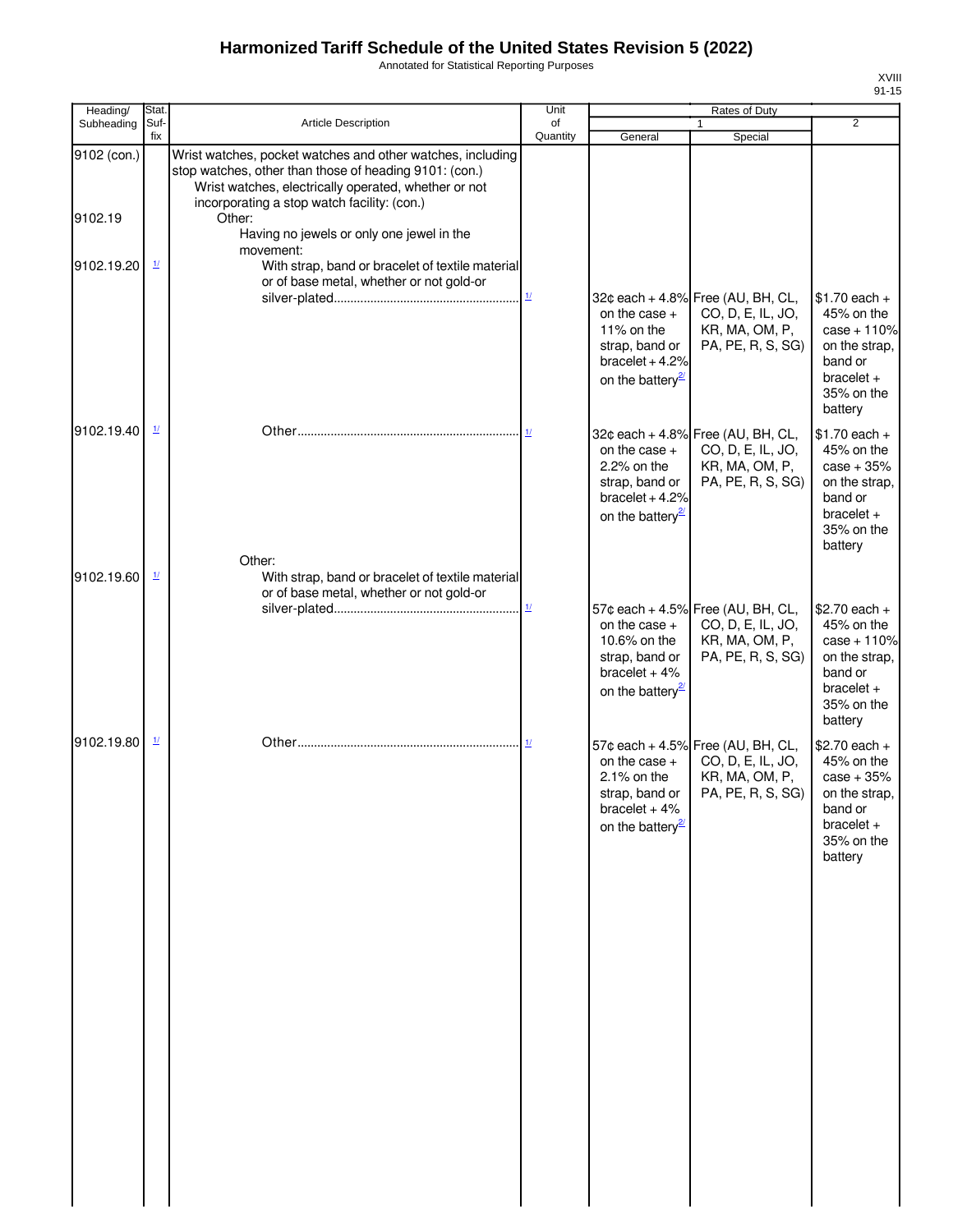Annotated for Statistical Reporting Purposes

| '' | Ί |
|----|---|
| z  |   |

| Heading/    | Stat.                              |                                                                                                                                                                                                                             | Unit                      |                                                                                                       | Rates of Duty                                                                                 |                                                                                                                    |
|-------------|------------------------------------|-----------------------------------------------------------------------------------------------------------------------------------------------------------------------------------------------------------------------------|---------------------------|-------------------------------------------------------------------------------------------------------|-----------------------------------------------------------------------------------------------|--------------------------------------------------------------------------------------------------------------------|
| Subheading  | Suf-<br>fix                        | <b>Article Description</b>                                                                                                                                                                                                  | of<br>Quantity            | General                                                                                               | 1<br>Special                                                                                  | $\overline{2}$                                                                                                     |
| 9102 (con.) |                                    | Wrist watches, pocket watches and other watches, including<br>stop watches, other than those of heading 9101: (con.)<br>Wrist watches, electrically operated, whether or not<br>incorporating a stop watch facility: (con.) |                           |                                                                                                       |                                                                                               |                                                                                                                    |
| 9102.19     |                                    | Other:<br>Having no jewels or only one jewel in the<br>movement:                                                                                                                                                            |                           |                                                                                                       |                                                                                               |                                                                                                                    |
| 9102.19.20  | $\mathbf{\underline{1}}$           | With strap, band or bracelet of textile material<br>or of base metal, whether or not gold-or                                                                                                                                | $\underline{\mathbf{1}l}$ | on the case $+$                                                                                       | 32¢ each + 4.8% Free (AU, BH, CL,<br>CO, D, E, IL, JO,                                        | $$1.70$ each +<br>45% on the                                                                                       |
|             |                                    |                                                                                                                                                                                                                             |                           | 11% on the<br>strap, band or<br>$bracelet + 4.2%$<br>on the battery <sup>27</sup>                     | KR, MA, OM, P,<br>PA, PE, R, S, SG)                                                           | $case + 110%$<br>on the strap,<br>band or<br>bracelet $+$<br>35% on the<br>battery                                 |
| 9102.19.40  | $\mathbf{\underline{1}}$           |                                                                                                                                                                                                                             | 1/                        | on the case $+$<br>2.2% on the<br>strap, band or<br>bracelet $+4.2%$<br>on the battery <sup>27</sup>  | 32¢ each + 4.8% Free (AU, BH, CL,<br>CO, D, E, IL, JO,<br>KR, MA, OM, P,<br>PA, PE, R, S, SG) | $$1.70$ each +<br>45% on the<br>$case + 35%$<br>on the strap,<br>band or<br>$bracelet +$<br>35% on the<br>battery  |
| 9102.19.60  | $\frac{1}{2}$                      | Other:<br>With strap, band or bracelet of textile material<br>or of base metal, whether or not gold-or                                                                                                                      |                           |                                                                                                       |                                                                                               |                                                                                                                    |
|             |                                    |                                                                                                                                                                                                                             | $\underline{\mathbf{1}l}$ | on the case $+$<br>10.6% on the<br>strap, band or<br>bracelet $+4%$<br>on the battery <sup>21</sup>   | 57¢ each + 4.5% Free (AU, BH, CL,<br>CO, D, E, IL, JO,<br>KR, MA, OM, P,<br>PA, PE, R, S, SG) | $$2.70$ each +<br>45% on the<br>$case + 110%$<br>on the strap,<br>band or<br>$bracelet +$<br>35% on the<br>battery |
| 9102.19.80  | $\underline{\mathit{1}\mathit{l}}$ |                                                                                                                                                                                                                             |                           | on the case $+$<br>$2.1\%$ on the<br>strap, band or<br>bracelet $+4%$<br>on the battery <sup>27</sup> | 57¢ each + 4.5% Free (AU, BH, CL,<br>CO, D, E, IL, JO,<br>KR, MA, OM, P,<br>PA, PE, R, S, SG) | $$2.70$ each +<br>45% on the<br>$case + 35%$<br>on the strap,<br>band or<br>$bracelet +$<br>35% on the<br>battery  |
|             |                                    |                                                                                                                                                                                                                             |                           |                                                                                                       |                                                                                               |                                                                                                                    |
|             |                                    |                                                                                                                                                                                                                             |                           |                                                                                                       |                                                                                               |                                                                                                                    |
|             |                                    |                                                                                                                                                                                                                             |                           |                                                                                                       |                                                                                               |                                                                                                                    |
|             |                                    |                                                                                                                                                                                                                             |                           |                                                                                                       |                                                                                               |                                                                                                                    |
|             |                                    |                                                                                                                                                                                                                             |                           |                                                                                                       |                                                                                               |                                                                                                                    |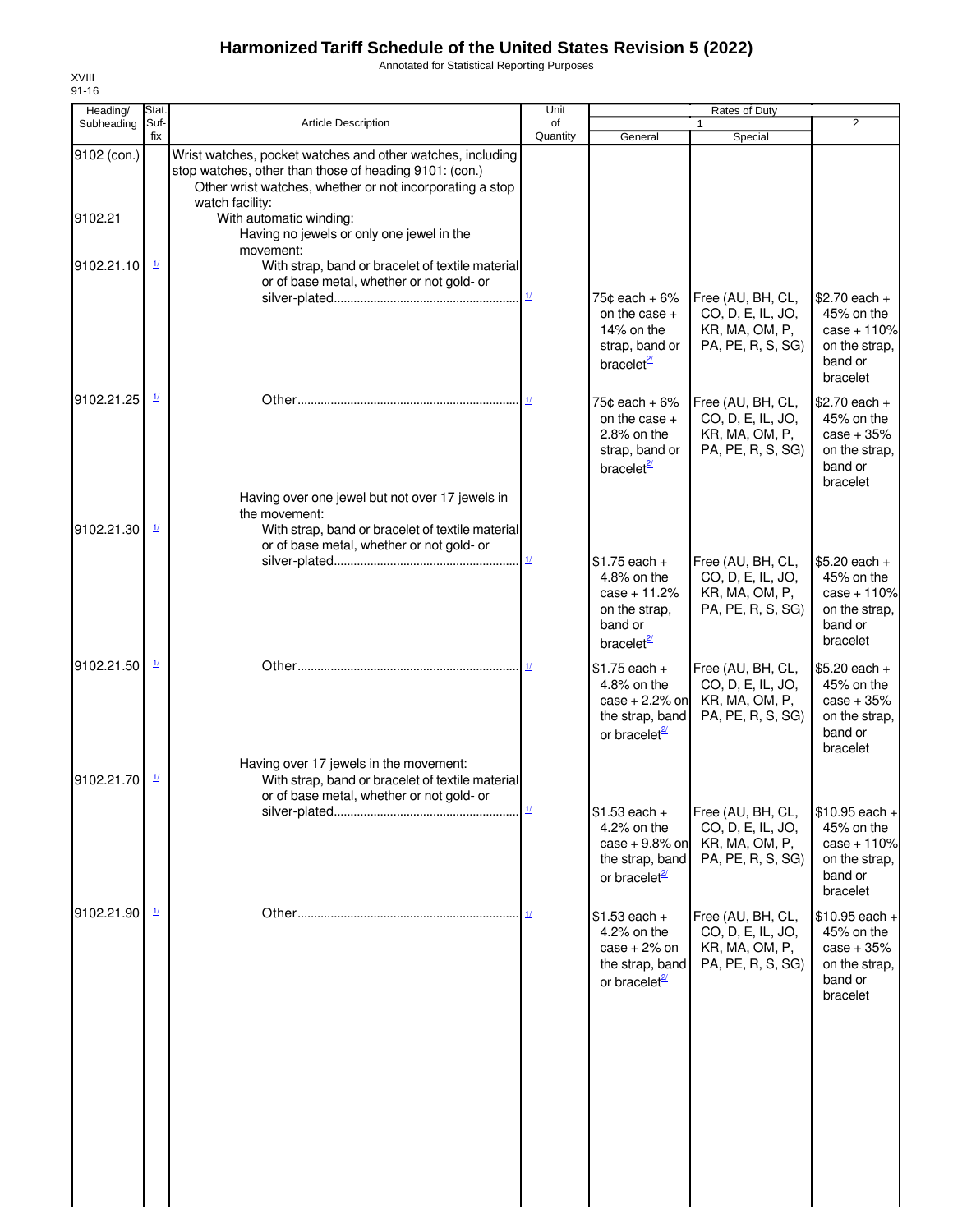Annotated for Statistical Reporting Purposes

| Heading/               | Stat.                    |                                                                                                                                                                                                                                                                             | Unit                      |                                                                                                         | <b>Rates of Duty</b>                                                          |                                                                                        |
|------------------------|--------------------------|-----------------------------------------------------------------------------------------------------------------------------------------------------------------------------------------------------------------------------------------------------------------------------|---------------------------|---------------------------------------------------------------------------------------------------------|-------------------------------------------------------------------------------|----------------------------------------------------------------------------------------|
| Subheading             | Suf-<br>fix              | <b>Article Description</b>                                                                                                                                                                                                                                                  | of<br>Quantity            | General                                                                                                 | Special                                                                       | $\overline{2}$                                                                         |
| 9102 (con.)<br>9102.21 |                          | Wrist watches, pocket watches and other watches, including<br>stop watches, other than those of heading 9101: (con.)<br>Other wrist watches, whether or not incorporating a stop<br>watch facility:<br>With automatic winding:<br>Having no jewels or only one jewel in the |                           |                                                                                                         |                                                                               |                                                                                        |
| 9102.21.10             | $\frac{1}{2}$            | movement:<br>With strap, band or bracelet of textile material<br>or of base metal, whether or not gold- or                                                                                                                                                                  |                           |                                                                                                         |                                                                               |                                                                                        |
|                        |                          |                                                                                                                                                                                                                                                                             | $\underline{\mathcal{H}}$ | 75 $\texttt{c}$ each + 6%<br>on the case +<br>14% on the<br>strap, band or<br>bracelet <sup>2/</sup>    | Free (AU, BH, CL,<br>CO, D, E, IL, JO,<br>KR, MA, OM, P,<br>PA, PE, R, S, SG) | $$2.70$ each +<br>45% on the<br>case + 110%<br>on the strap.<br>band or<br>bracelet    |
| 9102.21.25             | $\mathbf{\underline{1}}$ |                                                                                                                                                                                                                                                                             | 11                        | 75 $\texttt{c}$ each + 6%<br>on the case $+$<br>2.8% on the<br>strap, band or<br>bracelet <sup>27</sup> | Free (AU, BH, CL,<br>CO, D, E, IL, JO,<br>KR, MA, OM, P,<br>PA, PE, R, S, SG) | $$2.70$ each +<br>45% on the<br>$case + 35%$<br>on the strap,<br>band or<br>bracelet   |
| 9102.21.30             | $\mathbf{\underline{1}}$ | Having over one jewel but not over 17 jewels in<br>the movement:<br>With strap, band or bracelet of textile material<br>or of base metal, whether or not gold- or                                                                                                           |                           |                                                                                                         |                                                                               |                                                                                        |
|                        |                          |                                                                                                                                                                                                                                                                             | $\mathbf{\underline{1}}$  | $$1.75$ each +<br>4.8% on the<br>$case + 11.2%$<br>on the strap,<br>band or<br>bracelet $\frac{2}{x}$   | Free (AU, BH, CL,<br>CO, D, E, IL, JO,<br>KR, MA, OM, P,<br>PA, PE, R, S, SG) | $$5.20$ each +<br>45% on the<br>$case + 110%$<br>on the strap,<br>band or<br>bracelet  |
| 9102.21.50             | $\frac{1}{2}$            |                                                                                                                                                                                                                                                                             |                           | $$1.75$ each +<br>4.8% on the<br>$case + 2.2%$ on<br>the strap, band<br>or bracelet <sup>21</sup>       | Free (AU, BH, CL,<br>CO, D, E, IL, JO,<br>KR, MA, OM, P,<br>PA, PE, R, S, SG) | $$5.20$ each +<br>45% on the<br>$case + 35%$<br>on the strap,<br>band or<br>bracelet   |
| 9102.21.70             | $\frac{1}{2}$            | Having over 17 jewels in the movement:<br>With strap, band or bracelet of textile material<br>or of base metal, whether or not gold- or                                                                                                                                     |                           |                                                                                                         |                                                                               |                                                                                        |
|                        |                          |                                                                                                                                                                                                                                                                             | $\underline{1}$           | $$1.53$ each +<br>4.2% on the<br>case $+9.8%$ on<br>the strap, band<br>or bracelet <sup>21</sup>        | Free (AU, BH, CL,<br>CO, D, E, IL, JO,<br>KR, MA, OM, P,<br>PA, PE, R, S, SG) | $$10.95$ each +<br>45% on the<br>$case + 110%$<br>on the strap,<br>band or<br>bracelet |
| 9102.21.90             | $\mathbf{\underline{1}}$ |                                                                                                                                                                                                                                                                             | 1/                        | $$1.53$ each +<br>4.2% on the<br>$case + 2%$ on<br>the strap, band<br>or bracelet <sup>21</sup>         | Free (AU, BH, CL,<br>CO, D, E, IL, JO,<br>KR, MA, OM, P,<br>PA, PE, R, S, SG) | $$10.95$ each +<br>45% on the<br>$case + 35%$<br>on the strap,<br>band or<br>bracelet  |
|                        |                          |                                                                                                                                                                                                                                                                             |                           |                                                                                                         |                                                                               |                                                                                        |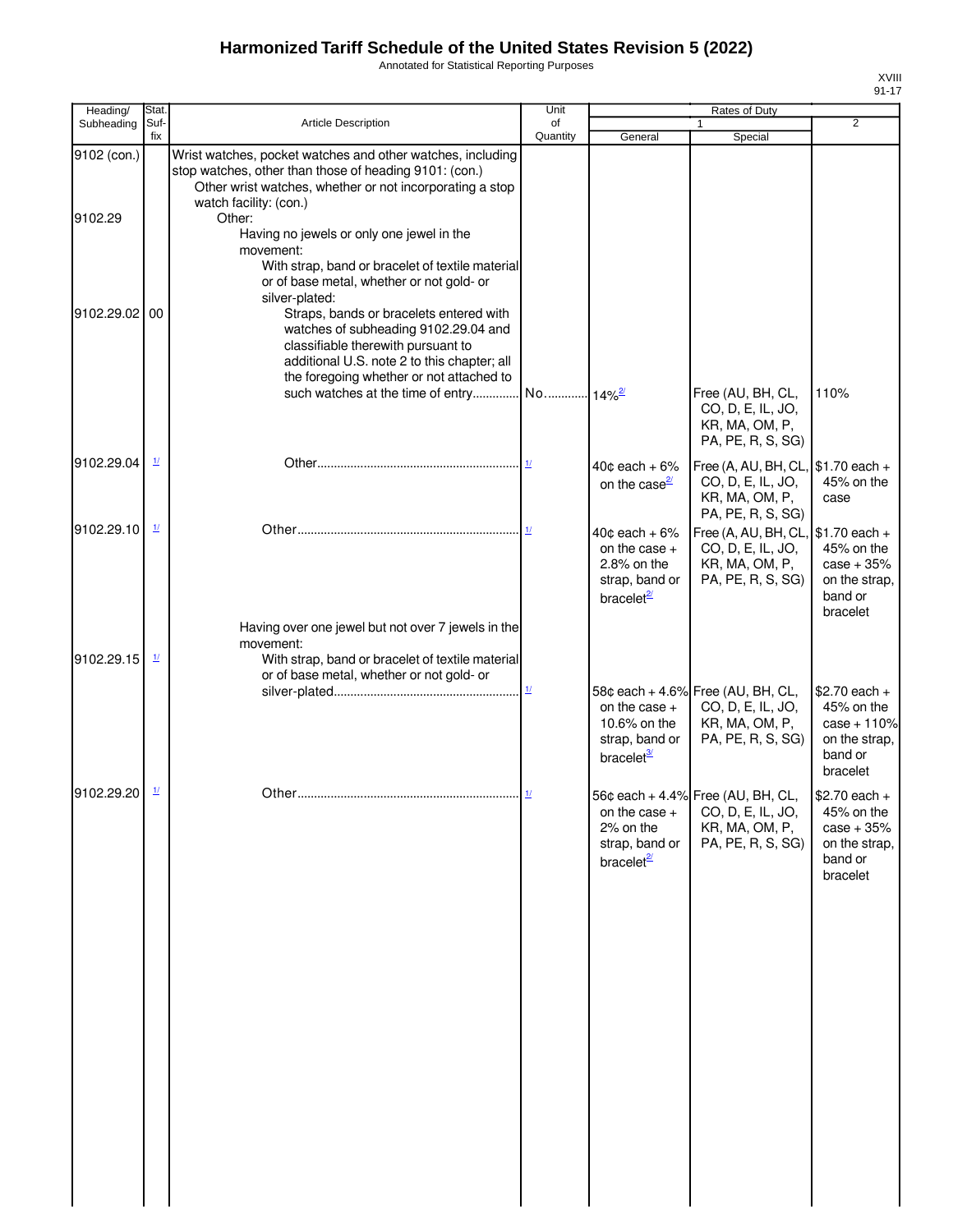Annotated for Statistical Reporting Purposes

| Heading/    | Stat.                    |                                                                                                                                                                                                                  | Unit                   |                                                                                                  | Rates of Duty                                                                                           |                                                                                       |
|-------------|--------------------------|------------------------------------------------------------------------------------------------------------------------------------------------------------------------------------------------------------------|------------------------|--------------------------------------------------------------------------------------------------|---------------------------------------------------------------------------------------------------------|---------------------------------------------------------------------------------------|
| Subheading  | Suf-<br>fix              | <b>Article Description</b>                                                                                                                                                                                       | of<br>Quantity         | General                                                                                          | Special                                                                                                 | $\overline{2}$                                                                        |
| 9102 (con.) |                          | Wrist watches, pocket watches and other watches, including<br>stop watches, other than those of heading 9101: (con.)<br>Other wrist watches, whether or not incorporating a stop                                 |                        |                                                                                                  |                                                                                                         |                                                                                       |
| 9102.29     |                          | watch facility: (con.)<br>Other:<br>Having no jewels or only one jewel in the                                                                                                                                    |                        |                                                                                                  |                                                                                                         |                                                                                       |
|             |                          | movement:<br>With strap, band or bracelet of textile material<br>or of base metal, whether or not gold- or<br>silver-plated:                                                                                     |                        |                                                                                                  |                                                                                                         |                                                                                       |
| 9102.29.02  | 00                       | Straps, bands or bracelets entered with<br>watches of subheading 9102.29.04 and<br>classifiable therewith pursuant to<br>additional U.S. note 2 to this chapter; all<br>the foregoing whether or not attached to |                        |                                                                                                  |                                                                                                         |                                                                                       |
|             |                          | such watches at the time of entry                                                                                                                                                                                | No 14% <sup>2/2/</sup> |                                                                                                  | Free (AU, BH, CL,<br>CO, D, E, IL, JO,<br>KR, MA, OM, P,<br>PA, PE, R, S, SG)                           | 110%                                                                                  |
| 9102.29.04  | $\underline{1}$          |                                                                                                                                                                                                                  |                        | $40¢$ each + 6%<br>on the case $\frac{2}{2}$                                                     | Free (A, AU, BH, CL, $\$\text{1.70}$ each +<br>CO, D, E, IL, JO,<br>KR, MA, OM, P,<br>PA, PE, R, S, SG) | 45% on the<br>case                                                                    |
| 9102.29.10  | $\mathbf{\underline{1}}$ |                                                                                                                                                                                                                  |                        | $40¢$ each + 6%<br>on the case $+$<br>$2.8\%$ on the<br>strap, band or<br>bracelet <sup>2/</sup> | Free (A, AU, BH, CL,<br>CO, D, E, IL, JO,<br>KR, MA, OM, P,<br>PA, PE, R, S, SG)                        | $$1.70$ each +<br>45% on the<br>$case + 35%$<br>on the strap,<br>band or<br>bracelet  |
| 9102.29.15  | 1/                       | Having over one jewel but not over 7 jewels in the<br>movement:<br>With strap, band or bracelet of textile material<br>or of base metal, whether or not gold- or                                                 |                        |                                                                                                  |                                                                                                         |                                                                                       |
|             |                          |                                                                                                                                                                                                                  | $1/$                   | on the case $+$<br>10.6% on the<br>strap, band or<br>bracelet <sup>3/</sup>                      | 58¢ each + 4.6% Free (AU, BH, CL,<br>CO, D, E, IL, JO,<br>KR, MA, OM, P,<br>PA, PE, R, S, SG)           | $$2.70$ each +<br>45% on the<br>$case + 110%$<br>on the strap,<br>band or<br>bracelet |
| 9102.29.20  | $\mathbf{\underline{1}}$ |                                                                                                                                                                                                                  | 1/                     | on the case +<br>2% on the<br>strap, band or<br>bracelet <sup>21</sup>                           | 56¢ each + 4.4% Free (AU, BH, CL,<br>CO, D, E, IL, JO,<br>KR, MA, OM, P,<br>PA, PE, R, S, SG)           | $$2.70$ each +<br>45% on the<br>$case + 35%$<br>on the strap,<br>band or<br>bracelet  |
|             |                          |                                                                                                                                                                                                                  |                        |                                                                                                  |                                                                                                         |                                                                                       |
|             |                          |                                                                                                                                                                                                                  |                        |                                                                                                  |                                                                                                         |                                                                                       |
|             |                          |                                                                                                                                                                                                                  |                        |                                                                                                  |                                                                                                         |                                                                                       |
|             |                          |                                                                                                                                                                                                                  |                        |                                                                                                  |                                                                                                         |                                                                                       |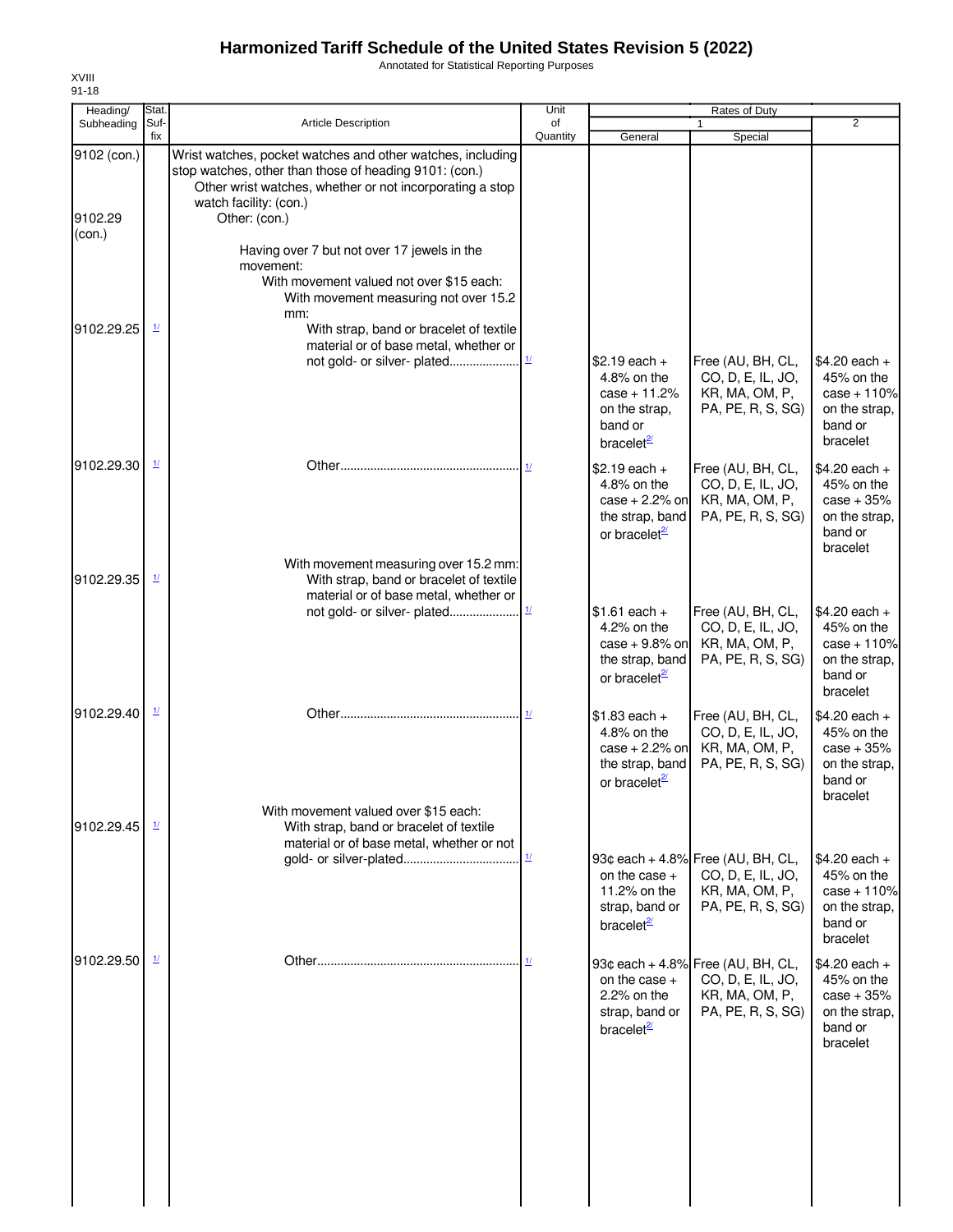Annotated for Statistical Reporting Purposes

| Heading/<br>Subheading | Stat.<br>Suf-             | <b>Article Description</b>                                                                                                                                                                                 | Unit<br>of                |                                                                                                   | Rates of Duty                                                                                 | $\overline{2}$                                                                        |
|------------------------|---------------------------|------------------------------------------------------------------------------------------------------------------------------------------------------------------------------------------------------------|---------------------------|---------------------------------------------------------------------------------------------------|-----------------------------------------------------------------------------------------------|---------------------------------------------------------------------------------------|
|                        | fix                       |                                                                                                                                                                                                            | Quantity                  | General                                                                                           | Special                                                                                       |                                                                                       |
| 9102 (con.)            |                           | Wrist watches, pocket watches and other watches, including<br>stop watches, other than those of heading 9101: (con.)<br>Other wrist watches, whether or not incorporating a stop<br>watch facility: (con.) |                           |                                                                                                   |                                                                                               |                                                                                       |
| 9102.29<br>(con.)      |                           | Other: (con.)                                                                                                                                                                                              |                           |                                                                                                   |                                                                                               |                                                                                       |
|                        |                           | Having over 7 but not over 17 jewels in the<br>movement:<br>With movement valued not over \$15 each:                                                                                                       |                           |                                                                                                   |                                                                                               |                                                                                       |
|                        |                           | With movement measuring not over 15.2<br>mm:                                                                                                                                                               |                           |                                                                                                   |                                                                                               |                                                                                       |
| 9102.29.25             | $\mathbf{\underline{1}}$  | With strap, band or bracelet of textile<br>material or of base metal, whether or<br>not gold- or silver- plated                                                                                            | $\frac{1}{2}$             | $$2.19$ each +                                                                                    | Free (AU, BH, CL,                                                                             | $$4.20$ each +                                                                        |
|                        |                           |                                                                                                                                                                                                            |                           | 4.8% on the<br>$case + 11.2%$<br>on the strap,<br>band or<br>bracelet <sup>2</sup>                | CO, D, E, IL, JO,<br>KR, MA, OM, P,<br>PA, PE, R, S, SG)                                      | 45% on the<br>$case + 110%$<br>on the strap,<br>band or<br>bracelet                   |
| 9102.29.30             | $\mathbf{\underline{1}}$  |                                                                                                                                                                                                            | 1/                        | $$2.19$ each +<br>4.8% on the<br>$case + 2.2%$ on<br>the strap, band<br>or bracelet <sup>2</sup>  | Free (AU, BH, CL,<br>CO, D, E, IL, JO,<br>KR, MA, OM, P,<br>PA, PE, R, S, SG)                 | $$4.20$ each +<br>45% on the<br>$case + 35%$<br>on the strap,<br>band or<br>bracelet  |
| 9102.29.35             | $\mathbf{\underline{11}}$ | With movement measuring over 15.2 mm:<br>With strap, band or bracelet of textile<br>material or of base metal, whether or                                                                                  |                           |                                                                                                   |                                                                                               |                                                                                       |
|                        |                           |                                                                                                                                                                                                            |                           | $$1.61$ each +<br>4.2% on the<br>case $+9.8\%$ on<br>the strap, band<br>or bracelet <sup>21</sup> | Free (AU, BH, CL,<br>CO, D, E, IL, JO,<br>KR, MA, OM, P,<br>PA, PE, R, S, SG)                 | $$4.20$ each +<br>45% on the<br>$case + 110%$<br>on the strap,<br>band or<br>bracelet |
| 9102.29.40             | $\mathbf{\underline{1}}$  |                                                                                                                                                                                                            | 11                        | $$1.83$ each +<br>4.8% on the<br>$case + 2.2%$ on<br>the strap, band<br>or bracelet <sup>2/</sup> | Free (AU, BH, CL,<br>CO, D, E, IL, JO,<br>KR, MA, OM, P,<br>PA, PE, R, S, SG)                 | $$4.20$ each +<br>45% on the<br>$case + 35%$<br>on the strap,<br>band or<br>bracelet  |
| 9102.29.45             | $\mathbf{\underline{1}}$  | With movement valued over \$15 each:<br>With strap, band or bracelet of textile<br>material or of base metal, whether or not                                                                               |                           |                                                                                                   |                                                                                               |                                                                                       |
|                        |                           |                                                                                                                                                                                                            | $\underline{\mathbf{1}l}$ | on the case $+$<br>11.2% on the<br>strap, band or<br>bracelet $\frac{2}{3}$                       | 93¢ each + 4.8% Free (AU, BH, CL,<br>CO, D, E, IL, JO,<br>KR, MA, OM, P,<br>PA, PE, R, S, SG) | $$4.20$ each +<br>45% on the<br>$case + 110%$<br>on the strap,<br>band or<br>bracelet |
| 9102.29.50             | $\mathbf{\underline{1}}$  |                                                                                                                                                                                                            |                           | on the case $+$<br>$2.2\%$ on the<br>strap, band or<br>bracelet $\frac{2}{3}$                     | 93¢ each + 4.8% Free (AU, BH, CL,<br>CO, D, E, IL, JO,<br>KR, MA, OM, P,<br>PA, PE, R, S, SG) | $$4.20$ each +<br>45% on the<br>$case + 35%$<br>on the strap,<br>band or<br>bracelet  |
|                        |                           |                                                                                                                                                                                                            |                           |                                                                                                   |                                                                                               |                                                                                       |
|                        |                           |                                                                                                                                                                                                            |                           |                                                                                                   |                                                                                               |                                                                                       |
|                        |                           |                                                                                                                                                                                                            |                           |                                                                                                   |                                                                                               |                                                                                       |
|                        |                           |                                                                                                                                                                                                            |                           |                                                                                                   |                                                                                               |                                                                                       |

XVIII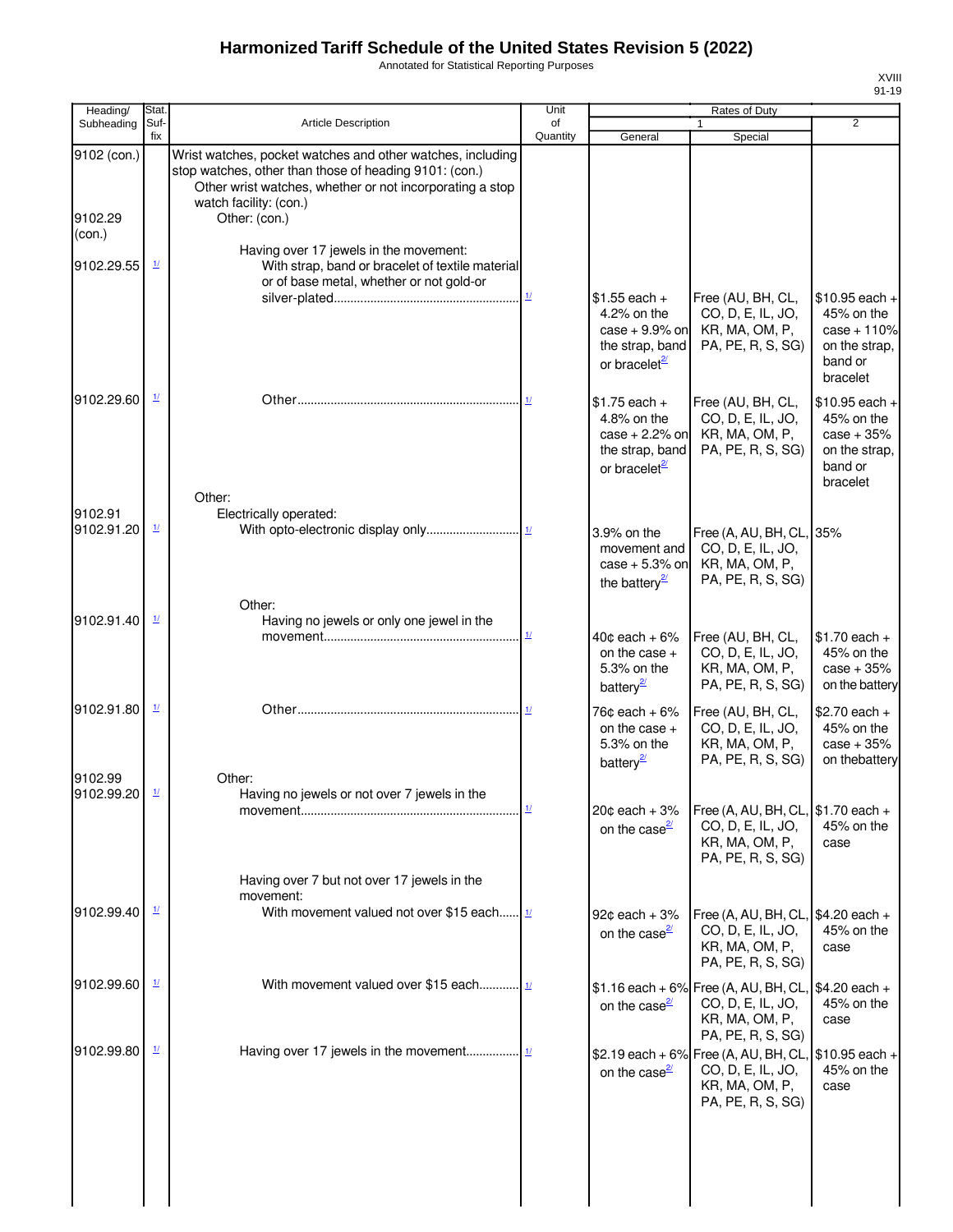Annotated for Statistical Reporting Purposes

| Heading/                         | Stat.                    |                                                                                                                                                                                                                             | Unit                               |                                                                                                    | Rates of Duty                                                                                                      |                                                                                        |
|----------------------------------|--------------------------|-----------------------------------------------------------------------------------------------------------------------------------------------------------------------------------------------------------------------------|------------------------------------|----------------------------------------------------------------------------------------------------|--------------------------------------------------------------------------------------------------------------------|----------------------------------------------------------------------------------------|
| Subheading                       | Suf-<br>fix              | <b>Article Description</b>                                                                                                                                                                                                  | of<br>Quantity                     | General                                                                                            | 1<br>Special                                                                                                       | $\overline{2}$                                                                         |
| 9102 (con.)<br>9102.29<br>(con.) |                          | Wrist watches, pocket watches and other watches, including<br>stop watches, other than those of heading 9101: (con.)<br>Other wrist watches, whether or not incorporating a stop<br>watch facility: (con.)<br>Other: (con.) |                                    |                                                                                                    |                                                                                                                    |                                                                                        |
| 9102.29.55                       | $\frac{1}{2}$            | Having over 17 jewels in the movement:<br>With strap, band or bracelet of textile material<br>or of base metal, whether or not gold-or                                                                                      |                                    |                                                                                                    |                                                                                                                    |                                                                                        |
|                                  |                          |                                                                                                                                                                                                                             | $\underline{\textbf{1}\textbf{1}}$ | $$1.55$ each +<br>4.2% on the<br>$case + 9.9\%$ on<br>the strap, band<br>or bracelet $\frac{2}{2}$ | Free (AU, BH, CL,<br>CO, D, E, IL, JO,<br>KR, MA, OM, P,<br>PA, PE, R, S, SG)                                      | $$10.95$ each +<br>45% on the<br>$case + 110%$<br>on the strap,<br>band or<br>bracelet |
| 9102.29.60                       | $\frac{1}{2}$            | Other:                                                                                                                                                                                                                      |                                    | $$1.75$ each +<br>4.8% on the<br>$case + 2.2%$ on<br>the strap, band<br>or bracelet <sup>2/</sup>  | Free (AU, BH, CL,<br>CO, D, E, IL, JO,<br>KR, MA, OM, P,<br>PA, PE, R, S, SG)                                      | $$10.95$ each +<br>45% on the<br>$case + 35%$<br>on the strap,<br>band or<br>bracelet  |
| 9102.91<br>9102.91.20            | $\frac{1}{2}$            | Electrically operated:                                                                                                                                                                                                      |                                    | 3.9% on the<br>movement and<br>$case + 5.3%$ on<br>the battery $\frac{2}{3}$                       | Free (A, AU, BH, CL, 35%<br>CO, D, E, IL, JO,<br>KR, MA, OM, P,<br>PA, PE, R, S, SG)                               |                                                                                        |
| 9102.91.40                       | $\frac{1}{2}$            | Other:<br>Having no jewels or only one jewel in the                                                                                                                                                                         | 11                                 | $40¢$ each + $6\%$<br>on the case +<br>5.3% on the<br>battery <sup>2</sup>                         | Free (AU, BH, CL,<br>CO, D, E, IL, JO,<br>KR, MA, OM, P,<br>PA, PE, R, S, SG)                                      | $$1.70$ each +<br>45% on the<br>$case + 35%$<br>on the battery                         |
| 9102.91.80                       | $\frac{1}{2}$            |                                                                                                                                                                                                                             |                                    | 76¢ each + 6%<br>on the case $+$<br>5.3% on the<br>battery <sup>2</sup>                            | Free (AU, BH, CL,<br>CO, D, E, IL, JO,<br>KR, MA, OM, P,<br>PA, PE, R, S, SG)                                      | $$2.70$ each +<br>45% on the<br>$case + 35%$<br>on thebattery                          |
| 9102.99<br>9102.99.20            | $\mathbf{\underline{1}}$ | Other:<br>Having no jewels or not over 7 jewels in the                                                                                                                                                                      |                                    | $20¢$ each + $3%$<br>on the case $\frac{2}{3}$                                                     | Free (A, AU, BH, CL, $$1.70$ each +<br>CO, D, E, IL, JO,<br>KR, MA, OM, P,<br>PA, PE, R, S, SG)                    | 45% on the<br>case                                                                     |
|                                  |                          | Having over 7 but not over 17 jewels in the<br>movement:                                                                                                                                                                    |                                    |                                                                                                    |                                                                                                                    |                                                                                        |
| 9102.99.40                       | $\mathbf{\underline{1}}$ | With movement valued not over \$15 each $\frac{1}{1}$                                                                                                                                                                       |                                    | $92¢$ each + $3%$<br>on the case $\frac{2}{3}$                                                     | Free (A, AU, BH, CL, $$4.20$ each +<br>CO, D, E, IL, JO,<br>KR, MA, OM, P,<br>PA, PE, R, S, SG)                    | 45% on the<br>case                                                                     |
| 9102.99.60                       | $\mathbf{\underline{1}}$ | With movement valued over \$15 each $\frac{1}{1}$                                                                                                                                                                           |                                    | on the case $\frac{2}{2}$                                                                          | $$1.16$ each + 6% Free (A, AU, BH, CL, \$4.20 each +<br>CO, D, E, IL, JO,<br>KR, MA, OM, P,<br>PA, PE, R, S, SG)   | 45% on the<br>case                                                                     |
| 9102.99.80                       | $\mathbf{\underline{1}}$ |                                                                                                                                                                                                                             |                                    | on the case $\frac{2}{2}$                                                                          | \$2.19 each + 6% Free (A, AU, BH, CL, $ $10.95$ each +<br>CO, D, E, IL, JO,<br>KR, MA, OM, P,<br>PA, PE, R, S, SG) | 45% on the<br>case                                                                     |
|                                  |                          |                                                                                                                                                                                                                             |                                    |                                                                                                    |                                                                                                                    |                                                                                        |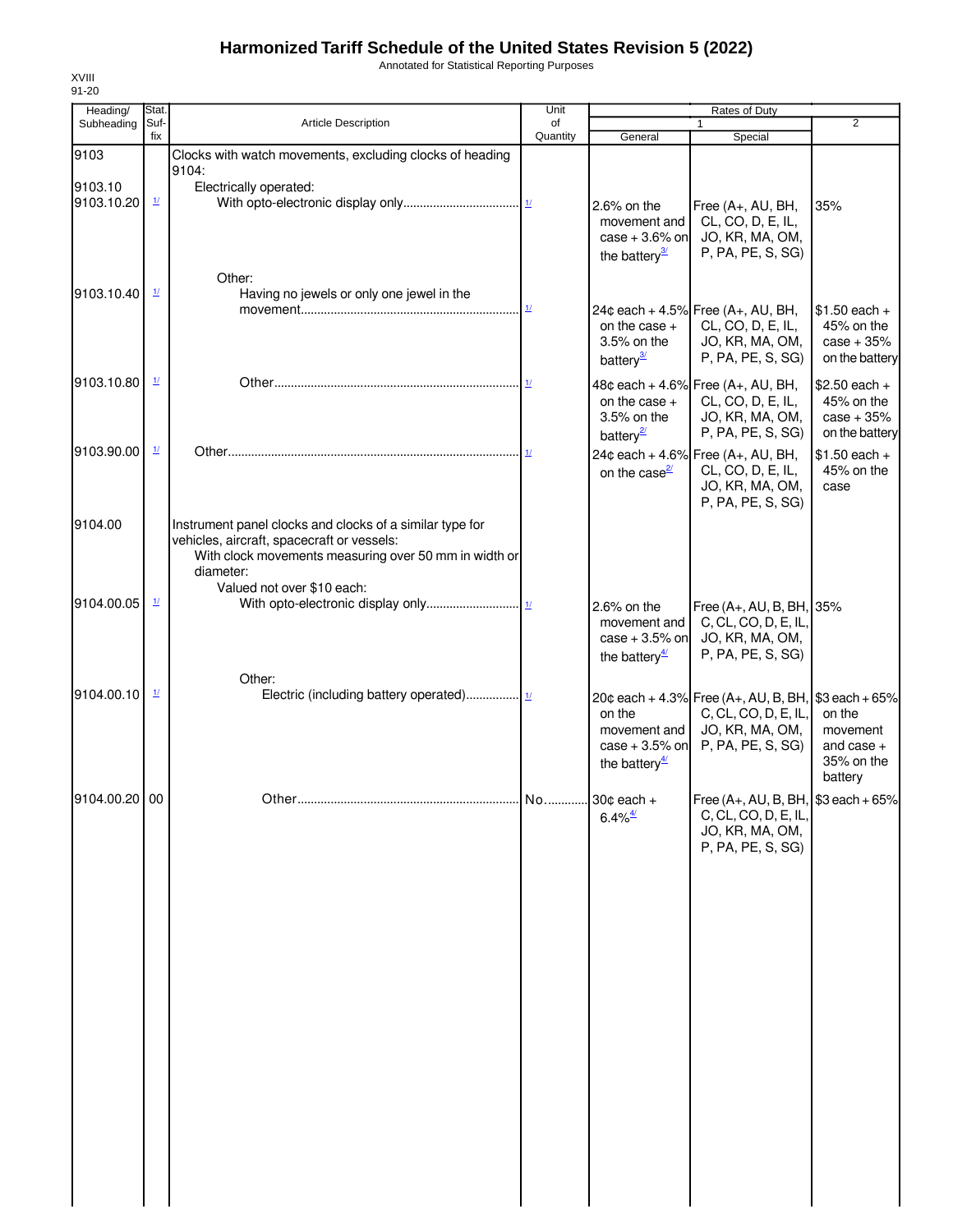Annotated for Statistical Reporting Purposes

| Heading/              | Stat.                    |                                                                                                                                                                              | Unit           |                                                                                           | Rates of Duty                                                                                                                          |                                                                        |
|-----------------------|--------------------------|------------------------------------------------------------------------------------------------------------------------------------------------------------------------------|----------------|-------------------------------------------------------------------------------------------|----------------------------------------------------------------------------------------------------------------------------------------|------------------------------------------------------------------------|
| Subheading            | Suf-<br>fix              | <b>Article Description</b>                                                                                                                                                   | of<br>Quantity | General                                                                                   | $\mathbf{1}$<br>Special                                                                                                                | $\overline{2}$                                                         |
| 9103                  |                          | Clocks with watch movements, excluding clocks of heading<br>9104:                                                                                                            |                |                                                                                           |                                                                                                                                        |                                                                        |
| 9103.10<br>9103.10.20 | $\mathbf{\underline{1}}$ | Electrically operated:                                                                                                                                                       |                | 2.6% on the<br>movement and<br>case $+3.6\%$ on<br>the battery $\frac{3}{2}$              | Free (A+, AU, BH,<br>CL, CO, D, E, IL,<br>JO, KR, MA, OM,<br>P, PA, PE, S, SG)                                                         | 35%                                                                    |
| 9103.10.40            | $\mathbf{\underline{1}}$ | Other:<br>Having no jewels or only one jewel in the                                                                                                                          |                | on the case $+$                                                                           | 24¢ each + 4.5% Free $(A_{+}, AU, BH,$<br>CL, CO, D, E, IL,                                                                            | $$1.50$ each +<br>45% on the                                           |
| 9103.10.80            | $\frac{1}{2}$            |                                                                                                                                                                              |                | 3.5% on the<br>battery <sup>3</sup><br>on the case $+$                                    | JO, KR, MA, OM,<br>P, PA, PE, S, SG)<br>48¢ each + 4.6% Free (A+, AU, BH,<br>CL, CO, D, E, IL,                                         | $case + 35%$<br>on the battery<br>$$2.50$ each +<br>45% on the         |
| 9103.90.00            | $\frac{1}{2}$            |                                                                                                                                                                              |                | 3.5% on the<br>battery <sup>21</sup><br>on the case <sup>21</sup>                         | JO, KR, MA, OM,<br>P, PA, PE, S, SG)<br>24¢ each + 4.6% Free (A+, AU, BH,<br>CL, CO, D, E, IL,<br>JO, KR, MA, OM,<br>P, PA, PE, S, SG) | $case + 35%$<br>on the battery<br>$$1.50$ each +<br>45% on the<br>case |
| 9104.00               |                          | Instrument panel clocks and clocks of a similar type for<br>vehicles, aircraft, spacecraft or vessels:<br>With clock movements measuring over 50 mm in width or<br>diameter: |                |                                                                                           |                                                                                                                                        |                                                                        |
| 9104.00.05            | $\mathbf{\underline{1}}$ | Valued not over \$10 each:                                                                                                                                                   |                | 2.6% on the<br>movement and<br>$case + 3.5%$ on<br>the battery <sup><math>4/</math></sup> | Free (A+, AU, B, BH, 35%<br>C, CL, CO, D, E, IL,<br>JO, KR, MA, OM,<br>P, PA, PE, S, SG)                                               |                                                                        |
| 9104.00.10            | $\frac{1}{2}$            | Other:                                                                                                                                                                       |                | on the<br>movement and<br>$case + 3.5%$ on<br>the battery $\frac{4}{3}$                   | 20¢ each + 4.3% Free (A+, AU, B, BH, $$3$ each + 65%<br>C, CL, CO, D, E, IL,<br>JO, KR, MA, OM,<br>P, PA, PE, S, SG)                   | on the<br>movement<br>and case $+$<br>35% on the<br>battery            |
| 9104.00.20 00         |                          |                                                                                                                                                                              |                | $6.4\%$ <sup>4/</sup>                                                                     | Free $(A_+, AU, B, BH,$ \$3 each + 65%<br>C, CL, CO, D, E, IL,<br>JO, KR, MA, OM,<br>P, PA, PE, S, SG)                                 |                                                                        |
|                       |                          |                                                                                                                                                                              |                |                                                                                           |                                                                                                                                        |                                                                        |
|                       |                          |                                                                                                                                                                              |                |                                                                                           |                                                                                                                                        |                                                                        |
|                       |                          |                                                                                                                                                                              |                |                                                                                           |                                                                                                                                        |                                                                        |
|                       |                          |                                                                                                                                                                              |                |                                                                                           |                                                                                                                                        |                                                                        |
|                       |                          |                                                                                                                                                                              |                |                                                                                           |                                                                                                                                        |                                                                        |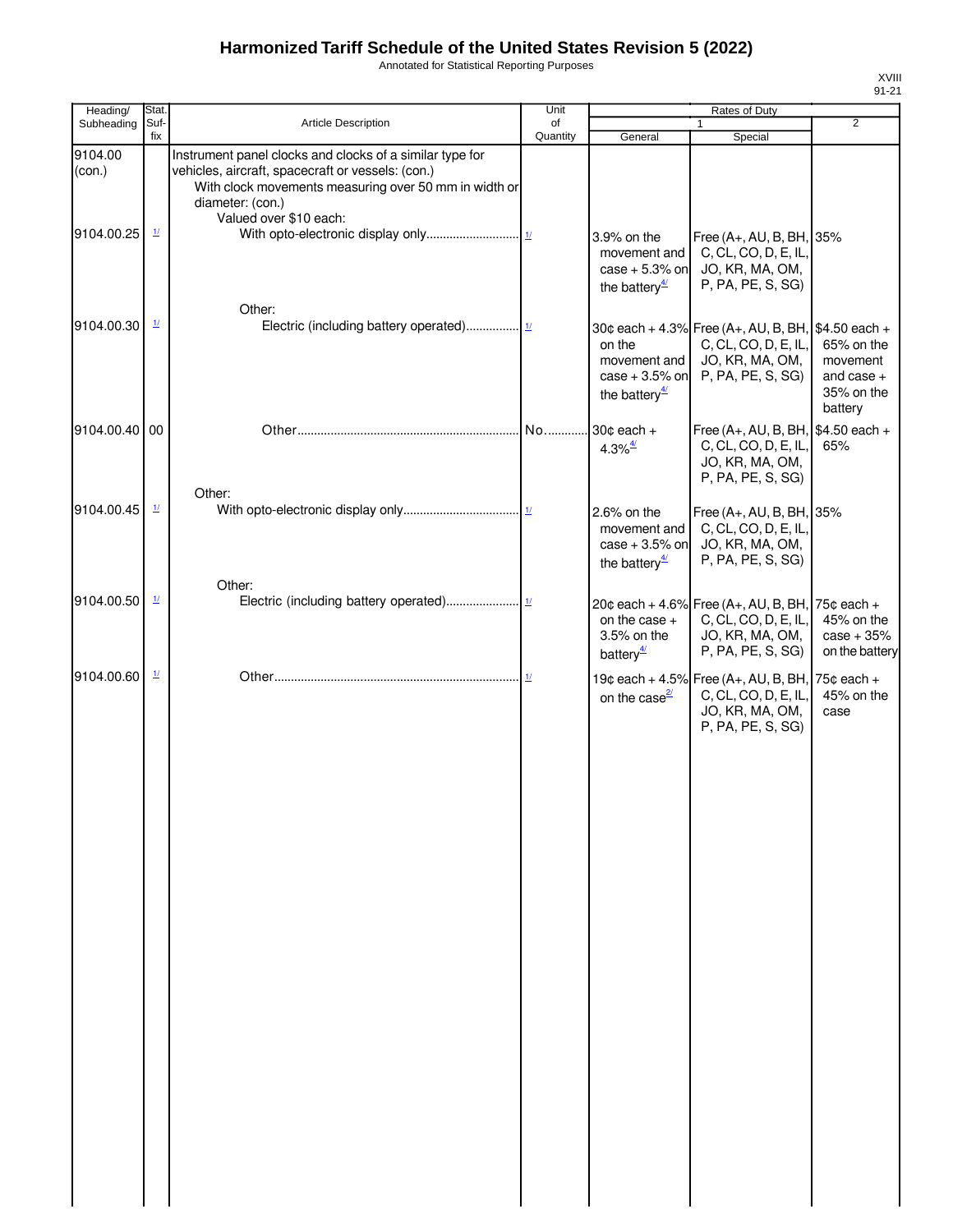Annotated for Statistical Reporting Purposes

| Heading/                        | Stat.                              |                                                                                                                                                                                                                      | Unit           |                                                                                                                   | Rates of Duty                                                                                                                           |                                                                 |
|---------------------------------|------------------------------------|----------------------------------------------------------------------------------------------------------------------------------------------------------------------------------------------------------------------|----------------|-------------------------------------------------------------------------------------------------------------------|-----------------------------------------------------------------------------------------------------------------------------------------|-----------------------------------------------------------------|
| Subheading                      | Suf-<br>fix                        | <b>Article Description</b>                                                                                                                                                                                           | of<br>Quantity | General                                                                                                           | $\mathbf{1}$<br>Special                                                                                                                 | $\overline{2}$                                                  |
| 9104.00<br>(con.)<br>9104.00.25 | $\underline{\mathit{1}\mathit{l}}$ | Instrument panel clocks and clocks of a similar type for<br>vehicles, aircraft, spacecraft or vessels: (con.)<br>With clock movements measuring over 50 mm in width or<br>diameter: (con.)<br>Valued over \$10 each: |                | 3.9% on the<br>movement and<br>case $+5.3\%$ on                                                                   | Free (A+, AU, B, BH, 35%<br>C, CL, CO, D, E, IL,<br>JO, KR, MA, OM,                                                                     |                                                                 |
| 9104.00.30                      | $\frac{1}{2}$                      | Other:                                                                                                                                                                                                               |                | the battery <sup><math>4/</math></sup><br>on the<br>movement and<br>$case + 3.5%$ on<br>the battery $\frac{4}{3}$ | P, PA, PE, S, SG)<br>30¢ each + 4.3% Free (A+, AU, B, BH, \$4.50 each +<br>C, CL, CO, D, E, IL,<br>JO, KR, MA, OM,<br>P, PA, PE, S, SG) | 65% on the<br>movement<br>and case $+$<br>35% on the<br>battery |
| 9104.00.40 00                   |                                    |                                                                                                                                                                                                                      | No             | 30 $\texttt{c}$ each +<br>$4.3\%$ <sup>4/</sup>                                                                   | Free (A+, AU, B, BH, \$4.50 each +<br>C, CL, CO, D, E, IL,<br>JO, KR, MA, OM,<br>P, PA, PE, S, SG)                                      | 65%                                                             |
| 9104.00.45                      | $\underline{1}$                    | Other:                                                                                                                                                                                                               |                | 2.6% on the<br>movement and<br>case $+3.5%$ on<br>the battery $\frac{4}{3}$                                       | Free (A+, AU, B, BH, 35%<br>C, CL, CO, D, E, IL,<br>JO, KR, MA, OM,<br>P, PA, PE, S, SG)                                                |                                                                 |
| 9104.00.50                      | $\mathbf{\underline{1}}$           | Other:                                                                                                                                                                                                               |                | on the case $+$<br>3.5% on the<br>battery $\frac{4}{3}$                                                           | 20¢ each + 4.6% Free (A+, AU, B, BH, 75¢ each +<br>C, CL, CO, D, E, IL,<br>JO, KR, MA, OM,<br>P, PA, PE, S, SG)                         | 45% on the<br>$case + 35%$<br>on the battery                    |
| 9104.00.60                      | $\mathbf{\underline{1}}$           |                                                                                                                                                                                                                      |                | on the case <sup>2/</sup>                                                                                         | 19¢ each + 4.5% Free (A+, AU, B, BH, 75¢ each +<br>C, CL, CO, D, E, IL,<br>JO, KR, MA, OM,<br>P, PA, PE, S, SG)                         | 45% on the<br>case                                              |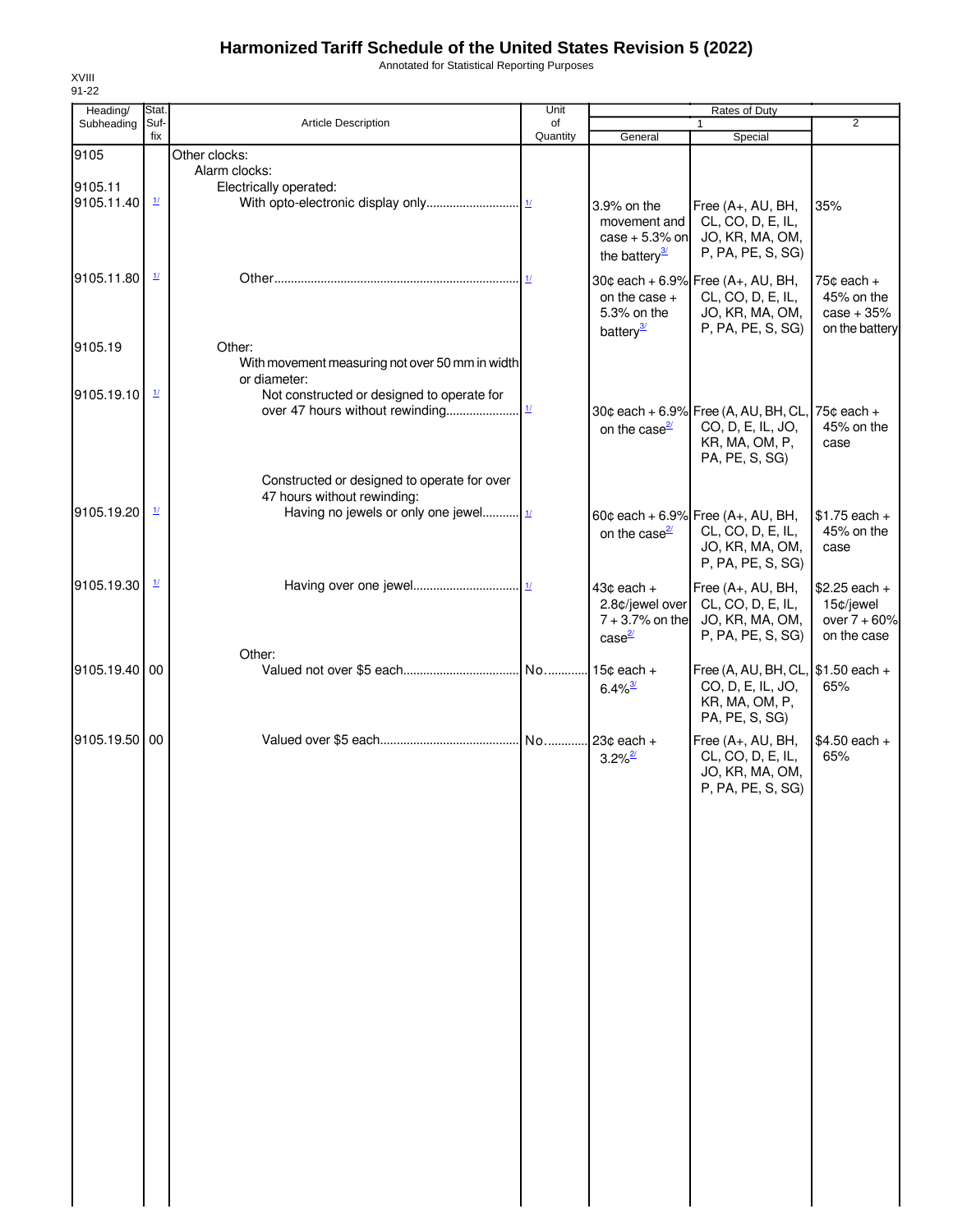Annotated for Statistical Reporting Purposes

| Heading/      | Stat.                     |                                                                            | Unit                      |                                       | Rates of Duty                                            |                |
|---------------|---------------------------|----------------------------------------------------------------------------|---------------------------|---------------------------------------|----------------------------------------------------------|----------------|
| Subheading    | Suf-<br>fix               | Article Description                                                        | of<br>Quantity            | General                               | Special                                                  | $\overline{2}$ |
| 9105          |                           | Other clocks:                                                              |                           |                                       |                                                          |                |
|               |                           | Alarm clocks:                                                              |                           |                                       |                                                          |                |
| 9105.11       |                           | Electrically operated:                                                     |                           |                                       |                                                          |                |
| 9105.11.40    | $\underline{\mathcal{U}}$ |                                                                            |                           | 3.9% on the                           | Free (A+, AU, BH,                                        | 35%            |
|               |                           |                                                                            |                           | movement and                          | CL, CO, D, E, IL,                                        |                |
|               |                           |                                                                            |                           | $case + 5.3%$ on                      | JO, KR, MA, OM,                                          |                |
|               |                           |                                                                            |                           | the battery $\frac{3}{2}$             | P, PA, PE, S, SG)                                        |                |
| 9105.11.80    | $\mathbf{\underline{1}}$  |                                                                            |                           |                                       | 30¢ each + 6.9% Free (A+, AU, BH,                        | $75¢$ each $+$ |
|               |                           |                                                                            |                           | on the case +                         | CL, CO, D, E, IL,                                        | 45% on the     |
|               |                           |                                                                            |                           | 5.3% on the                           | JO, KR, MA, OM,                                          | $case + 35%$   |
| 9105.19       |                           | Other:                                                                     |                           | battery <sup>3/</sup>                 | P, PA, PE, S, SG)                                        | on the battery |
|               |                           | With movement measuring not over 50 mm in width                            |                           |                                       |                                                          |                |
|               |                           | or diameter:                                                               |                           |                                       |                                                          |                |
| 9105.19.10    | 1/                        | Not constructed or designed to operate for                                 |                           |                                       |                                                          |                |
|               |                           | over 47 hours without rewinding                                            | $\underline{\mathbf{1}l}$ |                                       | 30¢ each + 6.9% Free (A, AU, BH, CL, 75¢ each +          |                |
|               |                           |                                                                            |                           | on the case $\frac{2}{3}$             | CO, D, E, IL, JO,                                        | 45% on the     |
|               |                           |                                                                            |                           |                                       | KR, MA, OM, P,<br>PA, PE, S, SG)                         | case           |
|               |                           |                                                                            |                           |                                       |                                                          |                |
|               |                           | Constructed or designed to operate for over<br>47 hours without rewinding: |                           |                                       |                                                          |                |
| 9105.19.20    | $\mathbf{\underline{1}}$  | Having no jewels or only one jewel 11                                      |                           |                                       | 60¢ each + 6.9% Free $(A_{+}, AU, BH,$                   | $$1.75$ each + |
|               |                           |                                                                            |                           | on the case $\frac{2}{3}$             | CL, CO, D, E, IL,                                        | 45% on the     |
|               |                           |                                                                            |                           |                                       | JO, KR, MA, OM,                                          | case           |
|               |                           |                                                                            |                           |                                       | P, PA, PE, S, SG)                                        |                |
| 9105.19.30    | $\frac{1}{2}$             |                                                                            |                           | $43¢$ each $+$                        | Free (A+, AU, BH,                                        | $$2.25$ each + |
|               |                           |                                                                            |                           | 2.8¢/jewel over                       | CL, CO, D, E, IL,                                        | 15¢/jewel      |
|               |                           |                                                                            |                           | $7 + 3.7%$ on the                     | JO, KR, MA, OM,                                          | over $7 + 60%$ |
|               |                           |                                                                            |                           | case <sup>2/</sup>                    | P, PA, PE, S, SG)                                        | on the case    |
| 9105.19.40 00 |                           | Other:                                                                     | .l No.                    |                                       |                                                          |                |
|               |                           |                                                                            |                           | $15¢$ each +<br>$6.4\%$ <sup>3/</sup> | Free (A, AU, BH, CL, $$1.50$ each +<br>CO, D, E, IL, JO, | 65%            |
|               |                           |                                                                            |                           |                                       | KR, MA, OM, P,                                           |                |
|               |                           |                                                                            |                           |                                       | PA, PE, S, SG)                                           |                |
| 9105.19.50 00 |                           |                                                                            |                           | No 23¢ each +                         | Free (A+, AU, BH,                                        | $$4.50$ each + |
|               |                           |                                                                            |                           | $3.2\%$ <sup>2/</sup>                 | CL, CO, D, E, IL,                                        | 65%            |
|               |                           |                                                                            |                           |                                       | JO, KR, MA, OM,                                          |                |
|               |                           |                                                                            |                           |                                       | P, PA, PE, S, SG)                                        |                |
|               |                           |                                                                            |                           |                                       |                                                          |                |
|               |                           |                                                                            |                           |                                       |                                                          |                |
|               |                           |                                                                            |                           |                                       |                                                          |                |
|               |                           |                                                                            |                           |                                       |                                                          |                |
|               |                           |                                                                            |                           |                                       |                                                          |                |
|               |                           |                                                                            |                           |                                       |                                                          |                |
|               |                           |                                                                            |                           |                                       |                                                          |                |
|               |                           |                                                                            |                           |                                       |                                                          |                |
|               |                           |                                                                            |                           |                                       |                                                          |                |
|               |                           |                                                                            |                           |                                       |                                                          |                |
|               |                           |                                                                            |                           |                                       |                                                          |                |
|               |                           |                                                                            |                           |                                       |                                                          |                |
|               |                           |                                                                            |                           |                                       |                                                          |                |
|               |                           |                                                                            |                           |                                       |                                                          |                |
|               |                           |                                                                            |                           |                                       |                                                          |                |
|               |                           |                                                                            |                           |                                       |                                                          |                |
|               |                           |                                                                            |                           |                                       |                                                          |                |
|               |                           |                                                                            |                           |                                       |                                                          |                |
|               |                           |                                                                            |                           |                                       |                                                          |                |
|               |                           |                                                                            |                           |                                       |                                                          |                |
|               |                           |                                                                            |                           |                                       |                                                          |                |
|               |                           |                                                                            |                           |                                       |                                                          |                |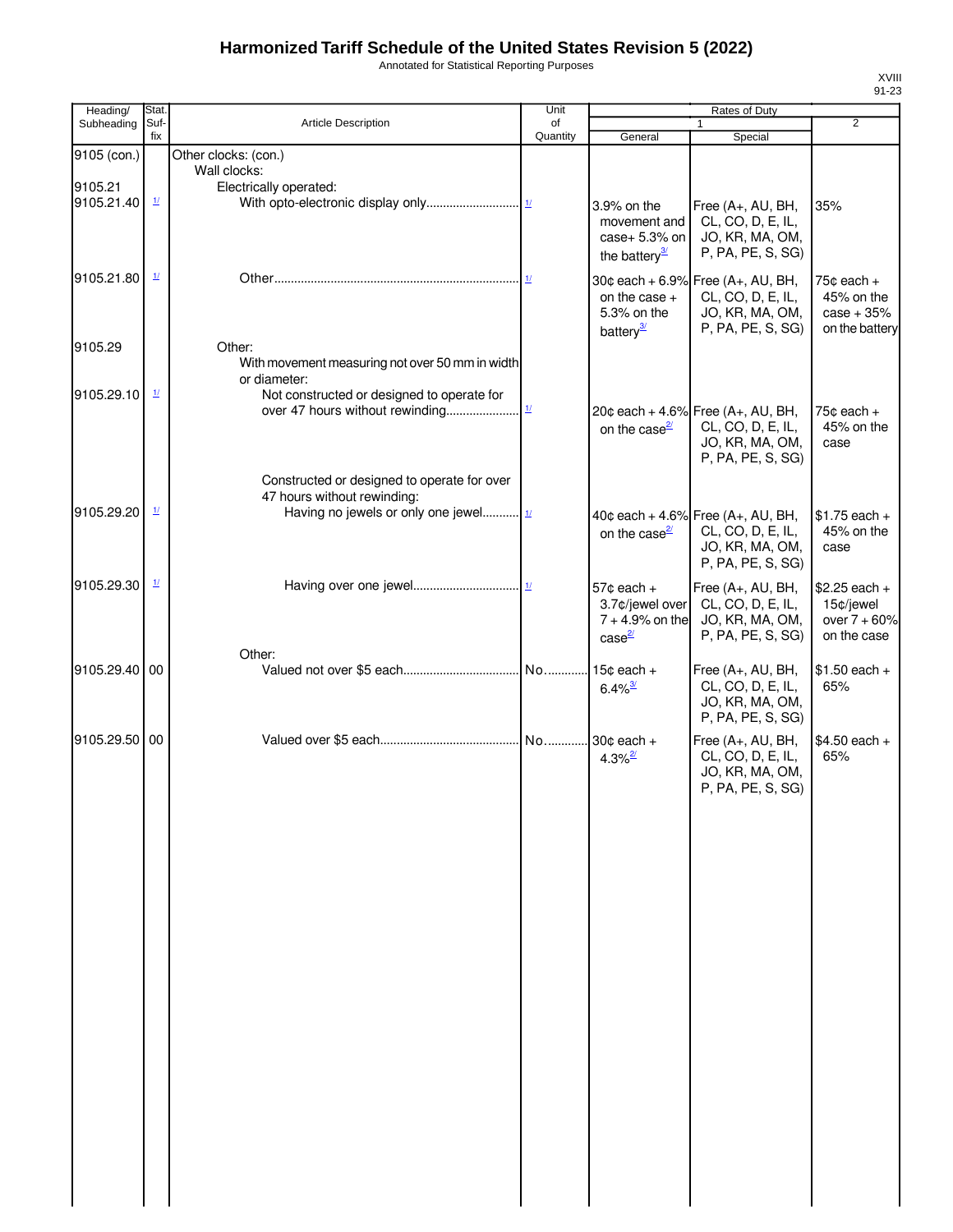Annotated for Statistical Reporting Purposes

| $\overline{2}$<br>Special<br>Free (A+, AU, BH,<br>35%<br>CL, CO, D, E, IL,<br>JO, KR, MA, OM,<br>P, PA, PE, S, SG)<br>30¢ each + 6.9% Free (A+, AU, BH,<br>$75¢$ each +<br>CL, CO, D, E, IL,<br>45% on the<br>JO, KR, MA, OM,<br>$case + 35%$<br>P, PA, PE, S, SG)<br>on the battery |
|--------------------------------------------------------------------------------------------------------------------------------------------------------------------------------------------------------------------------------------------------------------------------------------|
|                                                                                                                                                                                                                                                                                      |
|                                                                                                                                                                                                                                                                                      |
|                                                                                                                                                                                                                                                                                      |
|                                                                                                                                                                                                                                                                                      |
|                                                                                                                                                                                                                                                                                      |
| 20¢ each + 4.6% Free (A+, AU, BH,<br>$75¢$ each +<br>45% on the<br>CL, CO, D, E, IL,<br>JO, KR, MA, OM,<br>case<br>P, PA, PE, S, SG)                                                                                                                                                 |
| 40¢ each + 4.6% Free $(A_{+}, AU, BH,$<br>$$1.75$ each +<br>CL, CO, D, E, IL,<br>45% on the<br>JO, KR, MA, OM,<br>case<br>P, PA, PE, S, SG)                                                                                                                                          |
| Free (A+, AU, BH,<br>$$2.25$ each +<br>15¢/jewel<br>CL, CO, D, E, IL,<br>JO, KR, MA, OM,<br>over $7 + 60%$<br>P, PA, PE, S, SG)<br>on the case                                                                                                                                       |
| $$1.50$ each +<br>Free (A+, AU, BH,<br>CL, CO, D, E, IL,<br>65%<br>JO, KR, MA, OM,<br>P, PA, PE, S, SG)                                                                                                                                                                              |
| Free (A+, AU, BH,<br>$$4.50$ each +<br>65%<br>CL, CO, D, E, IL,<br>JO, KR, MA, OM,<br>P, PA, PE, S, SG)                                                                                                                                                                              |
|                                                                                                                                                                                                                                                                                      |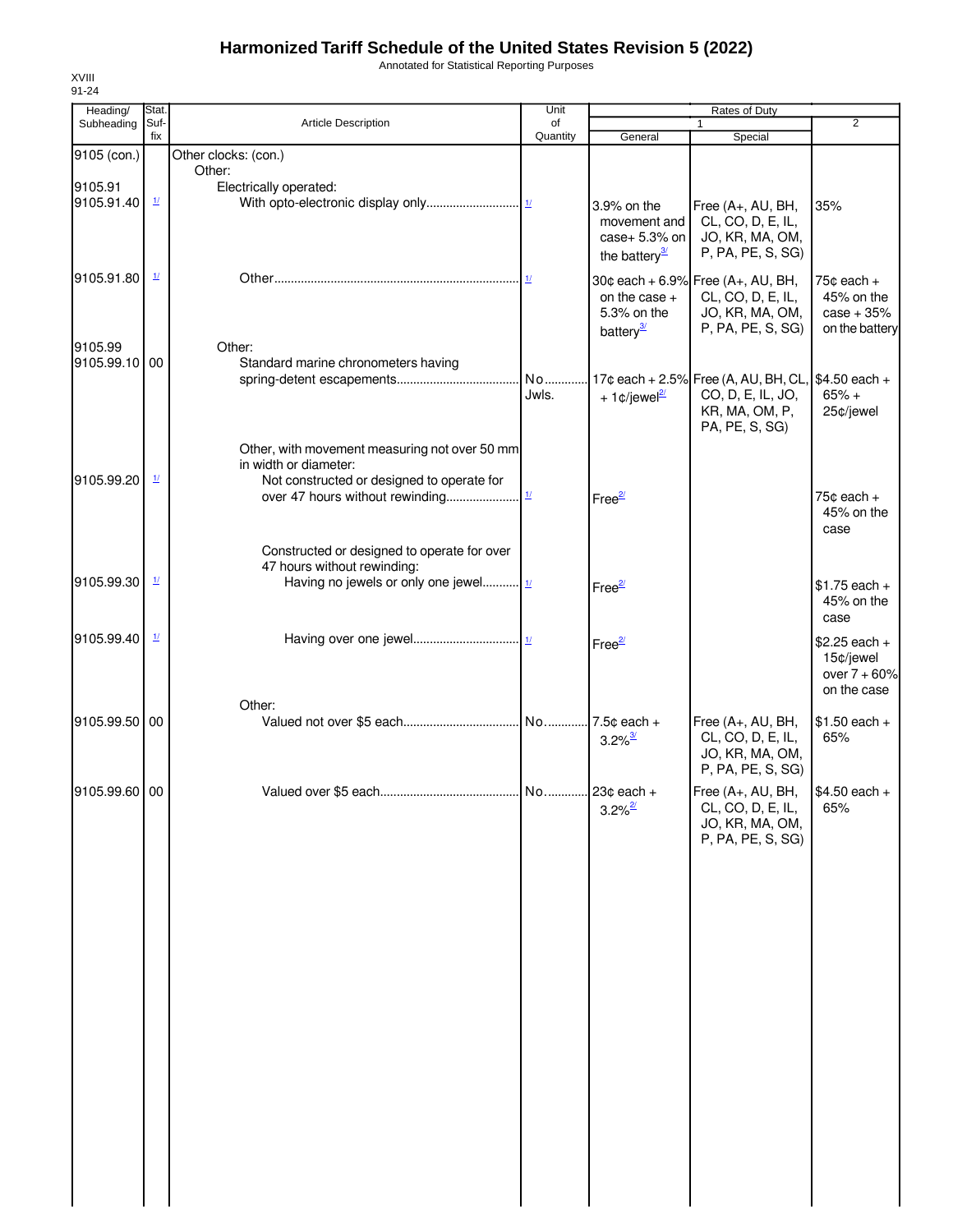Annotated for Statistical Reporting Purposes

| Heading/      | Stat.                    |                                                                        | Unit           |                                | Rates of Duty                                      |                              |
|---------------|--------------------------|------------------------------------------------------------------------|----------------|--------------------------------|----------------------------------------------------|------------------------------|
| Subheading    | Suf-<br>fix              | Article Description                                                    | of<br>Quantity | General                        | $\mathbf{1}$<br>Special                            | $\overline{2}$               |
| 9105 (con.)   |                          | Other clocks: (con.)                                                   |                |                                |                                                    |                              |
|               |                          | Other:                                                                 |                |                                |                                                    |                              |
| 9105.91       |                          | Electrically operated:                                                 |                |                                |                                                    |                              |
| 9105.91.40    | $\mathbf{\underline{1}}$ |                                                                        |                | 3.9% on the                    | Free (A+, AU, BH,                                  | 35%                          |
|               |                          |                                                                        |                | movement and                   | CL, CO, D, E, IL,                                  |                              |
|               |                          |                                                                        |                | case+ $5.3\%$ on               | JO, KR, MA, OM,<br>P, PA, PE, S, SG)               |                              |
|               |                          |                                                                        |                | the battery $\frac{3}{2}$      |                                                    |                              |
| 9105.91.80    | $\mathbf{\underline{1}}$ |                                                                        |                |                                | 30¢ each + 6.9% Free (A+, AU, BH,                  | 75¢ each +                   |
|               |                          |                                                                        |                | on the case $+$<br>5.3% on the | CL, CO, D, E, IL,<br>JO, KR, MA, OM,               | 45% on the<br>$case + 35%$   |
|               |                          |                                                                        |                | battery <sup>3/</sup>          | P, PA, PE, S, SG)                                  | on the battery               |
| 9105.99       |                          | Other:                                                                 |                |                                |                                                    |                              |
| 9105.99.10 00 |                          | Standard marine chronometers having                                    |                |                                |                                                    |                              |
|               |                          |                                                                        | No             |                                | 17¢ each + 2.5% Free (A, AU, BH, CL, \$4.50 each + |                              |
|               |                          |                                                                        | Jwls.          | + 1¢/jewel $\frac{2l}{2}$      | CO, D, E, IL, JO,                                  | $65% +$                      |
|               |                          |                                                                        |                |                                | KR, MA, OM, P,<br>PA, PE, S, SG)                   | 25¢/jewel                    |
|               |                          |                                                                        |                |                                |                                                    |                              |
|               |                          | Other, with movement measuring not over 50 mm<br>in width or diameter: |                |                                |                                                    |                              |
| 9105.99.20    | $\frac{1}{2}$            | Not constructed or designed to operate for                             |                |                                |                                                    |                              |
|               |                          |                                                                        |                | Free <sup>2/</sup>             |                                                    | $75¢$ each +                 |
|               |                          |                                                                        |                |                                |                                                    | 45% on the                   |
|               |                          |                                                                        |                |                                |                                                    | case                         |
|               |                          | Constructed or designed to operate for over                            |                |                                |                                                    |                              |
| 9105.99.30    | $\mathbf{\underline{1}}$ | 47 hours without rewinding:<br>Having no jewels or only one jewel      |                |                                |                                                    |                              |
|               |                          |                                                                        |                | Free <sup>2/</sup>             |                                                    | $$1.75$ each +<br>45% on the |
|               |                          |                                                                        |                |                                |                                                    | case                         |
| 9105.99.40    | $\mathbf{\underline{1}}$ |                                                                        |                |                                |                                                    |                              |
|               |                          |                                                                        |                | Free <sup>2/</sup>             |                                                    | $$2.25$ each +<br>15¢/jewel  |
|               |                          |                                                                        |                |                                |                                                    | over $7 + 60%$               |
|               |                          |                                                                        |                |                                |                                                    | on the case                  |
|               |                          | Other:                                                                 |                |                                |                                                    |                              |
| 9105.99.50 00 |                          |                                                                        |                | 7.5¢ each +                    | Free (A+, AU, BH,<br>CL, CO, D, E, IL,             | $$1.50$ each +<br>65%        |
|               |                          |                                                                        |                | $3.2\%$ <sup>3/</sup>          | JO, KR, MA, OM,                                    |                              |
|               |                          |                                                                        |                |                                | P, PA, PE, S, SG)                                  |                              |
| 9105.99.60 00 |                          |                                                                        |                |                                | Free (A+, AU, BH,                                  | $$4.50$ each +               |
|               |                          |                                                                        |                | $3.2\%$ <sup>2/</sup>          | CL, CO, D, E, IL,                                  | 65%                          |
|               |                          |                                                                        |                |                                | JO, KR, MA, OM,                                    |                              |
|               |                          |                                                                        |                |                                | P, PA, PE, S, SG)                                  |                              |
|               |                          |                                                                        |                |                                |                                                    |                              |
|               |                          |                                                                        |                |                                |                                                    |                              |
|               |                          |                                                                        |                |                                |                                                    |                              |
|               |                          |                                                                        |                |                                |                                                    |                              |
|               |                          |                                                                        |                |                                |                                                    |                              |
|               |                          |                                                                        |                |                                |                                                    |                              |
|               |                          |                                                                        |                |                                |                                                    |                              |
|               |                          |                                                                        |                |                                |                                                    |                              |
|               |                          |                                                                        |                |                                |                                                    |                              |
|               |                          |                                                                        |                |                                |                                                    |                              |
|               |                          |                                                                        |                |                                |                                                    |                              |
|               |                          |                                                                        |                |                                |                                                    |                              |
|               |                          |                                                                        |                |                                |                                                    |                              |
|               |                          |                                                                        |                |                                |                                                    |                              |
|               |                          |                                                                        |                |                                |                                                    |                              |
|               |                          |                                                                        |                |                                |                                                    |                              |
|               |                          |                                                                        |                |                                |                                                    |                              |
|               |                          |                                                                        |                |                                |                                                    |                              |
|               |                          |                                                                        |                |                                |                                                    |                              |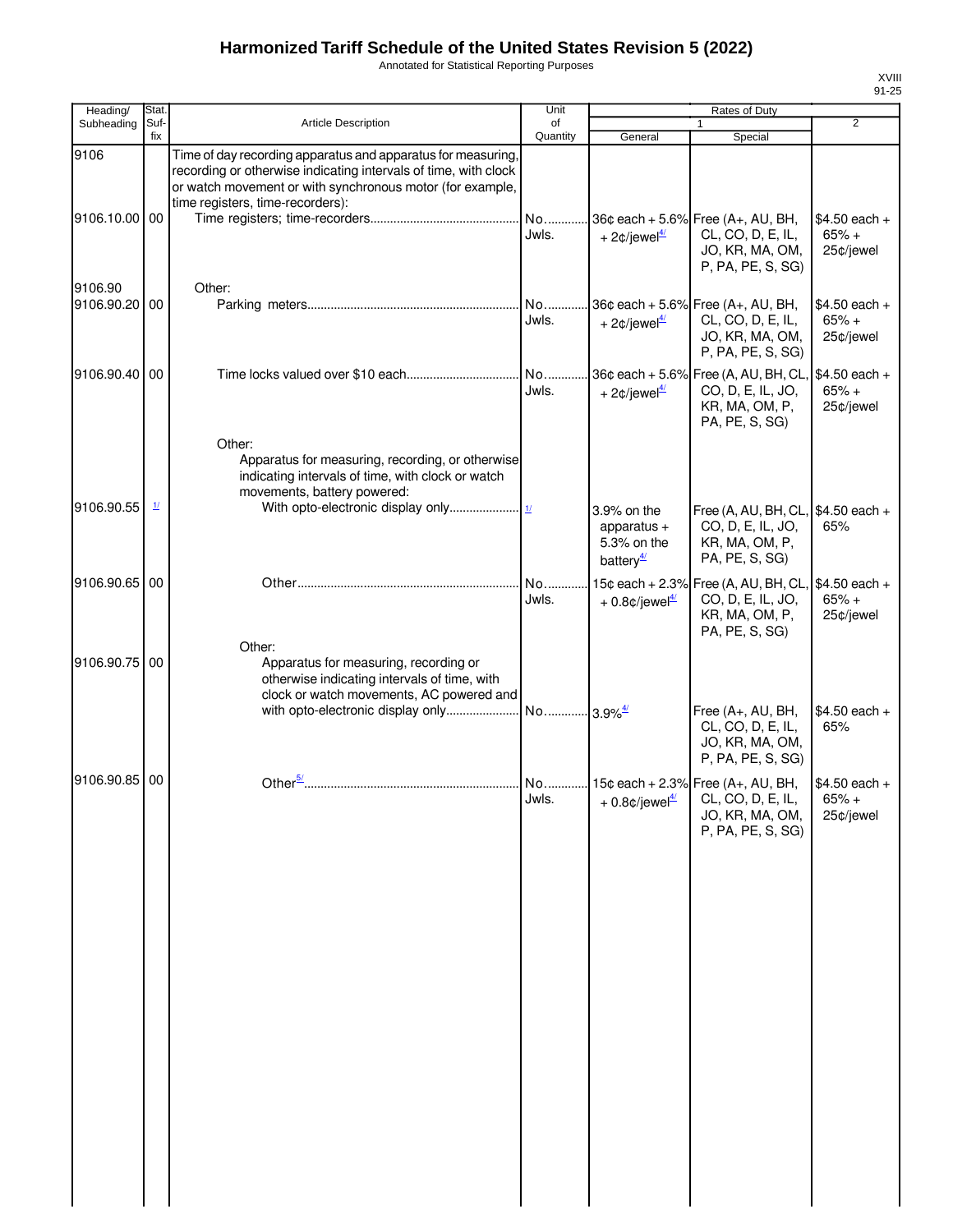Annotated for Statistical Reporting Purposes

| Heading/                 | Stat.                    |                                                                                                                                                                                                                                  | Unit           |                                                                      | Rates of Duty                                                                                     |                                        |
|--------------------------|--------------------------|----------------------------------------------------------------------------------------------------------------------------------------------------------------------------------------------------------------------------------|----------------|----------------------------------------------------------------------|---------------------------------------------------------------------------------------------------|----------------------------------------|
| Subheading               | Suf-<br>fix              | Article Description                                                                                                                                                                                                              | of<br>Quantity | General                                                              | $\mathbf{1}$<br>Special                                                                           | $\overline{2}$                         |
| 9106                     |                          | Time of day recording apparatus and apparatus for measuring,<br>recording or otherwise indicating intervals of time, with clock<br>or watch movement or with synchronous motor (for example,<br>time registers, time-recorders): |                |                                                                      |                                                                                                   |                                        |
| 9106.10.00 00            |                          |                                                                                                                                                                                                                                  | No<br>Jwls.    | + 2 $\phi$ /jewel <sup>4/</sup>                                      | 36¢ each + 5.6% Free (A+, AU, BH,<br>CL, CO, D, E, IL,<br>JO, KR, MA, OM,<br>P, PA, PE, S, SG)    | $$4.50$ each +<br>$65% +$<br>25¢/jewel |
| 9106.90<br>9106.90.20 00 |                          | Other:                                                                                                                                                                                                                           | No<br>Jwls.    | + 2 $\text{\degree}$ /jewel <sup>4/</sup>                            | 36¢ each + 5.6% Free (A+, AU, BH,<br>CL, CO, D, E, IL,<br>JO, KR, MA, OM,<br>P, PA, PE, S, SG)    | $$4.50$ each +<br>$65% +$<br>25¢/jewel |
| 9106.90.40 00            |                          |                                                                                                                                                                                                                                  | No<br>Jwls.    | + 2 $\phi$ /jewel <sup>4/</sup>                                      | 36¢ each + 5.6% Free (A, AU, BH, CL,<br>CO, D, E, IL, JO,<br>KR, MA, OM, P,<br>PA, PE, S, SG)     | \$4.50 each +<br>$65% +$<br>25¢/jewel  |
|                          | $\mathbf{\underline{1}}$ | Other:<br>Apparatus for measuring, recording, or otherwise<br>indicating intervals of time, with clock or watch<br>movements, battery powered:                                                                                   |                |                                                                      |                                                                                                   |                                        |
| 9106.90.55               |                          |                                                                                                                                                                                                                                  |                | 3.9% on the<br>apparatus $+$<br>5.3% on the<br>battery $\frac{4}{3}$ | Free (A, AU, BH, CL, \$4.50 each +<br>CO, D, E, IL, JO,<br>KR, MA, OM, P,<br>PA, PE, S, SG)       | 65%                                    |
| 9106.90.65 00            |                          |                                                                                                                                                                                                                                  | No<br>Jwls.    | 15¢ each + 2.3%<br>$+0.8$ ¢/jewel <sup>4/</sup>                      | Free (A, AU, BH, CL, \$4.50 each +<br>CO, D, E, IL, JO,<br>KR, MA, OM, P,<br>PA, PE, S, SG)       | $65% +$<br>25¢/jewel                   |
| 9106.90.75 00            |                          | Other:<br>Apparatus for measuring, recording or<br>otherwise indicating intervals of time, with<br>clock or watch movements, AC powered and                                                                                      |                |                                                                      | Free (A+, AU, BH,                                                                                 | $$4.50$ each +                         |
|                          |                          |                                                                                                                                                                                                                                  |                |                                                                      | CL, CO, D, E, IL,<br>JO, KR, MA, OM,<br>P, PA, PE, S, SG)                                         | 65%                                    |
| 9106.90.85 00            |                          |                                                                                                                                                                                                                                  | Jwls.          | $+0.8$ ¢/jewel $\frac{4}{3}$                                         | No 15¢ each + 2.3% Free (A+, AU, BH,<br>CL, CO, D, E, IL,<br>JO, KR, MA, OM,<br>P, PA, PE, S, SG) | $$4.50$ each +<br>$65% +$<br>25¢/jewel |
|                          |                          |                                                                                                                                                                                                                                  |                |                                                                      |                                                                                                   |                                        |
|                          |                          |                                                                                                                                                                                                                                  |                |                                                                      |                                                                                                   |                                        |
|                          |                          |                                                                                                                                                                                                                                  |                |                                                                      |                                                                                                   |                                        |
|                          |                          |                                                                                                                                                                                                                                  |                |                                                                      |                                                                                                   |                                        |
|                          |                          |                                                                                                                                                                                                                                  |                |                                                                      |                                                                                                   |                                        |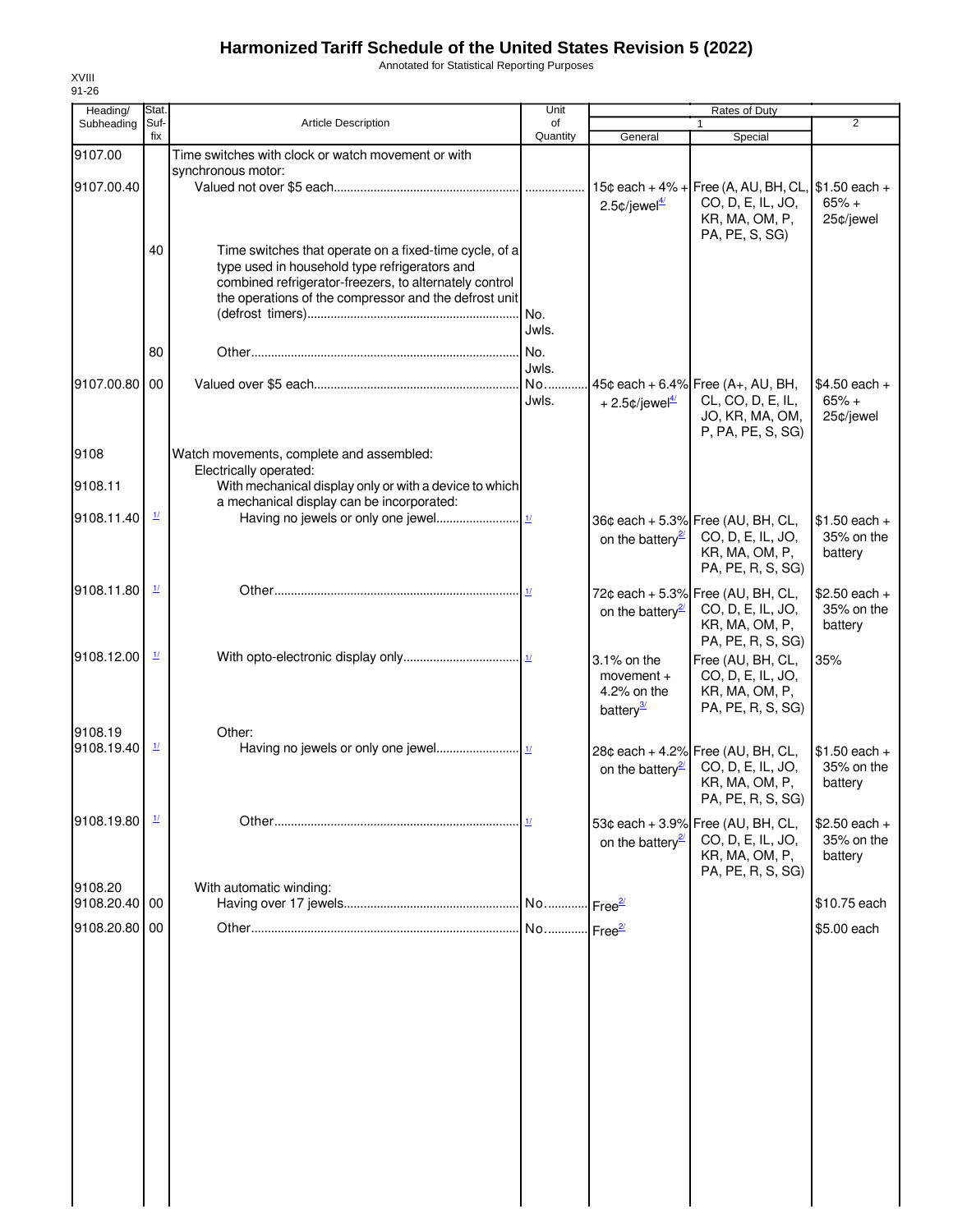Annotated for Statistical Reporting Purposes

| Heading/                 | Stat.                    |                                                                                                                                                                                                                            | Unit                  |                                                                     | Rates of Duty                                                                                               |                                         |
|--------------------------|--------------------------|----------------------------------------------------------------------------------------------------------------------------------------------------------------------------------------------------------------------------|-----------------------|---------------------------------------------------------------------|-------------------------------------------------------------------------------------------------------------|-----------------------------------------|
| Subheading               | Suf-<br>fix              | <b>Article Description</b>                                                                                                                                                                                                 | of<br>Quantity        | General                                                             | 1<br>Special                                                                                                | 2                                       |
| 9107.00                  |                          | Time switches with clock or watch movement or with                                                                                                                                                                         |                       |                                                                     |                                                                                                             |                                         |
| 9107.00.40               |                          | synchronous motor:                                                                                                                                                                                                         |                       | 2.5 $\phi$ /jewel $\frac{4}{2}$                                     | 15¢ each + 4% + Free (A, AU, BH, CL, \$1.50 each +<br>CO, D, E, IL, JO,<br>KR, MA, OM, P,<br>PA, PE, S, SG) | $65% +$<br>25¢/jewel                    |
|                          | 40                       | Time switches that operate on a fixed-time cycle, of a<br>type used in household type refrigerators and<br>combined refrigerator-freezers, to alternately control<br>the operations of the compressor and the defrost unit | No.<br>Jwls.          |                                                                     |                                                                                                             |                                         |
|                          | 80                       |                                                                                                                                                                                                                            | No.<br>Jwls.          |                                                                     |                                                                                                             |                                         |
| 9107.00.80 00            |                          |                                                                                                                                                                                                                            | No<br>Jwls.           | + 2.5 $\text{\textdegree}$ /jewel $\frac{4}{2}$                     | 45¢ each + 6.4% Free (A+, AU, BH,<br>CL, CO, D, E, IL,<br>JO, KR, MA, OM,<br>P, PA, PE, S, SG)              | $$4.50$ each +<br>$65% +$<br>25¢/jewel  |
| 9108                     |                          | Watch movements, complete and assembled:<br>Electrically operated:                                                                                                                                                         |                       |                                                                     |                                                                                                             |                                         |
| 9108.11                  |                          | With mechanical display only or with a device to which<br>a mechanical display can be incorporated:                                                                                                                        |                       |                                                                     |                                                                                                             |                                         |
| 9108.11.40               | $\mathbf{\underline{1}}$ |                                                                                                                                                                                                                            |                       | on the battery $\frac{2l}{2}$                                       | 36¢ each + 5.3% Free (AU, BH, CL,<br>CO, D, E, IL, JO,<br>KR, MA, OM, P,<br>PA, PE, R, S, SG)               | $$1.50$ each +<br>35% on the<br>battery |
| 9108.11.80               | $\frac{1}{2}$            |                                                                                                                                                                                                                            | 1/                    | on the battery <sup>21</sup>                                        | 72¢ each + 5.3% Free (AU, BH, CL,<br>CO, D, E, IL, JO,<br>KR, MA, OM, P,<br>PA, PE, R, S, SG)               | $$2.50$ each +<br>35% on the<br>battery |
| 9108.12.00               | $\frac{1}{2}$            |                                                                                                                                                                                                                            |                       | 3.1% on the<br>movement $+$<br>4.2% on the<br>battery <sup>3/</sup> | Free (AU, BH, CL,<br>CO, D, E, IL, JO,<br>KR, MA, OM, P,<br>PA, PE, R, S, SG)                               | 35%                                     |
| 9108.19<br>9108.19.40    | $\frac{1}{2}$            | Other:                                                                                                                                                                                                                     |                       | on the battery <sup>21</sup>                                        | 28¢ each + 4.2% Free (AU, BH, CL,<br>CO, D, E, IL, JO,<br>KR, MA, OM, P,<br>PA, PE, R, S, SG)               | $$1.50$ each +<br>35% on the<br>battery |
| 9108.19.80               | $\frac{1}{2}$            |                                                                                                                                                                                                                            |                       | on the battery <sup>21</sup>                                        | 53¢ each + 3.9% Free (AU, BH, CL,<br>CO, D, E, IL, JO,<br>KR, MA, OM, P,<br>PA, PE, R, S, SG)               | $$2.50$ each +<br>35% on the<br>battery |
| 9108.20<br>9108.20.40 00 |                          | With automatic winding:                                                                                                                                                                                                    | No                    | $\cdot$ Free <sup>2/</sup>                                          |                                                                                                             | \$10.75 each                            |
| 9108.20.80 00            |                          |                                                                                                                                                                                                                            | No Free <sup>2/</sup> |                                                                     |                                                                                                             | \$5.00 each                             |
|                          |                          |                                                                                                                                                                                                                            |                       |                                                                     |                                                                                                             |                                         |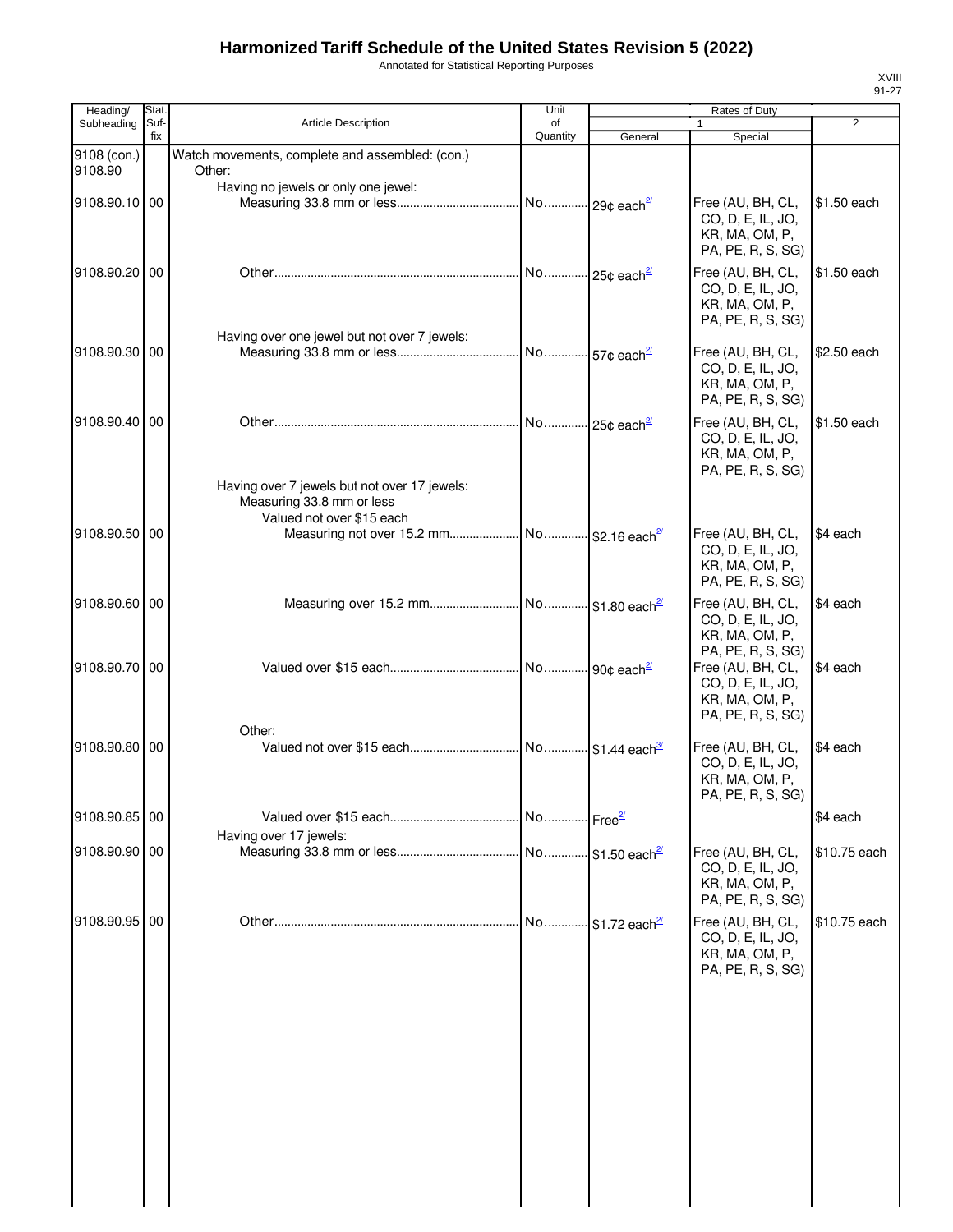Annotated for Statistical Reporting Purposes

| Heading/      | Stat.       |                                                        | Unit                      |                            | Rates of Duty                          |                |
|---------------|-------------|--------------------------------------------------------|---------------------------|----------------------------|----------------------------------------|----------------|
| Subheading    | Suf-<br>fix | <b>Article Description</b>                             | of<br>Quantity            | General                    | 1<br>Special                           | $\overline{2}$ |
| 9108 (con.)   |             | Watch movements, complete and assembled: (con.)        |                           |                            |                                        |                |
| 9108.90       |             | Other:                                                 |                           |                            |                                        |                |
|               |             | Having no jewels or only one jewel:                    |                           |                            |                                        |                |
| 9108.90.10 00 |             |                                                        |                           |                            | Free (AU, BH, CL,<br>CO, D, E, IL, JO, | \$1.50 each    |
|               |             |                                                        |                           |                            | KR, MA, OM, P,                         |                |
|               |             |                                                        |                           |                            | PA, PE, R, S, SG)                      |                |
| 9108.90.20 00 |             |                                                        |                           |                            | Free (AU, BH, CL,                      | \$1.50 each    |
|               |             |                                                        |                           |                            | CO, D, E, IL, JO,                      |                |
|               |             |                                                        |                           |                            | KR, MA, OM, P,<br>PA, PE, R, S, SG)    |                |
|               |             | Having over one jewel but not over 7 jewels:           |                           |                            |                                        |                |
| 9108.90.30 00 |             |                                                        | No 57¢ each <sup>27</sup> |                            | Free (AU, BH, CL,                      | \$2.50 each    |
|               |             |                                                        |                           |                            | CO, D, E, IL, JO,                      |                |
|               |             |                                                        |                           |                            | KR, MA, OM, P,                         |                |
|               |             |                                                        |                           |                            | PA, PE, R, S, SG)                      |                |
| 9108.90.40 00 |             |                                                        |                           |                            | Free (AU, BH, CL,<br>CO, D, E, IL, JO, | \$1.50 each    |
|               |             |                                                        |                           |                            | KR, MA, OM, P,                         |                |
|               |             |                                                        |                           |                            | PA, PE, R, S, SG)                      |                |
|               |             | Having over 7 jewels but not over 17 jewels:           |                           |                            |                                        |                |
|               |             | Measuring 33.8 mm or less<br>Valued not over \$15 each |                           |                            |                                        |                |
| 9108.90.50 00 |             |                                                        |                           |                            | Free (AU, BH, CL,                      | \$4 each       |
|               |             |                                                        |                           |                            | CO, D, E, IL, JO,                      |                |
|               |             |                                                        |                           |                            | KR, MA, OM, P,                         |                |
|               |             |                                                        |                           |                            | PA, PE, R, S, SG)                      |                |
| 9108.90.60 00 |             |                                                        |                           |                            | Free (AU, BH, CL,                      | \$4 each       |
|               |             |                                                        |                           |                            | CO, D, E, IL, JO,<br>KR, MA, OM, P,    |                |
|               |             |                                                        |                           |                            | PA, PE, R, S, SG)                      |                |
| 9108.90.70 00 |             |                                                        |                           |                            | Free (AU, BH, CL,                      | \$4 each       |
|               |             |                                                        |                           |                            | CO, D, E, IL, JO,                      |                |
|               |             |                                                        |                           |                            | KR, MA, OM, P,<br>PA, PE, R, S, SG)    |                |
|               |             | Other:                                                 |                           |                            |                                        |                |
| 9108.90.80 00 |             |                                                        |                           |                            | Free (AU, BH, CL,                      | \$4 each       |
|               |             |                                                        |                           |                            | CO, D, E, IL, JO,                      |                |
|               |             |                                                        |                           |                            | KR, MA, OM, P,<br>PA, PE, R, S, SG)    |                |
| 9108.90.85 00 |             |                                                        |                           |                            |                                        | \$4 each       |
|               |             | Having over 17 jewels:                                 |                           |                            |                                        |                |
| 9108.90.90 00 |             |                                                        |                           |                            | Free (AU, BH, CL,                      | \$10.75 each   |
|               |             |                                                        |                           |                            | CO, D, E, IL, JO,                      |                |
|               |             |                                                        |                           |                            | KR, MA, OM, P,<br>PA, PE, R, S, SG)    |                |
|               |             |                                                        |                           |                            |                                        |                |
| 9108.90.95 00 |             |                                                        | No                        | $$1.72$ each <sup>27</sup> | Free (AU, BH, CL,<br>CO, D, E, IL, JO, | \$10.75 each   |
|               |             |                                                        |                           |                            | KR, MA, OM, P,                         |                |
|               |             |                                                        |                           |                            | PA, PE, R, S, SG)                      |                |
|               |             |                                                        |                           |                            |                                        |                |
|               |             |                                                        |                           |                            |                                        |                |
|               |             |                                                        |                           |                            |                                        |                |
|               |             |                                                        |                           |                            |                                        |                |
|               |             |                                                        |                           |                            |                                        |                |
|               |             |                                                        |                           |                            |                                        |                |
|               |             |                                                        |                           |                            |                                        |                |
|               |             |                                                        |                           |                            |                                        |                |
|               |             |                                                        |                           |                            |                                        |                |
|               |             |                                                        |                           |                            |                                        |                |
|               |             |                                                        |                           |                            |                                        |                |
|               |             |                                                        |                           |                            |                                        |                |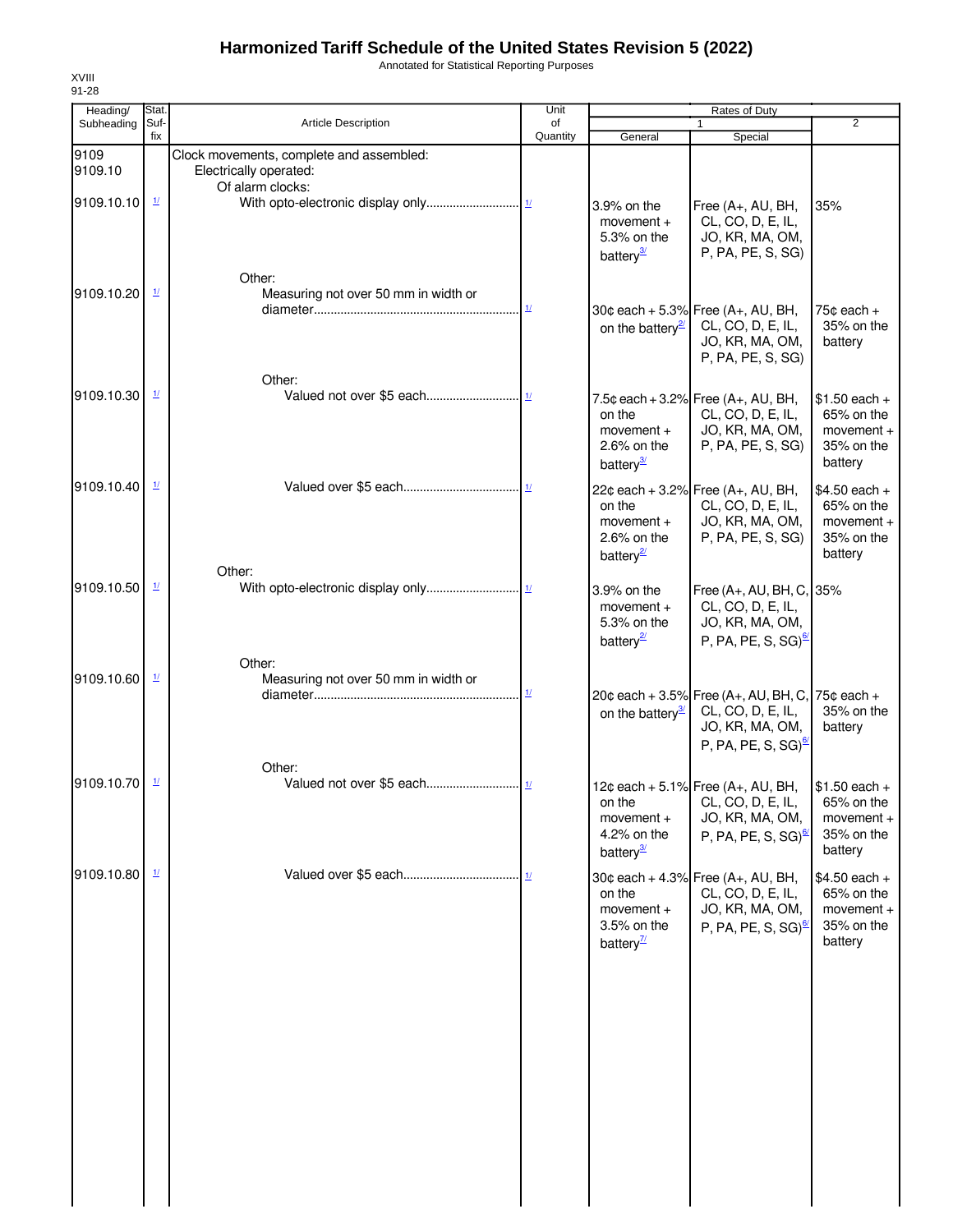Annotated for Statistical Reporting Purposes

| Heading/        | Stat.                    |                                                                                        | Unit                               |                                                                     | <b>Rates of Duty</b>                                                                                                        |                                                                       |
|-----------------|--------------------------|----------------------------------------------------------------------------------------|------------------------------------|---------------------------------------------------------------------|-----------------------------------------------------------------------------------------------------------------------------|-----------------------------------------------------------------------|
| Subheading      | Suf-<br>fix              | <b>Article Description</b>                                                             | of<br>Quantity                     | General                                                             | $\mathbf{1}$<br>Special                                                                                                     | 2                                                                     |
| 9109<br>9109.10 |                          | Clock movements, complete and assembled:<br>Electrically operated:<br>Of alarm clocks: |                                    |                                                                     |                                                                                                                             |                                                                       |
| 9109.10.10      | $\frac{1}{2}$            |                                                                                        |                                    | 3.9% on the<br>movement $+$<br>5.3% on the<br>battery <sup>3/</sup> | Free (A+, AU, BH,<br>CL, CO, D, E, IL,<br>JO, KR, MA, OM,<br>P, PA, PE, S, SG)                                              | 35%                                                                   |
| 9109.10.20      | $\frac{1}{2}$            | Other:<br>Measuring not over 50 mm in width or                                         | $\underline{\mathbf{1}\mathbf{1}}$ | on the battery $\frac{2}{3}$                                        | 30¢ each + 5.3% Free (A+, AU, BH,<br>CL, CO, D, E, IL,<br>JO, KR, MA, OM,<br>P, PA, PE, S, SG)                              | 75 $¢$ each $+$<br>35% on the<br>battery                              |
| 9109.10.30      | $\frac{1}{2}$            | Other:                                                                                 |                                    | on the<br>movement $+$<br>$2.6\%$ on the<br>battery <sup>3/</sup>   | 7.5¢ each + 3.2% Free $(A_{+}, AU, BH,$<br>CL, CO, D, E, IL,<br>JO, KR, MA, OM,<br>P, PA, PE, S, SG)                        | $$1.50$ each +<br>65% on the<br>$momentum +$<br>35% on the<br>battery |
| 9109.10.40      | $\mathbf{\underline{1}}$ | Other:                                                                                 |                                    | on the<br>$moverent +$<br>2.6% on the<br>battery <sup>2</sup>       | 22¢ each + 3.2% Free (A+, AU, BH,<br>CL, CO, D, E, IL,<br>JO, KR, MA, OM,<br>P, PA, PE, S, SG)                              | $$4.50$ each +<br>65% on the<br>$momentum +$<br>35% on the<br>battery |
| 9109.10.50      | $\mathbf{\underline{1}}$ | Other:                                                                                 |                                    | 3.9% on the<br>movement $+$<br>5.3% on the<br>battery <sup>2</sup>  | Free (A+, AU, BH, C, 35%<br>CL, CO, D, E, IL,<br>JO, KR, MA, OM,<br>P, PA, PE, S, SG) $\frac{67}{2}$                        |                                                                       |
| 9109.10.60      | $\frac{1}{2}$            | Measuring not over 50 mm in width or                                                   | $\frac{1}{2}$                      | on the battery $\frac{3}{2}$                                        | 20¢ each + 3.5% Free (A+, AU, BH, C, 75¢ each +<br>CL, CO, D, E, IL,<br>JO, KR, MA, OM,<br>P, PA, PE, S, SG) $\frac{67}{2}$ | 35% on the<br>battery                                                 |
| 9109.10.70      | $\mathbf{\underline{1}}$ | Other:                                                                                 |                                    | on the<br>movement +<br>4.2% on the<br>battery <sup>3/</sup>        | 12¢ each + 5.1% Free $(A_{+}, AU, BH,$<br>CL, CO, D, E, IL,<br>JO, KR, MA, OM,<br>P, PA, PE, S, SG) $\frac{67}{2}$          | $$1.50$ each +<br>65% on the<br>movement +<br>35% on the<br>battery   |
| 9109.10.80      | $\mathcal{U}$            |                                                                                        |                                    | on the<br>$momentum +$<br>3.5% on the<br>battery $\frac{7}{2}$      | 30¢ each + 4.3% Free (A+, AU, BH,<br>CL, CO, D, E, IL,<br>JO, KR, MA, OM,<br>P, PA, PE, S, SG) $\frac{67}{2}$               | $$4.50$ each +<br>65% on the<br>movement $+$<br>35% on the<br>battery |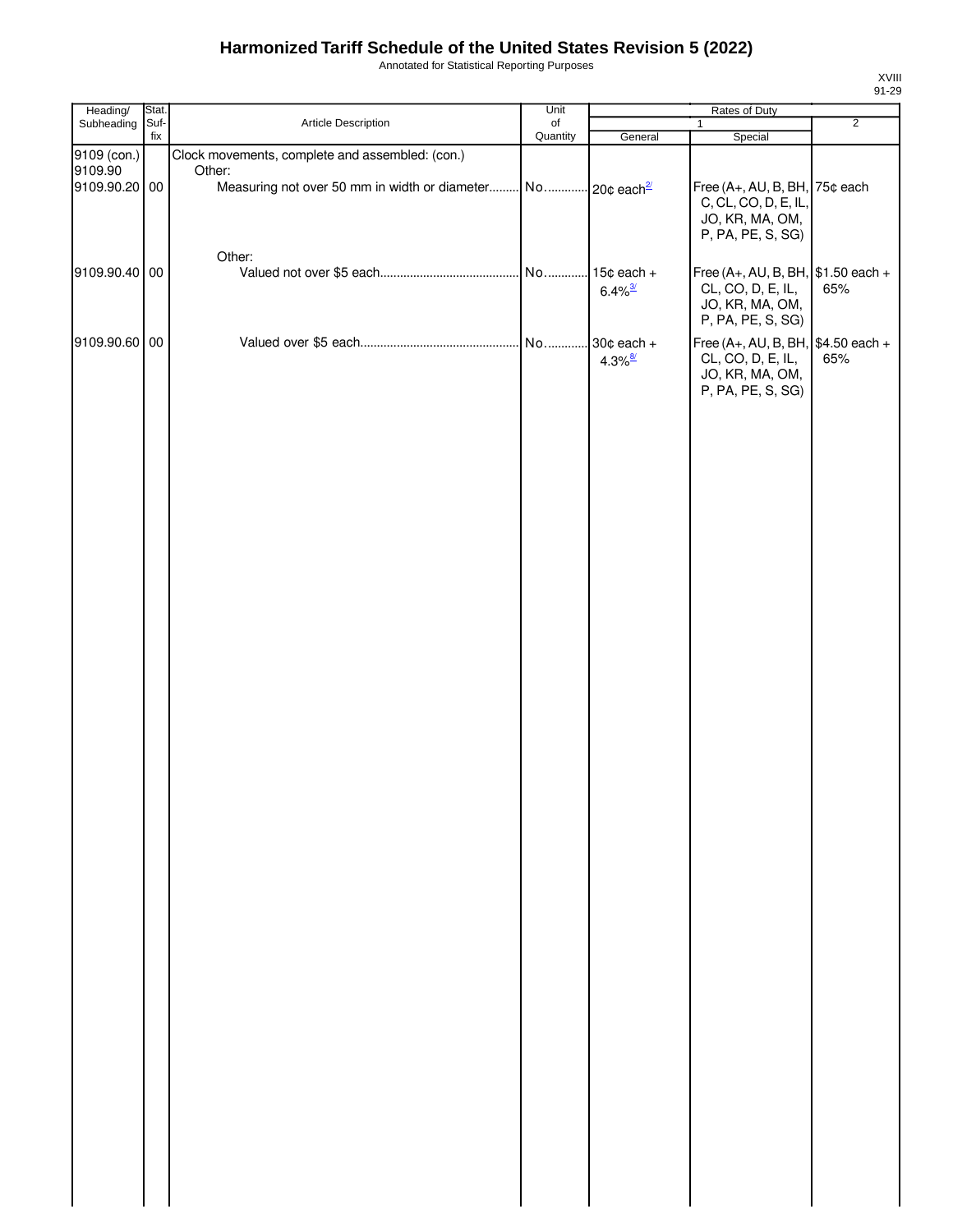Annotated for Statistical Reporting Purposes

| Heading/      | Stat. |                                                                         | Unit     |                       | Rates of Duty                       |                |
|---------------|-------|-------------------------------------------------------------------------|----------|-----------------------|-------------------------------------|----------------|
| Subheading    | Suf-  | Article Description                                                     | of       |                       | $\mathbf{1}$                        | $\overline{2}$ |
|               | fix   |                                                                         | Quantity | General               | Special                             |                |
| 9109 (con.)   |       | Clock movements, complete and assembled: (con.)                         |          |                       |                                     |                |
| 9109.90       |       | Other:                                                                  |          |                       |                                     |                |
| 9109.90.20 00 |       | Measuring not over 50 mm in width or diameter No 20¢ each <sup>21</sup> |          |                       | Free (A+, AU, B, BH, 75¢ each       |                |
|               |       |                                                                         |          |                       | C, CL, CO, D, E, IL,                |                |
|               |       |                                                                         |          |                       |                                     |                |
|               |       |                                                                         |          |                       | JO, KR, MA, OM,                     |                |
|               |       |                                                                         |          |                       | P, PA, PE, S, SG)                   |                |
|               |       | Other:                                                                  |          |                       |                                     |                |
| 9109.90.40 00 |       |                                                                         |          | $.15¢$ each +         | Free (A+, AU, B, BH, $$1.50$ each + |                |
|               |       |                                                                         |          |                       |                                     |                |
|               |       |                                                                         |          | $6.4\%$ <sup>3/</sup> | CL, CO, D, E, IL,                   | 65%            |
|               |       |                                                                         |          |                       | JO, KR, MA, OM,                     |                |
|               |       |                                                                         |          |                       | P, PA, PE, S, SG)                   |                |
| 9109.90.60 00 |       |                                                                         | No       | $30¢$ each +          | Free (A+, AU, B, BH, $$4.50$ each + |                |
|               |       |                                                                         |          |                       |                                     |                |
|               |       |                                                                         |          | $4.3\%$ <sup>8/</sup> | CL, CO, D, E, IL,                   | 65%            |
|               |       |                                                                         |          |                       | JO, KR, MA, OM,                     |                |
|               |       |                                                                         |          |                       | P, PA, PE, S, SG)                   |                |
|               |       |                                                                         |          |                       |                                     |                |
|               |       |                                                                         |          |                       |                                     |                |
|               |       |                                                                         |          |                       |                                     |                |
|               |       |                                                                         |          |                       |                                     |                |
|               |       |                                                                         |          |                       |                                     |                |
|               |       |                                                                         |          |                       |                                     |                |
|               |       |                                                                         |          |                       |                                     |                |
|               |       |                                                                         |          |                       |                                     |                |
|               |       |                                                                         |          |                       |                                     |                |
|               |       |                                                                         |          |                       |                                     |                |
|               |       |                                                                         |          |                       |                                     |                |
|               |       |                                                                         |          |                       |                                     |                |
|               |       |                                                                         |          |                       |                                     |                |
|               |       |                                                                         |          |                       |                                     |                |
|               |       |                                                                         |          |                       |                                     |                |
|               |       |                                                                         |          |                       |                                     |                |
|               |       |                                                                         |          |                       |                                     |                |
|               |       |                                                                         |          |                       |                                     |                |
|               |       |                                                                         |          |                       |                                     |                |
|               |       |                                                                         |          |                       |                                     |                |
|               |       |                                                                         |          |                       |                                     |                |
|               |       |                                                                         |          |                       |                                     |                |
|               |       |                                                                         |          |                       |                                     |                |
|               |       |                                                                         |          |                       |                                     |                |
|               |       |                                                                         |          |                       |                                     |                |
|               |       |                                                                         |          |                       |                                     |                |
|               |       |                                                                         |          |                       |                                     |                |
|               |       |                                                                         |          |                       |                                     |                |
|               |       |                                                                         |          |                       |                                     |                |
|               |       |                                                                         |          |                       |                                     |                |
|               |       |                                                                         |          |                       |                                     |                |
|               |       |                                                                         |          |                       |                                     |                |
|               |       |                                                                         |          |                       |                                     |                |
|               |       |                                                                         |          |                       |                                     |                |
|               |       |                                                                         |          |                       |                                     |                |
|               |       |                                                                         |          |                       |                                     |                |
|               |       |                                                                         |          |                       |                                     |                |
|               |       |                                                                         |          |                       |                                     |                |
|               |       |                                                                         |          |                       |                                     |                |
|               |       |                                                                         |          |                       |                                     |                |
|               |       |                                                                         |          |                       |                                     |                |
|               |       |                                                                         |          |                       |                                     |                |
|               |       |                                                                         |          |                       |                                     |                |
|               |       |                                                                         |          |                       |                                     |                |
|               |       |                                                                         |          |                       |                                     |                |
|               |       |                                                                         |          |                       |                                     |                |
|               |       |                                                                         |          |                       |                                     |                |
|               |       |                                                                         |          |                       |                                     |                |
|               |       |                                                                         |          |                       |                                     |                |
|               |       |                                                                         |          |                       |                                     |                |
|               |       |                                                                         |          |                       |                                     |                |
|               |       |                                                                         |          |                       |                                     |                |
|               |       |                                                                         |          |                       |                                     |                |
|               |       |                                                                         |          |                       |                                     |                |
|               |       |                                                                         |          |                       |                                     |                |
|               |       |                                                                         |          |                       |                                     |                |
|               |       |                                                                         |          |                       |                                     |                |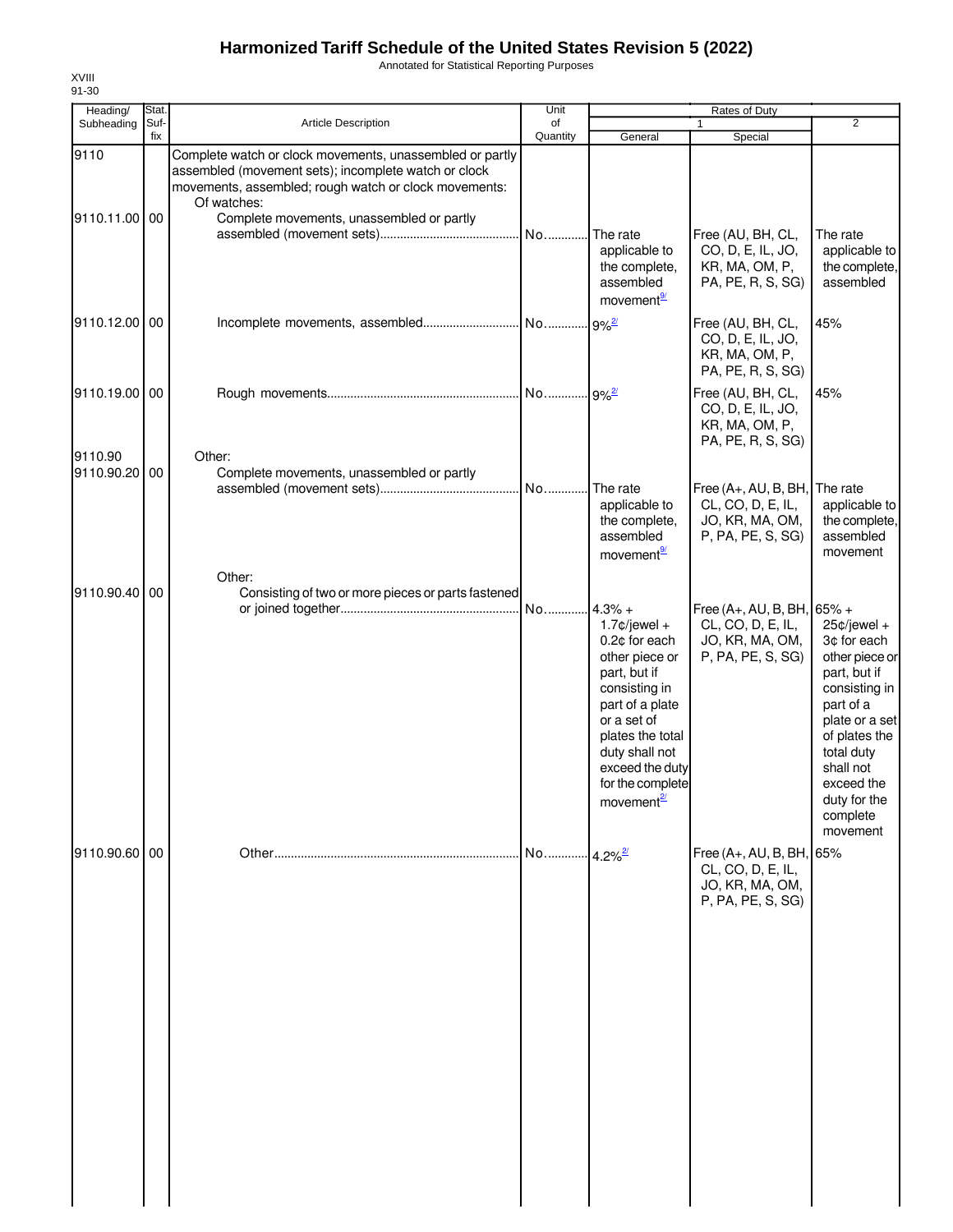Annotated for Statistical Reporting Purposes

| Heading/                 | Stat.       |                                                                                                                                                                                                                                       | Unit                    |                                                                                                                                                                                                                | Rates of Duty                                                                                |                                                                                                                                                                                                                   |
|--------------------------|-------------|---------------------------------------------------------------------------------------------------------------------------------------------------------------------------------------------------------------------------------------|-------------------------|----------------------------------------------------------------------------------------------------------------------------------------------------------------------------------------------------------------|----------------------------------------------------------------------------------------------|-------------------------------------------------------------------------------------------------------------------------------------------------------------------------------------------------------------------|
| Subheading               | Suf-<br>fix | <b>Article Description</b>                                                                                                                                                                                                            | of<br>Quantity          | General                                                                                                                                                                                                        | $\mathbf{1}$<br>Special                                                                      | $\overline{2}$                                                                                                                                                                                                    |
| 9110<br>9110.11.00 00    |             | Complete watch or clock movements, unassembled or partly<br>assembled (movement sets); incomplete watch or clock<br>movements, assembled; rough watch or clock movements:<br>Of watches:<br>Complete movements, unassembled or partly |                         | The rate<br>applicable to<br>the complete,<br>assembled<br>movement <sup>9/</sup>                                                                                                                              | Free (AU, BH, CL,<br>CO, D, E, IL, JO,<br>KR, MA, OM, P,<br>PA, PE, R, S, SG)                | The rate<br>applicable to<br>the complete,<br>assembled                                                                                                                                                           |
| 9110.12.00 00            |             |                                                                                                                                                                                                                                       |                         | $9%^{2/2}$                                                                                                                                                                                                     | Free (AU, BH, CL,<br>CO, D, E, IL, JO,<br>KR, MA, OM, P,<br>PA, PE, R, S, SG)                | 45%                                                                                                                                                                                                               |
| 9110.19.00 00            |             |                                                                                                                                                                                                                                       |                         |                                                                                                                                                                                                                | Free (AU, BH, CL,<br>CO, D, E, IL, JO,<br>KR, MA, OM, P,<br>PA, PE, R, S, SG)                | 45%                                                                                                                                                                                                               |
| 9110.90<br>9110.90.20 00 |             | Other:<br>Complete movements, unassembled or partly                                                                                                                                                                                   |                         | The rate<br>applicable to<br>the complete,<br>assembled<br>movement <sup>9/</sup>                                                                                                                              | Free $(A+, AU, B, BH,$ The rate<br>CL, CO, D, E, IL,<br>JO, KR, MA, OM,<br>P, PA, PE, S, SG) | applicable to<br>the complete,<br>assembled<br>movement                                                                                                                                                           |
| 9110.90.40 00            |             | Other:<br>Consisting of two or more pieces or parts fastened                                                                                                                                                                          | No 4.3% +               | $1.7$ ¢/jewel +<br>0.2¢ for each<br>other piece or<br>part, but if<br>consisting in<br>part of a plate<br>or a set of<br>plates the total<br>duty shall not<br>exceed the duty<br>for the complete<br>movement | Free (A+, AU, B, BH, $65\%$ +<br>CL, CO, D, E, IL,<br>JO, KR, MA, OM,<br>P, PA, PE, S, SG)   | $25¢$ /jewel +<br>3¢ for each<br>other piece or<br>part, but if<br>consisting in<br>part of a<br>plate or a set<br>of plates the<br>total duty<br>shall not<br>exceed the<br>duty for the<br>complete<br>movement |
| 9110.90.60 00            |             |                                                                                                                                                                                                                                       | No 4.2% <sup>2/21</sup> |                                                                                                                                                                                                                | Free $(A+, AU, B, BH, 65%$<br>CL, CO, D, E, IL,<br>JO, KR, MA, OM,<br>P, PA, PE, S, SG)      |                                                                                                                                                                                                                   |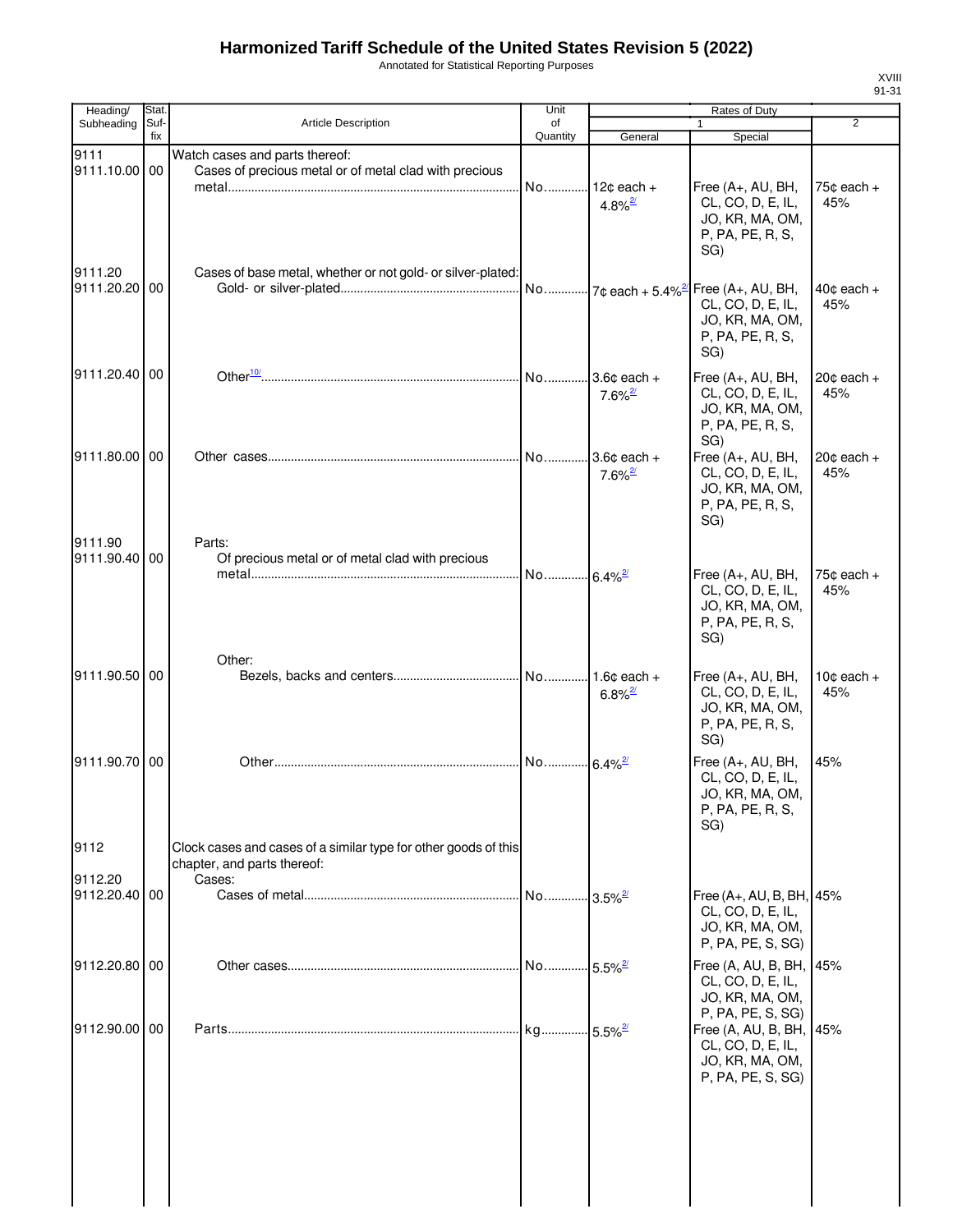Annotated for Statistical Reporting Purposes

| Heading/                 | Stat.       |                                                                                                          | Unit                  |                                                  | Rates of Duty                                                                         |                               |
|--------------------------|-------------|----------------------------------------------------------------------------------------------------------|-----------------------|--------------------------------------------------|---------------------------------------------------------------------------------------|-------------------------------|
| Subheading               | Suf-<br>fix | <b>Article Description</b>                                                                               | of<br>Quantity        | General                                          | 1<br>Special                                                                          | $\overline{2}$                |
| 9111<br>9111.10.00 00    |             | Watch cases and parts thereof:<br>Cases of precious metal or of metal clad with precious                 | No                    | $12¢$ each +<br>$4.8\%$ <sup>2/</sup>            | Free (A+, AU, BH,<br>CL, CO, D, E, IL,<br>JO, KR, MA, OM,<br>P, PA, PE, R, S,<br>SG)  | $75¢$ each $+$<br>45%         |
| 9111.20<br>9111.20.20 00 |             | Cases of base metal, whether or not gold- or silver-plated:                                              |                       |                                                  | CL, CO, D, E, IL,<br>JO, KR, MA, OM,<br>P, PA, PE, R, S,<br>SG)                       | $40¢$ each $+$<br>45%         |
| 9111.20.40 00            |             |                                                                                                          |                       | $3.6c$ each +<br>$7.6\%$ <sup>2/</sup>           | Free (A+, AU, BH,<br>CL, CO, D, E, IL,<br>JO, KR, MA, OM,<br>P, PA, PE, R, S,<br>SG)  | $20¢$ each $+$<br>45%         |
| 9111.80.00 00            |             |                                                                                                          | No                    | $3.6¢$ each +<br>$7.6\%$ <sup>2/</sup>           | Free (A+, AU, BH,<br>CL, CO, D, E, IL,<br>JO, KR, MA, OM,<br>P, PA, PE, R, S,<br>SG)  | $20¢$ each $+$<br>45%         |
| 9111.90<br>9111.90.40    | 00          | Parts:<br>Of precious metal or of metal clad with precious                                               | No 6.4% <sup>2/</sup> |                                                  | Free (A+, AU, BH,<br>CL, CO, D, E, IL,<br>JO, KR, MA, OM,<br>P, PA, PE, R, S,<br>SG)  | $75¢$ each $+$<br>45%         |
| 9111.90.50 00            |             | Other:                                                                                                   |                       | 1.6 $\texttt{c}$ each +<br>$6.8\%$ <sup>2/</sup> | Free (A+, AU, BH,<br>CL, CO, D, E, IL,<br>JO, KR, MA, OM,<br>P, PA, PE, R, S,<br>SG)  | 10 $\texttt{c}$ each +<br>45% |
| 9111.90.70 00            |             |                                                                                                          | No                    | $6.4\%$ <sup>2/</sup>                            | Free (A+, AU, BH,<br>CL, CO, D, E, IL,<br>JO, KR, MA, OM,<br>P, PA, PE, R, S,<br>SG)  | 45%                           |
| 9112<br>9112.20          |             | Clock cases and cases of a similar type for other goods of this<br>chapter, and parts thereof:<br>Cases: |                       |                                                  |                                                                                       |                               |
| 9112.20.40 00            |             |                                                                                                          |                       | 3.5% <sup>2/</sup>                               | Free (A+, AU, B, BH, 45%<br>CL, CO, D, E, IL,<br>JO, KR, MA, OM,<br>P, PA, PE, S, SG) |                               |
| 9112.20.80 00            |             |                                                                                                          |                       |                                                  | Free (A, AU, B, BH, 45%<br>CL, CO, D, E, IL,<br>JO, KR, MA, OM,<br>P, PA, PE, S, SG)  |                               |
| 9112.90.00 00            |             |                                                                                                          |                       |                                                  | Free (A, AU, B, BH, 45%<br>CL, CO, D, E, IL,<br>JO, KR, MA, OM,<br>P, PA, PE, S, SG)  |                               |
|                          |             |                                                                                                          |                       |                                                  |                                                                                       |                               |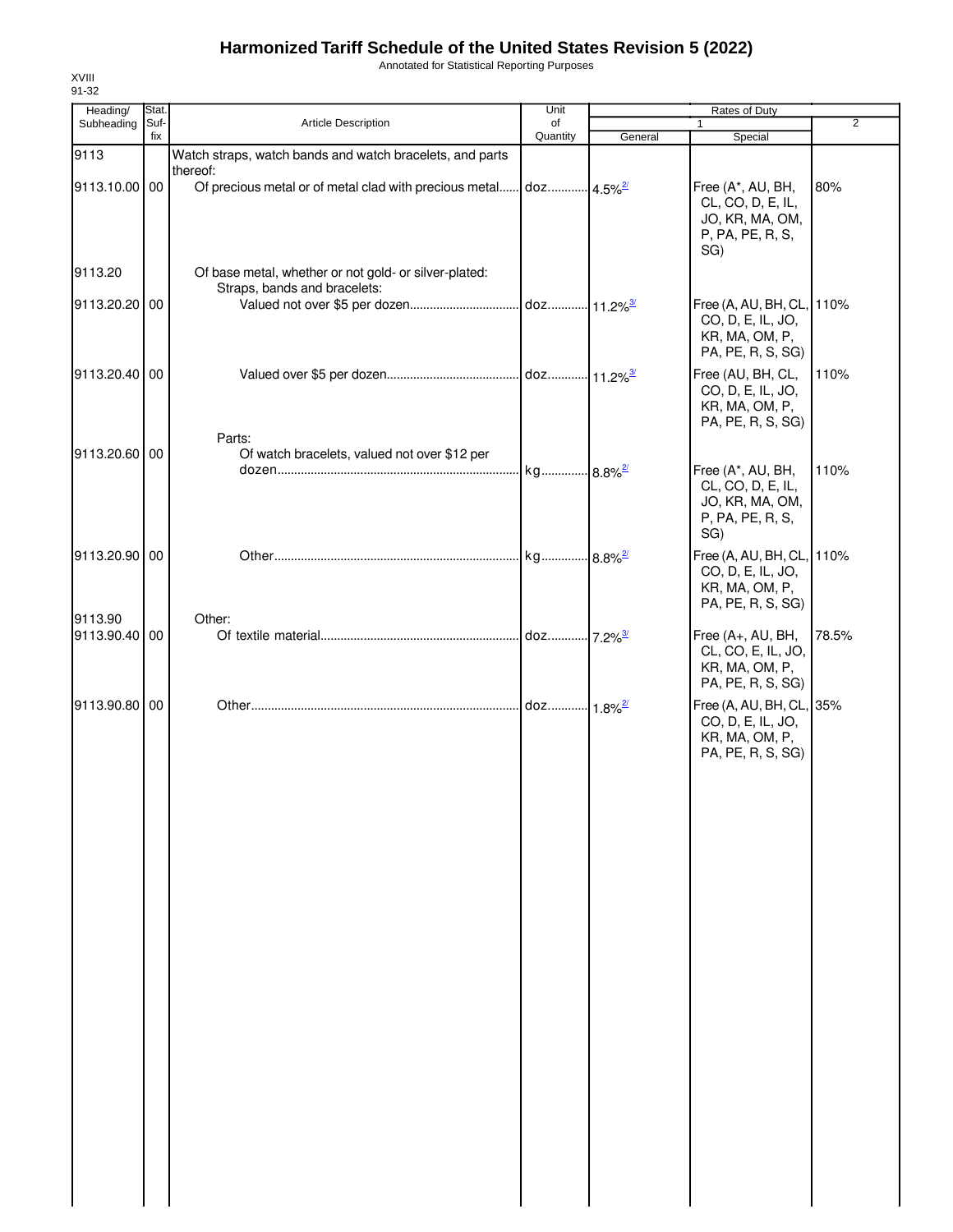Annotated for Statistical Reporting Purposes

| Heading/                 | Stat.       |                                                                                       | Unit                   |         | Rates of Duty                                                                         |       |
|--------------------------|-------------|---------------------------------------------------------------------------------------|------------------------|---------|---------------------------------------------------------------------------------------|-------|
| Subheading               | Suf-<br>fix | <b>Article Description</b>                                                            | of<br>Quantity         | General | $\mathbf{1}$<br>Special                                                               | 2     |
| 9113                     |             | Watch straps, watch bands and watch bracelets, and parts                              |                        |         |                                                                                       |       |
| 9113.10.00 00            |             | thereof:<br>Of precious metal or of metal clad with precious metal                    | doz 4.5% <sup>2/</sup> |         | Free (A*, AU, BH,<br>CL, CO, D, E, IL,<br>JO, KR, MA, OM,<br>P, PA, PE, R, S,<br>SG)  | 80%   |
| 9113.20                  |             | Of base metal, whether or not gold- or silver-plated:<br>Straps, bands and bracelets: |                        |         |                                                                                       |       |
| 9113.20.20 00            |             |                                                                                       |                        |         | Free (A, AU, BH, CL, 110%<br>CO, D, E, IL, JO,<br>KR, MA, OM, P,<br>PA, PE, R, S, SG) |       |
| 9113.20.40 00            |             |                                                                                       |                        |         | Free (AU, BH, CL,<br>CO, D, E, IL, JO,<br>KR, MA, OM, P,<br>PA, PE, R, S, SG)         | 110%  |
| 9113.20.60 00            |             | Parts:<br>Of watch bracelets, valued not over \$12 per                                |                        |         |                                                                                       |       |
|                          |             |                                                                                       |                        |         | Free (A*, AU, BH,<br>CL, CO, D, E, IL,<br>JO, KR, MA, OM,<br>P, PA, PE, R, S,<br>SG)  | 110%  |
| 9113.20.90 00            |             |                                                                                       |                        |         | Free (A, AU, BH, CL, 110%<br>CO, D, E, IL, JO,<br>KR, MA, OM, P,<br>PA, PE, R, S, SG) |       |
| 9113.90<br>9113.90.40 00 |             | Other:                                                                                |                        |         | Free (A+, AU, BH,<br>CL, CO, E, IL, JO,<br>KR, MA, OM, P,<br>PA, PE, R, S, SG)        | 78.5% |
| 9113.90.80 00            |             |                                                                                       |                        |         | Free (A, AU, BH, CL, 35%<br>CO, D, E, IL, JO,<br>KR, MA, OM, P,<br>PA, PE, R, S, SG)  |       |
|                          |             |                                                                                       |                        |         |                                                                                       |       |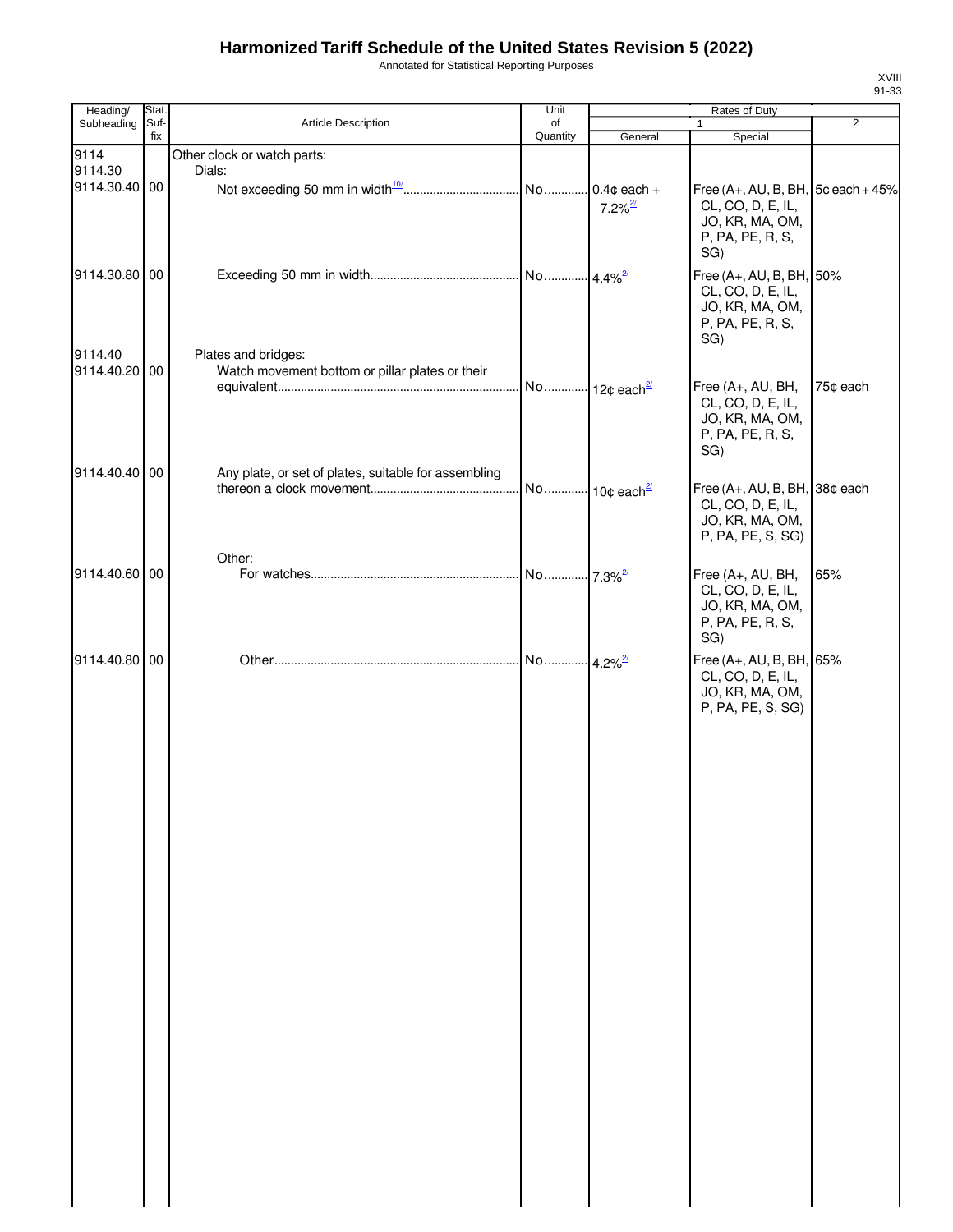| Annotated for Statistical Reporting Purposes |  |  |
|----------------------------------------------|--|--|
|----------------------------------------------|--|--|

| Heading/                 | Stat.       |                                                                        | Unit                  |                       | Rates of Duty                                                                                            |                |
|--------------------------|-------------|------------------------------------------------------------------------|-----------------------|-----------------------|----------------------------------------------------------------------------------------------------------|----------------|
| Subheading               | Suf-<br>fix | Article Description                                                    | of<br>Quantity        | General               | $\mathbf{1}$                                                                                             | $\overline{2}$ |
| 9114<br>9114.30          |             | Other clock or watch parts:<br>Dials:                                  |                       |                       | Special                                                                                                  |                |
| 9114.30.40 00            |             |                                                                        |                       | $7.2\%$ <sup>2/</sup> | Free $(A+, AU, B, BH, 5¢$ each $+45%$<br>CL, CO, D, E, IL,<br>JO, KR, MA, OM,<br>P, PA, PE, R, S,<br>SG) |                |
| 9114.30.80 00            |             |                                                                        |                       |                       | Free (A+, AU, B, BH, 50%<br>CL, CO, D, E, IL,<br>JO, KR, MA, OM,<br>P, PA, PE, R, S,<br>SG)              |                |
| 9114.40<br>9114.40.20 00 |             | Plates and bridges:<br>Watch movement bottom or pillar plates or their |                       |                       | Free (A+, AU, BH,<br>CL, CO, D, E, IL,<br>JO, KR, MA, OM,<br>P, PA, PE, R, S,<br>SG)                     | 75¢ each       |
| 9114.40.40 00            |             | Any plate, or set of plates, suitable for assembling                   |                       |                       | Free (A+, AU, B, BH, 38¢ each<br>CL, CO, D, E, IL,<br>JO, KR, MA, OM,<br>P, PA, PE, S, SG)               |                |
| 9114.40.60 00            |             | Other:                                                                 |                       |                       | Free (A+, AU, BH,<br>CL, CO, D, E, IL,<br>JO, KR, MA, OM,<br>P, PA, PE, R, S,<br>SG)                     | 65%            |
| 9114.40.80 00            |             |                                                                        | No 4.2% <sup>2/</sup> |                       | Free (A+, AU, B, BH, 65%<br>CL, CO, D, E, IL,<br>JO, KR, MA, OM,<br>P, PA, PE, S, SG)                    |                |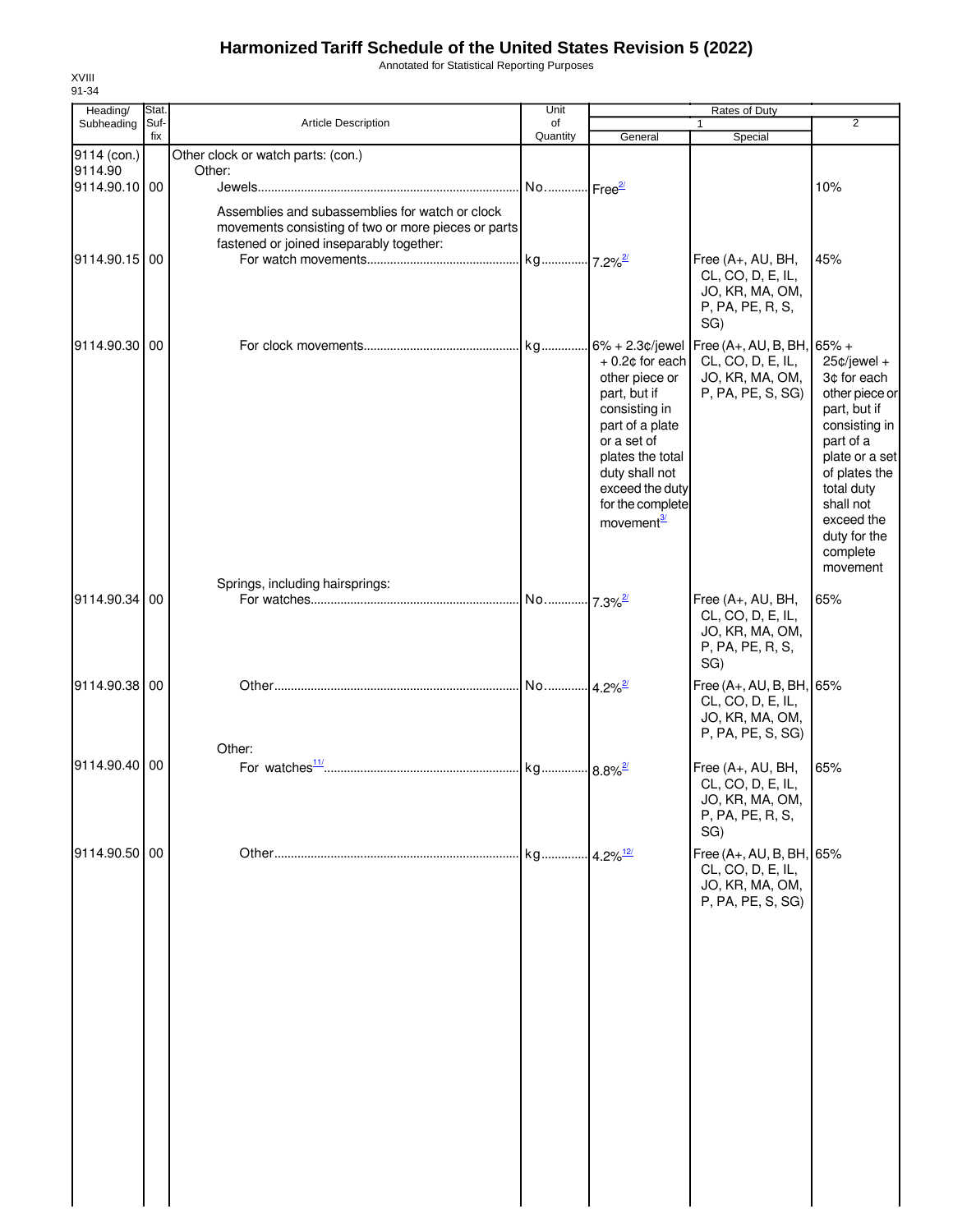Annotated for Statistical Reporting Purposes

| Heading/      | Stat.       |                                                                                                                                                    | Unit                  |                                                                                                                                                                                                               | Rates of Duty                                                                         |                                                                                                                                                                                                                   |
|---------------|-------------|----------------------------------------------------------------------------------------------------------------------------------------------------|-----------------------|---------------------------------------------------------------------------------------------------------------------------------------------------------------------------------------------------------------|---------------------------------------------------------------------------------------|-------------------------------------------------------------------------------------------------------------------------------------------------------------------------------------------------------------------|
| Subheading    | Suf-<br>fix | <b>Article Description</b>                                                                                                                         | of<br>Quantity        | General                                                                                                                                                                                                       | $\mathbf{1}$<br>Special                                                               | 2                                                                                                                                                                                                                 |
| 9114 (con.)   |             | Other clock or watch parts: (con.)                                                                                                                 |                       |                                                                                                                                                                                                               |                                                                                       |                                                                                                                                                                                                                   |
| 9114.90       |             | Other:                                                                                                                                             |                       |                                                                                                                                                                                                               |                                                                                       |                                                                                                                                                                                                                   |
| 9114.90.10 00 |             |                                                                                                                                                    |                       |                                                                                                                                                                                                               |                                                                                       | 10%                                                                                                                                                                                                               |
| 9114.90.15 00 |             | Assemblies and subassemblies for watch or clock<br>movements consisting of two or more pieces or parts<br>fastened or joined inseparably together: |                       |                                                                                                                                                                                                               | Free (A+, AU, BH,<br>CL, CO, D, E, IL,<br>JO, KR, MA, OM,<br>P, PA, PE, R, S,         | 45%                                                                                                                                                                                                               |
| 9114.90.30 00 |             |                                                                                                                                                    |                       |                                                                                                                                                                                                               | SG)                                                                                   |                                                                                                                                                                                                                   |
|               |             |                                                                                                                                                    |                       | $+0.2$ ¢ for each<br>other piece or<br>part, but if<br>consisting in<br>part of a plate<br>or a set of<br>plates the total<br>duty shall not<br>exceed the duty<br>for the complete<br>movement <sup>3/</sup> | CL, CO, D, E, IL,<br>JO, KR, MA, OM,<br>P, PA, PE, S, SG)                             | $25¢$ /jewel +<br>3¢ for each<br>other piece or<br>part, but if<br>consisting in<br>part of a<br>plate or a set<br>of plates the<br>total duty<br>shall not<br>exceed the<br>duty for the<br>complete<br>movement |
|               |             | Springs, including hairsprings:                                                                                                                    |                       |                                                                                                                                                                                                               |                                                                                       |                                                                                                                                                                                                                   |
| 9114.90.34    | 00          |                                                                                                                                                    | No 7.3% <sup>2/</sup> |                                                                                                                                                                                                               | Free (A+, AU, BH,<br>CL, CO, D, E, IL,<br>JO, KR, MA, OM,<br>P, PA, PE, R, S,<br>SG)  | 65%                                                                                                                                                                                                               |
| 9114.90.38 00 |             |                                                                                                                                                    | No 4.2% <sup>2/</sup> |                                                                                                                                                                                                               | Free (A+, AU, B, BH, 65%<br>CL, CO, D, E, IL,<br>JO, KR, MA, OM,<br>P, PA, PE, S, SG) |                                                                                                                                                                                                                   |
|               |             | Other:                                                                                                                                             |                       |                                                                                                                                                                                                               |                                                                                       |                                                                                                                                                                                                                   |
| 9114.90.40 00 |             |                                                                                                                                                    |                       |                                                                                                                                                                                                               | Free (A+, AU, BH,<br>CL, CO, D, E, IL,<br>JO, KR, MA, OM,<br>P, PA, PE, R, S,<br>SG)  | 65%                                                                                                                                                                                                               |
| 9114.90.50 00 |             |                                                                                                                                                    | kg                    | $4.2\%$ <sup>12/</sup>                                                                                                                                                                                        | Free (A+, AU, B, BH, 65%<br>CL, CO, D, E, IL,<br>JO, KR, MA, OM,<br>P, PA, PE, S, SG) |                                                                                                                                                                                                                   |